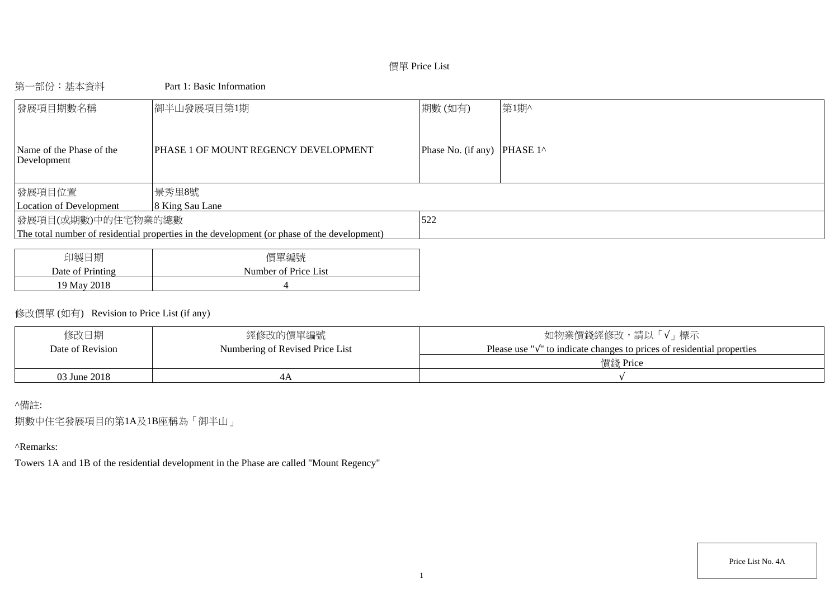# 價單 Price List

# 第一部份:基本資料 Part 1: Basic Information

| 發展項目期數名稱                                | 御半山發展項目第1期                                                                                  | 期數(如有)                      | 第1期^ |
|-----------------------------------------|---------------------------------------------------------------------------------------------|-----------------------------|------|
| Name of the Phase of the<br>Development | PHASE 1 OF MOUNT REGENCY DEVELOPMENT                                                        | Phase No. (if any) PHASE 1^ |      |
| 發展項目位置                                  | 景秀里8號                                                                                       |                             |      |
| Location of Development                 | 8 King Sau Lane                                                                             |                             |      |
| 發展項目(或期數)中的住宅物業的總數                      |                                                                                             | 522                         |      |
|                                         | The total number of residential properties in the development (or phase of the development) |                             |      |
|                                         |                                                                                             |                             |      |
|                                         |                                                                                             |                             |      |

| 旧製<br>日期         | 價單編號                 |
|------------------|----------------------|
| Date of Printing | Number of Price List |
| 19 May 2018      |                      |

# 修改價單 (如有) Revision to Price List (if any)

| 修改日期             | 經修改的價單編號                        | 如物業價錢經修改,請以「√」標示                                                                     |
|------------------|---------------------------------|--------------------------------------------------------------------------------------|
| Date of Revision | Numbering of Revised Price List | $\mathbb{N}$ to indicate changes to prices of residential properties<br>Please use " |
|                  |                                 | 價錢 Price                                                                             |
| 03 June 2018     |                                 |                                                                                      |

# ^備註:

期數中住宅發展項目的第1A及1B座稱為「御半山」

# ^Remarks:

Towers 1A and 1B of the residential development in the Phase are called "Mount Regency"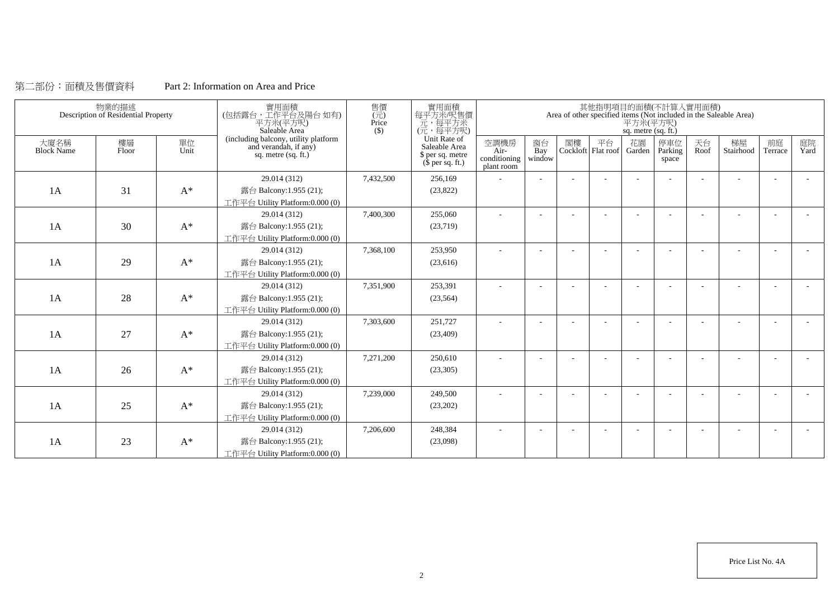# 第二部份:面積及售價資料 Part 2: Information on Area and Price

|                           | 物業的描述<br>Description of Residential Property |                | 實用面積<br>(包括露台,工作平台及陽台如有)<br>平方米(平方呎)<br>Saleable Area                                | 售價<br>$(\vec{\pi})$<br>Price<br>$($)$ | 實用面積<br>每平方米/呎售價<br>元,每平方米<br>(元,每平方呎)                                        |                                              |                          |    |    | 平方米(平方呎)<br>sq. metre (sq. ft.) | 其他指明項目的面積(不計算入實用面積)     |            | Area of other specified items (Not included in the Saleable Area) |                          |            |
|---------------------------|----------------------------------------------|----------------|--------------------------------------------------------------------------------------|---------------------------------------|-------------------------------------------------------------------------------|----------------------------------------------|--------------------------|----|----|---------------------------------|-------------------------|------------|-------------------------------------------------------------------|--------------------------|------------|
| 大廈名稱<br><b>Block Name</b> | 樓層<br>Floor                                  | 單位<br>Unit     | (including balcony, utility platform<br>and verandah, if any)<br>sq. metre (sq. ft.) |                                       | Unit Rate of<br>Saleable Area<br>\$ per sq. metre<br>$(\bar{\S}$ per sq. ft.) | 空調機房<br>$Air-$<br>conditioning<br>plant room | 窗台<br>Bay<br>window      | 閣樓 | 平台 | 花園<br>Cockloft Flat roof Garden | 停車位<br>Parking<br>space | 天台<br>Roof | 梯屋<br>Stairhood                                                   | 前庭<br>Terrace            | 庭院<br>Yard |
|                           |                                              |                | 29.014 (312)                                                                         | 7,432,500                             | 256,169                                                                       |                                              |                          |    |    |                                 |                         |            |                                                                   |                          |            |
| 1A                        | 31                                           | $\mathbf{A}^*$ | 露台 Balcony:1.955 (21);                                                               |                                       | (23,822)                                                                      |                                              |                          |    |    |                                 |                         |            |                                                                   |                          |            |
|                           |                                              |                | 工作平台 Utility Platform:0.000 (0)                                                      |                                       |                                                                               |                                              |                          |    |    |                                 |                         |            |                                                                   |                          |            |
|                           |                                              |                | 29.014 (312)                                                                         | 7,400,300                             | 255,060                                                                       | $\sim$                                       | $\overline{\phantom{a}}$ |    |    |                                 |                         | ÷          |                                                                   | $\overline{\phantom{a}}$ | $\sim$     |
| 1A                        | 30                                           | $A^*$          | 露台 Balcony:1.955 (21);                                                               |                                       | (23,719)                                                                      |                                              |                          |    |    |                                 |                         |            |                                                                   |                          |            |
|                           |                                              |                | 工作平台 Utility Platform:0.000 (0)                                                      |                                       |                                                                               |                                              |                          |    |    |                                 |                         |            |                                                                   |                          |            |
|                           |                                              |                | 29.014 (312)                                                                         | 7,368,100                             | 253,950                                                                       |                                              |                          |    |    |                                 |                         |            |                                                                   |                          |            |
| 1A                        | 29                                           | $A^*$          | 露台 Balcony:1.955 (21);                                                               |                                       | (23,616)                                                                      |                                              |                          |    |    |                                 |                         |            |                                                                   |                          |            |
|                           |                                              |                | 工作平台 Utility Platform:0.000 (0)                                                      |                                       |                                                                               |                                              |                          |    |    |                                 |                         |            |                                                                   |                          |            |
|                           |                                              |                | 29.014 (312)                                                                         | 7,351,900                             | 253,391                                                                       |                                              |                          |    |    |                                 |                         |            |                                                                   |                          |            |
| 1A                        | 28                                           | $A^*$          | 露台 Balcony:1.955 (21);                                                               |                                       | (23, 564)                                                                     |                                              |                          |    |    |                                 |                         |            |                                                                   |                          |            |
|                           |                                              |                | 工作平台 Utility Platform:0.000 (0)                                                      |                                       |                                                                               |                                              |                          |    |    |                                 |                         |            |                                                                   |                          |            |
|                           |                                              |                | 29.014 (312)                                                                         | 7,303,600                             | 251,727                                                                       | $\overline{\phantom{a}}$                     |                          |    |    |                                 |                         |            |                                                                   |                          |            |
| 1A                        | 27                                           | $A^*$          | 露台 Balcony:1.955 (21);                                                               |                                       | (23, 409)                                                                     |                                              |                          |    |    |                                 |                         |            |                                                                   |                          |            |
|                           |                                              |                | 工作平台 Utility Platform:0.000 (0)                                                      |                                       |                                                                               |                                              |                          |    |    |                                 |                         |            |                                                                   |                          |            |
|                           |                                              |                | 29.014 (312)                                                                         | 7,271,200                             | 250,610                                                                       |                                              |                          |    |    |                                 |                         |            |                                                                   |                          |            |
| 1A                        | 26                                           | $A^*$          | 露台 Balcony:1.955 (21);                                                               |                                       | (23,305)                                                                      |                                              |                          |    |    |                                 |                         |            |                                                                   |                          |            |
|                           |                                              |                | 工作平台 Utility Platform:0.000 (0)                                                      |                                       |                                                                               |                                              |                          |    |    |                                 |                         |            |                                                                   |                          |            |
|                           |                                              |                | 29.014 (312)                                                                         | 7,239,000                             | 249,500                                                                       |                                              |                          |    |    |                                 |                         |            |                                                                   |                          |            |
| 1A                        | 25                                           | $A^*$          | 露台 Balcony:1.955 (21);                                                               |                                       | (23,202)                                                                      |                                              |                          |    |    |                                 |                         |            |                                                                   |                          |            |
|                           |                                              |                | 工作平台 Utility Platform:0.000 (0)                                                      |                                       |                                                                               |                                              |                          |    |    |                                 |                         |            |                                                                   |                          |            |
|                           |                                              |                | 29.014 (312)                                                                         | 7,206,600                             | 248,384                                                                       |                                              |                          |    |    |                                 |                         |            |                                                                   |                          |            |
| 1A                        | 23                                           | $A^*$          | 露台 Balcony:1.955 (21);                                                               |                                       | (23,098)                                                                      |                                              |                          |    |    |                                 |                         |            |                                                                   |                          |            |
|                           |                                              |                | 工作平台 Utility Platform:0.000 (0)                                                      |                                       |                                                                               |                                              |                          |    |    |                                 |                         |            |                                                                   |                          |            |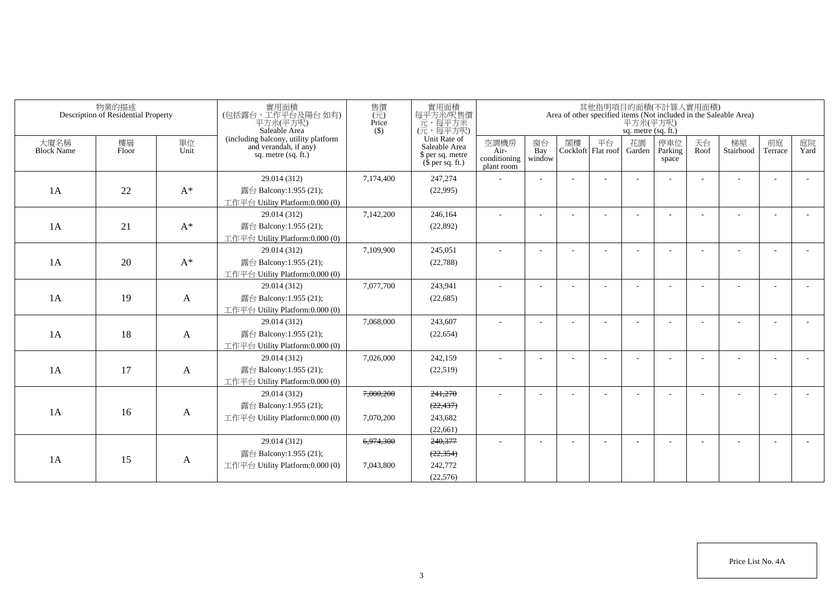|                           | 物業的描述<br>Description of Residential Property |            | 實用面積<br>(包括露台,工作平台及陽台如有)<br>平方米(平方呎)<br>Saleable Area                                  | 售價<br>(元)<br>Price<br>$($ \$) | 實用面積<br>每平方米/呎售價<br>元,每平方米<br>(元,每平方呎)                                |                                            |                     |    |                            | sq. metre (sq. ft.) | 其他指明項目的面積(不計算入實用面積)     |            | Area of other specified items (Not included in the Saleable Area)<br>$\overline{P}$ $\overline{\mathcal{H}}$ $\mathcal{H}(\overline{P})$ |                          |            |
|---------------------------|----------------------------------------------|------------|----------------------------------------------------------------------------------------|-------------------------------|-----------------------------------------------------------------------|--------------------------------------------|---------------------|----|----------------------------|---------------------|-------------------------|------------|------------------------------------------------------------------------------------------------------------------------------------------|--------------------------|------------|
| 大廈名稱<br><b>Block Name</b> | 樓層<br>Floor                                  | 單位<br>Unit | (including balcony, utility platform<br>and verandah, if any)<br>sq. metre $(sq. ft.)$ |                               | Unit Rate of<br>Saleable Area<br>\$ per sq. metre<br>$$$ per sq. ft.) | 空調機房<br>Air-<br>conditioning<br>plant room | 窗台<br>Bay<br>window | 閣樓 | 平台<br>Cockloft   Flat roof | 花園<br>Garden        | 停車位<br>Parking<br>space | 天台<br>Roof | 梯屋<br>Stairhood                                                                                                                          | 前庭<br>Terrace            | 庭院<br>Yard |
| 1A                        | 22                                           | $A^*$      | 29.014 (312)<br>露台 Balcony:1.955 (21);<br>工作平台 Utility Platform:0.000 (0)              | 7,174,400                     | 247,274<br>(22,995)                                                   |                                            |                     |    |                            |                     |                         |            |                                                                                                                                          |                          |            |
| 1A                        | 21                                           | $A^*$      | 29.014 (312)<br>露台 Balcony:1.955 (21);<br>工作平台 Utility Platform:0.000 (0)              | 7,142,200                     | 246,164<br>(22,892)                                                   | $\sim$                                     |                     |    |                            |                     |                         |            |                                                                                                                                          |                          |            |
| 1A                        | 20                                           | $A^*$      | 29.014 (312)<br>露台 Balcony:1.955 (21);<br>工作平台 Utility Platform:0.000 (0)              | 7,109,900                     | 245,051<br>(22, 788)                                                  | $\sim$                                     |                     |    |                            |                     |                         |            |                                                                                                                                          |                          |            |
| 1A                        | 19                                           | A          | 29.014 (312)<br>露台 Balcony:1.955 (21);<br>工作平台 Utility Platform:0.000 (0)              | 7,077,700                     | 243,941<br>(22,685)                                                   | $\sim$                                     |                     |    |                            |                     |                         |            |                                                                                                                                          | $\overline{\phantom{a}}$ |            |
| 1A                        | 18                                           | A          | 29.014 (312)<br>露台 Balcony:1.955 (21);<br>工作平台 Utility Platform:0.000 (0)              | 7,068,000                     | 243,607<br>(22, 654)                                                  | $\sim$                                     |                     |    |                            |                     |                         |            |                                                                                                                                          |                          |            |
| 1A                        | 17                                           | A          | 29.014 (312)<br>露台 Balcony:1.955 (21);<br>工作平台 Utility Platform:0.000 (0)              | 7,026,000                     | 242,159<br>(22,519)                                                   | $\sim$                                     |                     |    |                            |                     |                         |            |                                                                                                                                          |                          |            |
| 1A                        | 16                                           | A          | 29.014 (312)<br>露台 Balcony:1.955 (21);<br>工作平台 Utility Platform:0.000 (0)              | 7,000,200<br>7,070,200        | 241,270<br>(22, 437)<br>243,682<br>(22,661)                           | $\sim$                                     |                     |    |                            |                     |                         |            |                                                                                                                                          |                          |            |
| 1A                        | 15                                           | A          | 29.014 (312)<br>露台 Balcony:1.955 (21);<br>工作平台 Utility Platform:0.000 (0)              | 6,974,300<br>7,043,800        | 240,377<br>(22, 354)<br>242,772<br>(22,576)                           |                                            |                     |    |                            |                     |                         |            |                                                                                                                                          |                          |            |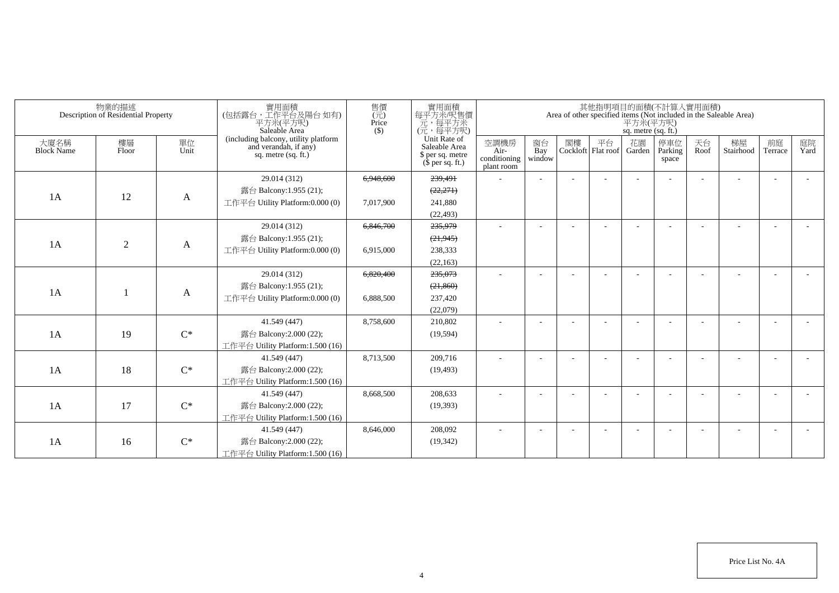|                           | 物業的描述<br>Description of Residential Property |                | 實用面積<br>(包括露台,工作平台及陽台如有)<br>平方米(平方呎)<br>Saleable Area                                | 售價<br>(元)<br>Price<br>$($ \$ | 實用面積<br>每平方米/呎售價<br>元,每平方米<br>(元,每平方呎)                                        |                                            |                                  |    |                            | 其他指明項目的面積(不計算入實用面積)<br>平方米(平方呎)<br>sq. metre (sq. ft.) |                         |            | Area of other specified items (Not included in the Saleable Area) |                          |            |
|---------------------------|----------------------------------------------|----------------|--------------------------------------------------------------------------------------|------------------------------|-------------------------------------------------------------------------------|--------------------------------------------|----------------------------------|----|----------------------------|--------------------------------------------------------|-------------------------|------------|-------------------------------------------------------------------|--------------------------|------------|
| 大廈名稱<br><b>Block Name</b> | 樓層<br>Floor                                  | 單位<br>Unit     | (including balcony, utility platform<br>and verandah, if any)<br>sq. metre (sq. ft.) |                              | Unit Rate of<br>Saleable Area<br>\$ per sq. metre<br>$(\bar{\S}$ per sq. ft.) | 空調機房<br>Air-<br>conditioning<br>plant room | 窗台<br>$\overline{Bay}$<br>window | 閣樓 | 平台<br>Cockloft   Flat roof | 花園<br>Garden                                           | 停車位<br>Parking<br>space | 天台<br>Roof | 梯屋<br>Stairhood                                                   | 前庭<br>Terrace            | 庭院<br>Yard |
|                           |                                              |                | 29.014 (312)                                                                         | 6,948,600                    | 239,491                                                                       | ٠                                          |                                  |    |                            |                                                        |                         |            |                                                                   | ٠                        |            |
| 1A                        | 12                                           |                | 露台 Balcony:1.955 (21);                                                               |                              | (22, 271)                                                                     |                                            |                                  |    |                            |                                                        |                         |            |                                                                   |                          |            |
|                           |                                              | A              | 工作平台 Utility Platform:0.000 (0)                                                      | 7,017,900                    | 241,880                                                                       |                                            |                                  |    |                            |                                                        |                         |            |                                                                   |                          |            |
|                           |                                              |                |                                                                                      |                              | (22, 493)                                                                     |                                            |                                  |    |                            |                                                        |                         |            |                                                                   |                          |            |
|                           |                                              |                | 29.014 (312)                                                                         | 6,846,700                    | 235,979                                                                       | ÷                                          |                                  |    |                            |                                                        |                         |            |                                                                   | $\overline{\phantom{a}}$ |            |
| 1A                        | $\overline{2}$                               |                | 露台 Balcony:1.955 (21);                                                               |                              | (21, 945)                                                                     |                                            |                                  |    |                            |                                                        |                         |            |                                                                   |                          |            |
|                           |                                              | A              | 工作平台 Utility Platform:0.000 (0)                                                      | 6,915,000                    | 238,333                                                                       |                                            |                                  |    |                            |                                                        |                         |            |                                                                   |                          |            |
|                           |                                              |                |                                                                                      |                              | (22, 163)                                                                     |                                            |                                  |    |                            |                                                        |                         |            |                                                                   |                          |            |
|                           |                                              |                | 29.014 (312)                                                                         | 6,820,400                    | 235,073                                                                       | $\sim$                                     |                                  |    |                            |                                                        |                         |            |                                                                   |                          |            |
| 1A                        |                                              |                | 露台 Balcony:1.955 (21);                                                               |                              | (21, 860)                                                                     |                                            |                                  |    |                            |                                                        |                         |            |                                                                   |                          |            |
|                           |                                              | A              | 工作平台 Utility Platform:0.000 (0)                                                      | 6,888,500                    | 237,420                                                                       |                                            |                                  |    |                            |                                                        |                         |            |                                                                   |                          |            |
|                           |                                              |                |                                                                                      |                              | (22,079)                                                                      |                                            |                                  |    |                            |                                                        |                         |            |                                                                   |                          |            |
|                           |                                              |                | 41.549 (447)                                                                         | 8,758,600                    | 210,802                                                                       | ٠                                          |                                  |    |                            |                                                        |                         |            |                                                                   | $\overline{\phantom{a}}$ |            |
| 1A                        | 19                                           | $C^*$          | 露台 Balcony:2.000 (22);                                                               |                              | (19, 594)                                                                     |                                            |                                  |    |                            |                                                        |                         |            |                                                                   |                          |            |
|                           |                                              |                | 工作平台 Utility Platform: 1.500 (16)                                                    |                              |                                                                               |                                            |                                  |    |                            |                                                        |                         |            |                                                                   |                          |            |
|                           |                                              |                | 41.549 (447)                                                                         | 8,713,500                    | 209,716                                                                       |                                            |                                  |    |                            |                                                        |                         |            |                                                                   |                          |            |
| 1A                        | 18                                           | $C^*$          | 露台 Balcony:2.000 (22);                                                               |                              | (19, 493)                                                                     |                                            |                                  |    |                            |                                                        |                         |            |                                                                   |                          |            |
|                           |                                              |                | 工作平台 Utility Platform:1.500 (16)                                                     |                              |                                                                               |                                            |                                  |    |                            |                                                        |                         |            |                                                                   |                          |            |
|                           |                                              |                | 41.549 (447)                                                                         | 8,668,500                    | 208,633                                                                       | ٠                                          |                                  |    |                            |                                                        |                         |            |                                                                   | $\overline{\phantom{a}}$ |            |
| 1A                        | 17                                           | $C^*$          | 露台 Balcony:2.000 (22);                                                               |                              | (19,393)                                                                      |                                            |                                  |    |                            |                                                        |                         |            |                                                                   |                          |            |
|                           |                                              |                | 工作平台 Utility Platform: 1.500 (16)                                                    |                              |                                                                               |                                            |                                  |    |                            |                                                        |                         |            |                                                                   |                          |            |
|                           |                                              |                | 41.549 (447)                                                                         | 8,646,000                    | 208,092                                                                       | ÷.                                         |                                  |    |                            |                                                        |                         |            |                                                                   | ÷                        |            |
| 1A                        | 16                                           | $\mathrm{C}^*$ | 露台 Balcony:2.000 (22);                                                               |                              | (19, 342)                                                                     |                                            |                                  |    |                            |                                                        |                         |            |                                                                   |                          |            |
|                           |                                              |                | 工作平台 Utility Platform:1.500 (16)                                                     |                              |                                                                               |                                            |                                  |    |                            |                                                        |                         |            |                                                                   |                          |            |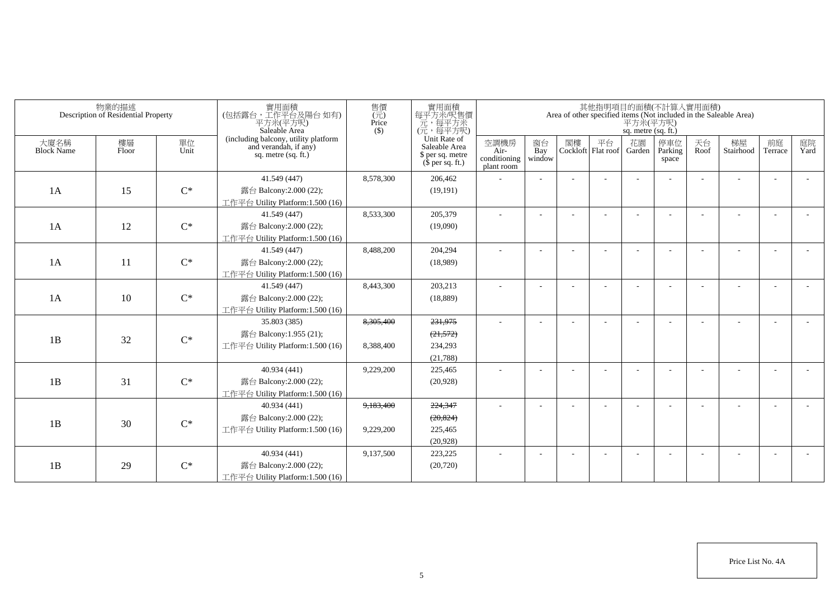|                    | 物業的描述<br>Description of Residential Property |            | 實用面積<br>(包括露台,工作平台及陽台如有)<br>平方米(平方呎)<br>Saleable Area                                | 售價<br>(元)<br>Price<br>$($ \$) | 實用面積<br>每平方米呎售價<br>元,每平方呎)<br>(元,每平方呎)                                |                                            |                          |                             | 平方米(平方呎)<br>sq. metre (sq. ft.) | 其他指明項目的面積(不計算入實用面積)     |            | Area of other specified items (Not included in the Saleable Area) |                          |            |
|--------------------|----------------------------------------------|------------|--------------------------------------------------------------------------------------|-------------------------------|-----------------------------------------------------------------------|--------------------------------------------|--------------------------|-----------------------------|---------------------------------|-------------------------|------------|-------------------------------------------------------------------|--------------------------|------------|
| 大廈名稱<br>Block Name | 樓層<br>Floor                                  | 單位<br>Unit | (including balcony, utility platform<br>and verandah, if any)<br>sq. metre (sq. ft.) |                               | Unit Rate of<br>Saleable Area<br>\$ per sq. metre<br>$$$ per sq. ft.) | 空調機房<br>Air-<br>conditioning<br>plant room | 窗台<br>Bay<br>window      | 閣樓 平台<br>Cockloft Flat roof | 花園<br>Garden                    | 停車位<br>Parking<br>space | 天台<br>Roof | 梯屋<br>Stairhood                                                   | 前庭<br>Terrace            | 庭院<br>Yard |
|                    |                                              |            | 41.549 (447)                                                                         | 8,578,300                     | 206,462                                                               |                                            |                          |                             |                                 |                         |            |                                                                   |                          |            |
| 1A                 | 15                                           | $C^*$      | 露台 Balcony:2.000 (22);                                                               |                               | (19, 191)                                                             |                                            |                          |                             |                                 |                         |            |                                                                   |                          |            |
|                    |                                              |            | 工作平台 Utility Platform: 1.500 (16)                                                    |                               |                                                                       |                                            |                          |                             |                                 |                         |            |                                                                   |                          |            |
|                    |                                              |            | 41.549 (447)                                                                         | 8,533,300                     | 205,379                                                               |                                            |                          |                             |                                 |                         |            |                                                                   |                          |            |
| 1A                 | 12                                           | $C^*$      | 露台 Balcony: 2.000 (22);                                                              |                               | (19,090)                                                              |                                            |                          |                             |                                 |                         |            |                                                                   |                          |            |
|                    |                                              |            | 工作平台 Utility Platform:1.500 (16)                                                     |                               |                                                                       |                                            |                          |                             |                                 |                         |            |                                                                   |                          |            |
|                    |                                              |            | 41.549 (447)                                                                         | 8,488,200                     | 204,294                                                               |                                            |                          |                             |                                 |                         |            |                                                                   |                          |            |
| 1A                 | 11                                           | $C^*$      | 露台 Balcony: 2.000 (22);                                                              |                               | (18,989)                                                              |                                            |                          |                             |                                 |                         |            |                                                                   |                          |            |
|                    |                                              |            | 工作平台 Utility Platform: $1.500(16)$                                                   |                               |                                                                       |                                            |                          |                             |                                 |                         |            |                                                                   |                          |            |
|                    |                                              |            | 41.549 (447)                                                                         | 8,443,300                     | 203,213                                                               |                                            |                          |                             |                                 |                         |            |                                                                   |                          |            |
| 1A                 | 10                                           | $C^*$      | 露台 Balcony: 2.000 (22);                                                              |                               | (18, 889)                                                             |                                            |                          |                             |                                 |                         |            |                                                                   |                          |            |
|                    |                                              |            | 工作平台 Utility Platform: $1.500(16)$                                                   |                               |                                                                       |                                            |                          |                             |                                 |                         |            |                                                                   |                          |            |
|                    |                                              |            | 35.803 (385)                                                                         | 8,305,400                     | 231,975                                                               |                                            |                          |                             |                                 |                         |            |                                                                   |                          |            |
| 1B                 | 32                                           | $C^*$      | 露台 Balcony:1.955 (21);                                                               |                               | (21, 572)                                                             |                                            |                          |                             |                                 |                         |            |                                                                   |                          |            |
|                    |                                              |            | 工作平台 Utility Platform:1.500 (16)                                                     | 8,388,400                     | 234,293                                                               |                                            |                          |                             |                                 |                         |            |                                                                   |                          |            |
|                    |                                              |            | 40.934 (441)                                                                         | 9,229,200                     | (21,788)<br>225,465                                                   |                                            |                          |                             |                                 |                         |            |                                                                   |                          |            |
| 1B                 | 31                                           | $C^*$      | 露台 Balcony:2.000 (22);                                                               |                               | (20, 928)                                                             |                                            |                          |                             |                                 |                         |            |                                                                   |                          |            |
|                    |                                              |            | 工作平台 Utility Platform:1.500 (16)                                                     |                               |                                                                       |                                            |                          |                             |                                 |                         |            |                                                                   |                          |            |
|                    |                                              |            | 40.934 (441)                                                                         | 9,183,400                     | 224,347                                                               |                                            |                          |                             |                                 |                         |            |                                                                   |                          |            |
|                    |                                              |            | 露台 Balcony:2.000 (22);                                                               |                               | (20, 824)                                                             |                                            |                          |                             |                                 |                         |            |                                                                   |                          |            |
| 1B                 | 30                                           | $C^*$      | 工作平台 Utility Platform:1.500 (16)                                                     | 9,229,200                     | 225,465                                                               |                                            |                          |                             |                                 |                         |            |                                                                   |                          |            |
|                    |                                              |            |                                                                                      |                               | (20,928)                                                              |                                            |                          |                             |                                 |                         |            |                                                                   |                          |            |
|                    |                                              |            | 40.934 (441)                                                                         | 9,137,500                     | 223,225                                                               | $\overline{\phantom{a}}$                   | $\overline{\phantom{a}}$ |                             |                                 |                         |            |                                                                   | $\overline{\phantom{a}}$ |            |
| 1B                 | 29                                           | $C^*$      | 露台 Balcony:2.000 (22);                                                               |                               | (20, 720)                                                             |                                            |                          |                             |                                 |                         |            |                                                                   |                          |            |
|                    |                                              |            | 工作平台 Utility Platform:1.500 (16)                                                     |                               |                                                                       |                                            |                          |                             |                                 |                         |            |                                                                   |                          |            |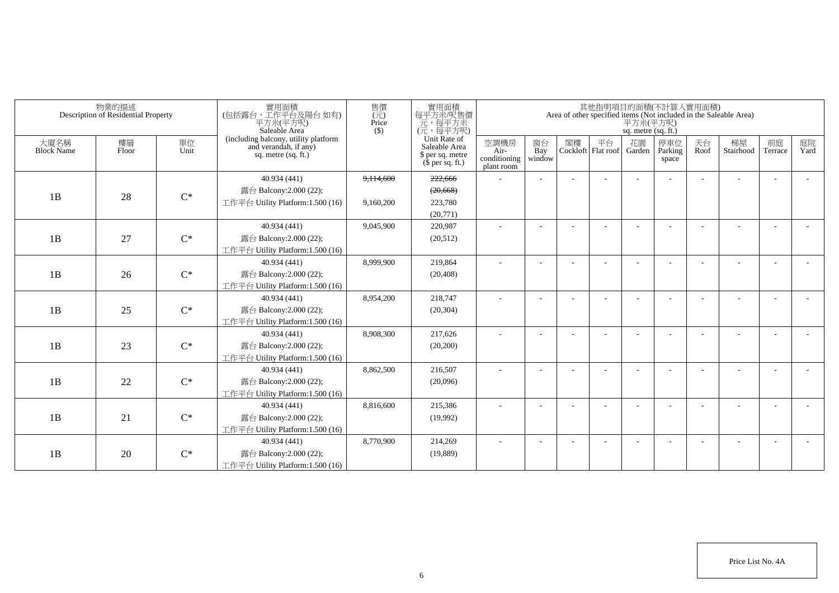|                           | 物業的描述<br>Description of Residential Property |                | 實用面積<br>(包括露台,工作平台及陽台如有)<br>平方米(平方呎)<br>Saleable Area                                | 售價<br>$\overline{(\overline{\pi})}$<br>Price<br>$($ \$) | 實用面積<br>每平方米/呎售價<br>元,每平方米<br>(元,每平方呎)                                |                                            |                     |    |    | 其他指明項目的面積(不計算入實用面積)<br>平方米(平方呎)<br>sq. metre (sq. ft.) |                         |            | Area of other specified items (Not included in the Saleable Area) |                          |            |
|---------------------------|----------------------------------------------|----------------|--------------------------------------------------------------------------------------|---------------------------------------------------------|-----------------------------------------------------------------------|--------------------------------------------|---------------------|----|----|--------------------------------------------------------|-------------------------|------------|-------------------------------------------------------------------|--------------------------|------------|
| 大廈名稱<br><b>Block Name</b> | 樓層<br>Floor                                  | 單位<br>Unit     | (including balcony, utility platform<br>and verandah, if any)<br>sq. metre (sq. ft.) |                                                         | Unit Rate of<br>Saleable Area<br>\$ per sq. metre<br>$$$ per sq. ft.) | 空調機房<br>Air-<br>conditioning<br>plant room | 窗台<br>Bay<br>window | 閣樓 | 平台 | 花園<br>Cockloft Flat roof Garden                        | 停車位<br>Parking<br>space | 天台<br>Roof | 梯屋<br>Stairhood                                                   | 前庭<br>Terrace            | 庭院<br>Yard |
|                           |                                              |                | 40.934 (441)                                                                         | 9,114,600                                               | 222,666                                                               |                                            |                     |    |    |                                                        |                         |            |                                                                   |                          |            |
| 1B                        |                                              | $C^*$          | 露台 Balcony:2.000 (22);                                                               |                                                         | (20,668)                                                              |                                            |                     |    |    |                                                        |                         |            |                                                                   |                          |            |
|                           | 28                                           |                | 工作平台 Utility Platform:1.500 (16)                                                     | 9,160,200                                               | 223,780                                                               |                                            |                     |    |    |                                                        |                         |            |                                                                   |                          |            |
|                           |                                              |                |                                                                                      |                                                         | (20,771)                                                              |                                            |                     |    |    |                                                        |                         |            |                                                                   |                          |            |
|                           |                                              |                | 40.934 (441)                                                                         | 9.045.900                                               | 220.987                                                               | $\overline{\phantom{a}}$                   |                     |    |    |                                                        |                         |            |                                                                   | ÷                        |            |
| 1B                        | 27                                           | $C^*$          | 露台 Balcony: 2.000 (22);                                                              |                                                         | (20,512)                                                              |                                            |                     |    |    |                                                        |                         |            |                                                                   |                          |            |
|                           |                                              |                | 工作平台 Utility Platform:1.500 (16)                                                     |                                                         |                                                                       |                                            |                     |    |    |                                                        |                         |            |                                                                   |                          |            |
|                           |                                              |                | 40.934 (441)                                                                         | 8,999,900                                               | 219,864                                                               | ÷                                          |                     |    |    |                                                        |                         |            |                                                                   |                          |            |
| 1B                        | 26                                           | $C^*$          | 露台 Balcony: 2.000 (22);                                                              |                                                         | (20, 408)                                                             |                                            |                     |    |    |                                                        |                         |            |                                                                   |                          |            |
|                           |                                              |                | 工作平台 Utility Platform:1.500 (16)                                                     |                                                         |                                                                       |                                            |                     |    |    |                                                        |                         |            |                                                                   |                          |            |
|                           |                                              |                | 40.934 (441)                                                                         | 8,954,200                                               | 218,747                                                               | ٠                                          |                     |    |    |                                                        | $\overline{a}$          |            |                                                                   | $\overline{\phantom{a}}$ |            |
| 1B                        | 25                                           | $\mathrm{C}^*$ | 露台 Balcony:2.000 (22);                                                               |                                                         | (20, 304)                                                             |                                            |                     |    |    |                                                        |                         |            |                                                                   |                          |            |
|                           |                                              |                | 工作平台 Utility Platform: 1.500 (16)                                                    |                                                         |                                                                       |                                            |                     |    |    |                                                        |                         |            |                                                                   |                          |            |
|                           |                                              |                | 40.934 (441)                                                                         | 8,908,300                                               | 217,626                                                               | $\overline{a}$                             |                     |    |    |                                                        |                         |            |                                                                   | $\overline{\phantom{a}}$ |            |
| 1B                        | 23                                           | $C^*$          | 露台 Balcony: 2.000 (22);                                                              |                                                         | (20, 200)                                                             |                                            |                     |    |    |                                                        |                         |            |                                                                   |                          |            |
|                           |                                              |                | 工作平台 Utility Platform: 1.500 (16)                                                    |                                                         |                                                                       |                                            |                     |    |    |                                                        |                         |            |                                                                   |                          |            |
|                           |                                              |                | 40.934 (441)                                                                         | 8,862,500                                               | 216,507                                                               | ÷                                          |                     |    |    |                                                        |                         |            |                                                                   |                          |            |
| 1B                        | 22                                           | $C^*$          | 露台 Balcony: 2.000 (22);                                                              |                                                         | (20,096)                                                              |                                            |                     |    |    |                                                        |                         |            |                                                                   |                          |            |
|                           |                                              |                | 工作平台 Utility Platform:1.500 (16)                                                     |                                                         |                                                                       |                                            |                     |    |    |                                                        |                         |            |                                                                   |                          |            |
|                           |                                              |                | 40.934 (441)                                                                         | 8.816.600                                               | 215,386                                                               | $\overline{\phantom{a}}$                   |                     |    |    |                                                        |                         |            |                                                                   |                          |            |
| 1B                        | 21                                           | $C^*$          | 露台 Balcony: 2.000 (22);                                                              |                                                         | (19,992)                                                              |                                            |                     |    |    |                                                        |                         |            |                                                                   |                          |            |
|                           |                                              |                | 工作平台 Utility Platform: 1.500 (16)                                                    |                                                         |                                                                       |                                            |                     |    |    |                                                        |                         |            |                                                                   |                          |            |
|                           |                                              |                | 40.934 (441)                                                                         | 8,770,900                                               | 214,269                                                               | $\overline{\phantom{a}}$                   |                     |    |    |                                                        |                         |            |                                                                   | ٠                        |            |
| 1B                        | 20                                           | $C^*$          | 露台 Balcony:2.000 (22);                                                               |                                                         | (19,889)                                                              |                                            |                     |    |    |                                                        |                         |            |                                                                   |                          |            |
|                           |                                              |                | 工作平台 Utility Platform: 1.500 (16)                                                    |                                                         |                                                                       |                                            |                     |    |    |                                                        |                         |            |                                                                   |                          |            |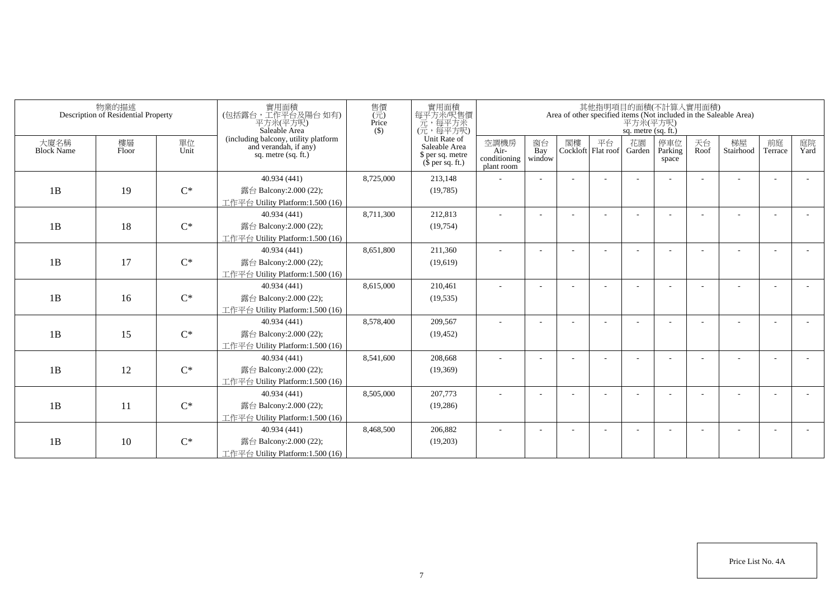|                           | 物業的描述<br>Description of Residential Property |                | 實用面積<br>(包括露台,工作平台及陽台 如有)<br>平方米(平方呎)<br>Saleable Area                                 | 售價<br>(元)<br>Price<br>$($ \$) | 實用面積<br>每平方米/呎售價<br>一元,每平方米<br>(元,每平方呎)                                       |                                            |                          |    |                          | 平方米(平方呎)<br>sq. metre (sq. ft.) | 其他指明項目的面積(不計算入實用面積)     |            | Area of other specified items (Not included in the Saleable Area) |                          |            |
|---------------------------|----------------------------------------------|----------------|----------------------------------------------------------------------------------------|-------------------------------|-------------------------------------------------------------------------------|--------------------------------------------|--------------------------|----|--------------------------|---------------------------------|-------------------------|------------|-------------------------------------------------------------------|--------------------------|------------|
| 大廈名稱<br><b>Block Name</b> | 樓層<br>Floor                                  | 單位<br>Unit     | (including balcony, utility platform<br>and verandah, if any)<br>sq. metre $(sq, ft.)$ |                               | Unit Rate of<br>Saleable Area<br>\$ per sq. metre<br>$(\bar{\S}$ per sq. ft.) | 空調機房<br>Air-<br>conditioning<br>plant room | 窗台<br>Bay<br>window      | 閣樓 | 平台<br>Cockloft Flat roof | 花園<br>Garden                    | 停車位<br>Parking<br>space | 天台<br>Roof | 梯屋<br>Stairhood                                                   | 前庭<br>Terrace            | 庭院<br>Yard |
|                           |                                              |                | 40.934 (441)                                                                           | 8,725,000                     | 213,148                                                                       |                                            |                          |    |                          |                                 |                         |            |                                                                   |                          |            |
| 1B                        | 19                                           | $C^*$          | 露台 Balcony:2.000 (22);                                                                 |                               | (19,785)                                                                      |                                            |                          |    |                          |                                 |                         |            |                                                                   |                          |            |
|                           |                                              |                | 工作平台 Utility Platform:1.500 (16)                                                       |                               |                                                                               |                                            |                          |    |                          |                                 |                         |            |                                                                   |                          |            |
|                           |                                              |                | 40.934 (441)                                                                           | 8,711,300                     | 212,813                                                                       |                                            |                          |    |                          |                                 |                         |            |                                                                   |                          |            |
| 1B                        | 18                                           | $C^*$          | 露台 Balcony:2.000 (22);                                                                 |                               | (19, 754)                                                                     |                                            |                          |    |                          |                                 |                         |            |                                                                   |                          |            |
|                           |                                              |                | 工作平台 Utility Platform:1.500 (16)                                                       |                               |                                                                               |                                            |                          |    |                          |                                 |                         |            |                                                                   |                          |            |
|                           |                                              |                | 40.934 (441)                                                                           | 8,651,800                     | 211,360                                                                       | $\sim$                                     | $\overline{\phantom{a}}$ |    |                          |                                 |                         |            |                                                                   | $\overline{\phantom{a}}$ |            |
| 1B                        | 17                                           | $C^*$          | 露台 Balcony:2.000 (22);                                                                 |                               | (19,619)                                                                      |                                            |                          |    |                          |                                 |                         |            |                                                                   |                          |            |
|                           |                                              |                | 工作平台 Utility Platform:1.500 (16)                                                       |                               |                                                                               |                                            |                          |    |                          |                                 |                         |            |                                                                   |                          |            |
|                           |                                              |                | 40.934 (441)                                                                           | 8,615,000                     | 210,461                                                                       |                                            |                          |    |                          |                                 |                         |            |                                                                   |                          |            |
| 1B                        | 16                                           | $C^*$          | 露台 Balcony:2.000 (22);                                                                 |                               | (19, 535)                                                                     |                                            |                          |    |                          |                                 |                         |            |                                                                   |                          |            |
|                           |                                              |                | 工作平台 Utility Platform:1.500 (16)                                                       |                               |                                                                               |                                            |                          |    |                          |                                 |                         |            |                                                                   |                          |            |
|                           |                                              |                | 40.934 (441)                                                                           | 8,578,400                     | 209,567                                                                       | ä,                                         |                          |    |                          |                                 |                         |            |                                                                   |                          |            |
| 1B                        | 15                                           | $C^*$          | 露台 Balcony: 2.000 (22);                                                                |                               | (19, 452)                                                                     |                                            |                          |    |                          |                                 |                         |            |                                                                   |                          |            |
|                           |                                              |                | 工作平台 Utility Platform: 1.500 (16)<br>40.934 (441)                                      | 8,541,600                     | 208,668                                                                       |                                            |                          |    |                          |                                 |                         |            |                                                                   |                          |            |
| 1B                        | 12                                           | $C^*$          | 露台 Balcony: 2.000 (22);                                                                |                               | (19,369)                                                                      |                                            |                          |    |                          |                                 |                         |            |                                                                   |                          |            |
|                           |                                              |                | 工作平台 Utility Platform: 1.500 (16)                                                      |                               |                                                                               |                                            |                          |    |                          |                                 |                         |            |                                                                   |                          |            |
|                           |                                              |                | 40.934 (441)                                                                           | 8,505,000                     | 207,773                                                                       |                                            |                          |    |                          |                                 |                         |            |                                                                   | $\overline{\phantom{a}}$ |            |
| 1B                        | 11                                           | $C^*$          | 露台 Balcony: 2.000 (22);                                                                |                               | (19,286)                                                                      |                                            |                          |    |                          |                                 |                         |            |                                                                   |                          |            |
|                           |                                              |                | 工作平台 Utility Platform: 1.500 (16)                                                      |                               |                                                                               |                                            |                          |    |                          |                                 |                         |            |                                                                   |                          |            |
|                           |                                              |                | 40.934 (441)                                                                           | 8,468,500                     | 206,882                                                                       |                                            |                          |    |                          |                                 |                         |            |                                                                   |                          |            |
| 1B                        | 10                                           | $\mathrm{C}^*$ | 露台 Balcony: 2.000 (22);                                                                |                               | (19,203)                                                                      |                                            |                          |    |                          |                                 |                         |            |                                                                   |                          |            |
|                           |                                              |                | 工作平台 Utility Platform:1.500 (16)                                                       |                               |                                                                               |                                            |                          |    |                          |                                 |                         |            |                                                                   |                          |            |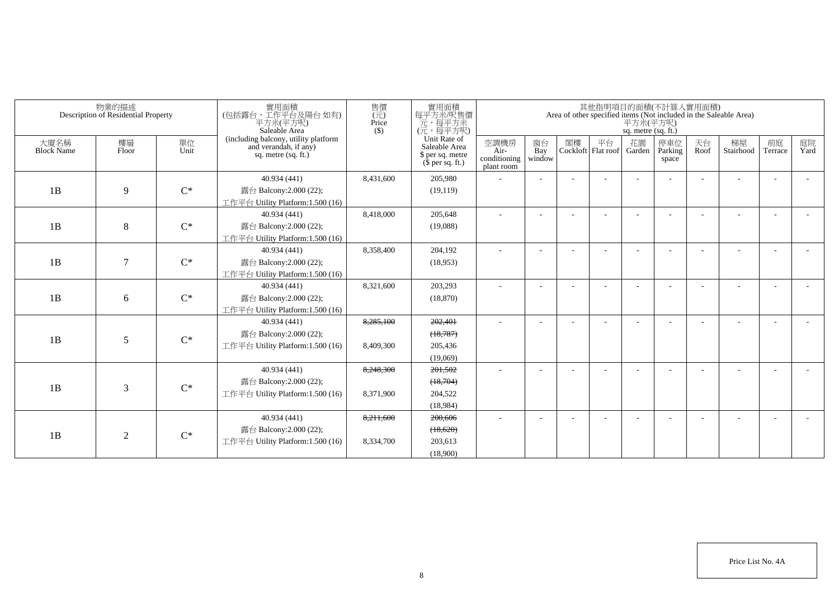|                           | 物業的描述<br>Description of Residential Property |            | 實用面積<br>(包括露台,工作平台及陽台如有)<br>平方米(平方呎)<br>Saleable Area                                  | 售價<br>(元)<br>Price<br>$($ \$) | 實用面積<br>每平方米/呎售價<br>一元,每平方米<br>(元,每平方呎)                                       |                                            |                          |    |                            | 平方米(平方呎)<br>sq. metre (sq. ft.) | 其他指明項目的面積(不計算入實用面積)     |            | Area of other specified items (Not included in the Saleable Area) |                          |            |
|---------------------------|----------------------------------------------|------------|----------------------------------------------------------------------------------------|-------------------------------|-------------------------------------------------------------------------------|--------------------------------------------|--------------------------|----|----------------------------|---------------------------------|-------------------------|------------|-------------------------------------------------------------------|--------------------------|------------|
| 大廈名稱<br><b>Block Name</b> | 樓層<br>Floor                                  | 單位<br>Unit | (including balcony, utility platform<br>and verandah, if any)<br>sq. metre $(sq, ft.)$ |                               | Unit Rate of<br>Saleable Area<br>\$ per sq. metre<br>$(\bar{\S}$ per sq. ft.) | 空調機房<br>Air-<br>conditioning<br>plant room | 窗台<br>Bay<br>window      | 閣樓 | 平台<br>Cockloft   Flat roof | 花園<br>Garden                    | 停車位<br>Parking<br>space | 天台<br>Roof | 梯屋<br>Stairhood                                                   | 前庭<br>Terrace            | 庭院<br>Yard |
|                           |                                              |            | 40.934 (441)                                                                           | 8,431,600                     | 205,980                                                                       |                                            |                          |    |                            |                                 |                         |            |                                                                   |                          |            |
| 1B                        | 9                                            | $C^*$      | 露台 Balcony:2.000 (22);                                                                 |                               | (19, 119)                                                                     |                                            |                          |    |                            |                                 |                         |            |                                                                   |                          |            |
|                           |                                              |            | 工作平台 Utility Platform:1.500 (16)                                                       |                               |                                                                               |                                            |                          |    |                            |                                 |                         |            |                                                                   |                          |            |
|                           |                                              |            | 40.934 (441)                                                                           | 8,418,000                     | 205,648                                                                       |                                            |                          |    |                            |                                 |                         |            |                                                                   |                          |            |
| 1B                        | 8                                            | $C^*$      | 露台 Balcony:2.000 (22);                                                                 |                               | (19,088)                                                                      |                                            |                          |    |                            |                                 |                         |            |                                                                   |                          |            |
|                           |                                              |            | 工作平台 Utility Platform:1.500 (16)                                                       |                               |                                                                               |                                            |                          |    |                            |                                 |                         |            |                                                                   |                          |            |
|                           |                                              |            | 40.934 (441)                                                                           | 8,358,400                     | 204,192                                                                       | $\sim$                                     | $\overline{\phantom{a}}$ |    |                            |                                 |                         |            |                                                                   |                          |            |
| 1B                        | $\tau$                                       | $C^*$      | 露台 Balcony:2.000 (22);                                                                 |                               | (18,953)                                                                      |                                            |                          |    |                            |                                 |                         |            |                                                                   |                          |            |
|                           |                                              |            | 工作平台 Utility Platform: 1.500 (16)                                                      |                               |                                                                               |                                            |                          |    |                            |                                 |                         |            |                                                                   |                          |            |
|                           |                                              | $C^*$      | 40.934 (441)                                                                           | 8,321,600                     | 203,293                                                                       |                                            |                          |    |                            |                                 |                         |            |                                                                   |                          |            |
| 1B                        | 6                                            |            | 露台 Balcony: 2.000 (22);<br>工作平台 Utility Platform:1.500 (16)                            |                               | (18, 870)                                                                     |                                            |                          |    |                            |                                 |                         |            |                                                                   |                          |            |
|                           |                                              |            | 40.934 (441)                                                                           | 8,285,100                     | 202,401                                                                       | ٠                                          |                          |    |                            |                                 |                         |            |                                                                   |                          |            |
|                           |                                              |            | 露台 Balcony: 2.000 (22);                                                                |                               | (18,787)                                                                      |                                            |                          |    |                            |                                 |                         |            |                                                                   |                          |            |
| 1B                        | 5                                            | $C^*$      | 工作平台 Utility Platform: 1.500 (16)                                                      | 8,409,300                     | 205,436                                                                       |                                            |                          |    |                            |                                 |                         |            |                                                                   |                          |            |
|                           |                                              |            |                                                                                        |                               | (19,069)                                                                      |                                            |                          |    |                            |                                 |                         |            |                                                                   |                          |            |
|                           |                                              |            | 40.934 (441)                                                                           | 8.248.300                     | 201,502                                                                       | ٠                                          |                          |    |                            |                                 |                         |            |                                                                   |                          |            |
|                           |                                              |            | 露台 Balcony: 2.000 (22);                                                                |                               | (18,704)                                                                      |                                            |                          |    |                            |                                 |                         |            |                                                                   |                          |            |
| 1B                        | 3                                            | $C^*$      | 工作平台 Utility Platform: 1.500 (16)                                                      | 8,371,900                     | 204,522                                                                       |                                            |                          |    |                            |                                 |                         |            |                                                                   |                          |            |
|                           |                                              |            |                                                                                        |                               | (18,984)                                                                      |                                            |                          |    |                            |                                 |                         |            |                                                                   |                          |            |
|                           |                                              |            | 40.934 (441)                                                                           | 8,211,600                     | 200,606                                                                       | $\overline{\phantom{0}}$                   |                          |    |                            |                                 |                         |            |                                                                   | $\overline{\phantom{a}}$ |            |
| 1B                        | 2                                            | $C^*$      | 露台 Balcony:2.000 (22);                                                                 |                               | (18,620)                                                                      |                                            |                          |    |                            |                                 |                         |            |                                                                   |                          |            |
|                           |                                              |            | 工作平台 Utility Platform:1.500 (16)                                                       | 8.334.700                     | 203.613                                                                       |                                            |                          |    |                            |                                 |                         |            |                                                                   |                          |            |
|                           |                                              |            |                                                                                        |                               | (18.900)                                                                      |                                            |                          |    |                            |                                 |                         |            |                                                                   |                          |            |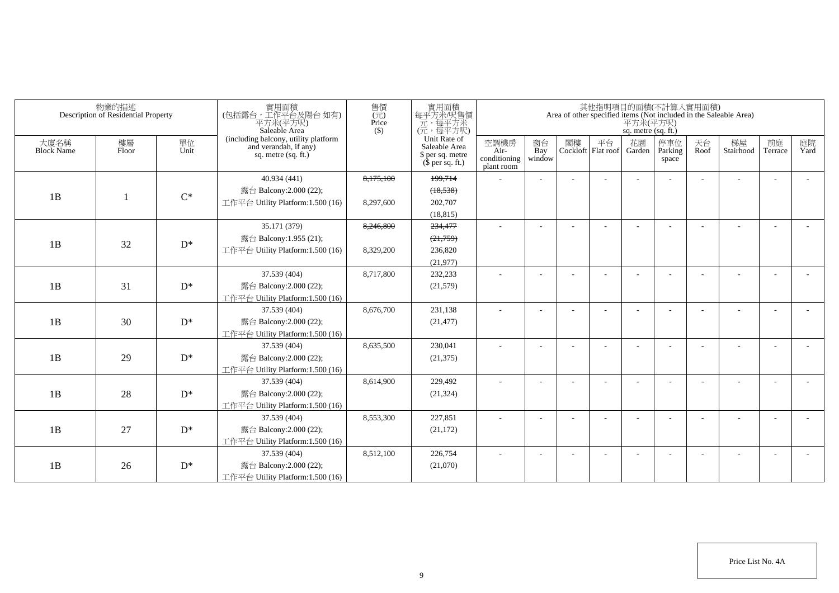|                           | 物業的描述<br>Description of Residential Property |            | 實用面積<br>(包括露台,工作平台及陽台如有)<br>平方米(平方呎)<br>Saleable Area                                  | 售價<br>$\overline{(\overline{\pi})}$<br>Price<br>$($ \$) | ——實用面積<br>每平方米/呎售價<br>元,每平方米<br>(元,每平方呎)                              |                                            |                     |    |                          | sq. metre (sq. ft.) | 其他指明項目的面積(不計算入實用面積)     |            | Area of other specified items (Not included in the Saleable Area)<br>$\overrightarrow{\mathcal{F}}\vec{\mathcal{I}}\mathcal{H}(\overrightarrow{\mathcal{F}}\vec{\mathcal{I}}\overrightarrow{\mathcal{F}})$ |                          |            |
|---------------------------|----------------------------------------------|------------|----------------------------------------------------------------------------------------|---------------------------------------------------------|-----------------------------------------------------------------------|--------------------------------------------|---------------------|----|--------------------------|---------------------|-------------------------|------------|------------------------------------------------------------------------------------------------------------------------------------------------------------------------------------------------------------|--------------------------|------------|
| 大廈名稱<br><b>Block Name</b> | 樓層<br>Floor                                  | 單位<br>Unit | (including balcony, utility platform<br>and verandah, if any)<br>sq. metre $(sq. ft.)$ |                                                         | Unit Rate of<br>Saleable Area<br>\$ per sq. metre<br>$$$ per sq. ft.) | 空調機房<br>Air-<br>conditioning<br>plant room | 窗台<br>Bay<br>window | 閣樓 | 平台<br>Cockloft Flat roof | 花園<br>Garden        | 停車位<br>Parking<br>space | 天台<br>Roof | 梯屋<br>Stairhood                                                                                                                                                                                            | 前庭<br>Terrace            | 庭院<br>Yard |
|                           |                                              |            | 40.934 (441)                                                                           | 8,175,100                                               | 199,714                                                               |                                            |                     |    |                          |                     |                         |            |                                                                                                                                                                                                            |                          |            |
| 1B                        |                                              | $C^*$      | 露台 Balcony: 2.000 (22);                                                                |                                                         | (18, 538)                                                             |                                            |                     |    |                          |                     |                         |            |                                                                                                                                                                                                            |                          |            |
|                           |                                              |            | 工作平台 Utility Platform: 1.500 (16)                                                      | 8,297,600                                               | 202,707                                                               |                                            |                     |    |                          |                     |                         |            |                                                                                                                                                                                                            |                          |            |
|                           |                                              |            |                                                                                        |                                                         | (18, 815)                                                             |                                            |                     |    |                          |                     |                         |            |                                                                                                                                                                                                            |                          |            |
|                           |                                              |            | 35.171 (379)                                                                           | 8,246,800                                               | 234,477                                                               |                                            |                     |    |                          |                     |                         |            |                                                                                                                                                                                                            |                          |            |
| 1B                        | 32                                           | $D^*$      | 露台 Balcony:1.955 (21);                                                                 |                                                         | (21,759)                                                              |                                            |                     |    |                          |                     |                         |            |                                                                                                                                                                                                            |                          |            |
|                           |                                              |            | 工作平台 Utility Platform: 1.500 (16)                                                      | 8,329,200                                               | 236,820                                                               |                                            |                     |    |                          |                     |                         |            |                                                                                                                                                                                                            |                          |            |
|                           |                                              |            |                                                                                        |                                                         | (21,977)                                                              |                                            |                     |    |                          |                     |                         |            |                                                                                                                                                                                                            |                          |            |
|                           |                                              |            | 37.539 (404)                                                                           | 8,717,800                                               | 232,233                                                               | $\sim$                                     |                     |    |                          |                     |                         |            |                                                                                                                                                                                                            | $\sim$                   |            |
| 1B                        | 31                                           | $D^*$      | 露台 Balcony:2.000 (22);                                                                 |                                                         | (21, 579)                                                             |                                            |                     |    |                          |                     |                         |            |                                                                                                                                                                                                            |                          |            |
|                           |                                              |            | 工作平台 Utility Platform: 1.500 (16)                                                      |                                                         |                                                                       |                                            |                     |    |                          |                     |                         |            |                                                                                                                                                                                                            |                          |            |
|                           |                                              |            | 37.539 (404)                                                                           | 8,676,700                                               | 231.138                                                               |                                            |                     |    |                          |                     |                         |            |                                                                                                                                                                                                            | $\sim$                   |            |
| 1B                        | 30                                           | $D^*$      | 露台 Balcony: 2.000 (22);                                                                |                                                         | (21, 477)                                                             |                                            |                     |    |                          |                     |                         |            |                                                                                                                                                                                                            |                          |            |
|                           |                                              |            | 工作平台 Utility Platform:1.500 (16)                                                       |                                                         |                                                                       |                                            |                     |    |                          |                     |                         |            |                                                                                                                                                                                                            |                          |            |
|                           |                                              |            | 37.539 (404)                                                                           | 8,635,500                                               | 230,041                                                               | $\overline{a}$                             |                     |    |                          |                     |                         |            |                                                                                                                                                                                                            | $\overline{\phantom{a}}$ |            |
| 1B                        | 29                                           | $D^*$      | 露台 Balcony: 2.000 (22);                                                                |                                                         | (21, 375)                                                             |                                            |                     |    |                          |                     |                         |            |                                                                                                                                                                                                            |                          |            |
|                           |                                              |            | 工作平台 Utility Platform:1.500 (16)                                                       |                                                         |                                                                       |                                            |                     |    |                          |                     |                         |            |                                                                                                                                                                                                            |                          |            |
|                           |                                              |            | 37.539 (404)                                                                           | 8,614,900                                               | 229,492                                                               | $\overline{\phantom{a}}$                   |                     |    |                          |                     |                         |            |                                                                                                                                                                                                            | ٠                        |            |
| 1B                        | 28                                           | $D^*$      | 露台 Balcony: 2.000 (22);                                                                |                                                         | (21, 324)                                                             |                                            |                     |    |                          |                     |                         |            |                                                                                                                                                                                                            |                          |            |
|                           |                                              |            | 工作平台 Utility Platform: 1.500 (16)                                                      |                                                         |                                                                       |                                            |                     |    |                          |                     |                         |            |                                                                                                                                                                                                            |                          |            |
|                           |                                              |            | 37.539 (404)                                                                           | 8,553,300                                               | 227,851                                                               | $\sim$                                     |                     |    |                          |                     |                         |            |                                                                                                                                                                                                            | $\overline{\phantom{a}}$ |            |
| 1B                        | 27                                           | $D^*$      | 露台 Balcony:2.000 (22);                                                                 |                                                         | (21, 172)                                                             |                                            |                     |    |                          |                     |                         |            |                                                                                                                                                                                                            |                          |            |
|                           |                                              |            | 工作平台 Utility Platform: 1.500 (16)                                                      |                                                         |                                                                       |                                            |                     |    |                          |                     |                         |            |                                                                                                                                                                                                            |                          |            |
|                           |                                              |            | 37.539 (404)                                                                           | 8,512,100                                               | 226,754                                                               | $\sim$                                     |                     |    |                          |                     |                         |            |                                                                                                                                                                                                            | $\overline{\phantom{a}}$ |            |
| 1B                        | 26                                           | $D^*$      | 露台 Balcony:2.000 (22);                                                                 |                                                         | (21,070)                                                              |                                            |                     |    |                          |                     |                         |            |                                                                                                                                                                                                            |                          |            |
|                           |                                              |            | 工作平台 Utility Platform:1.500 (16)                                                       |                                                         |                                                                       |                                            |                     |    |                          |                     |                         |            |                                                                                                                                                                                                            |                          |            |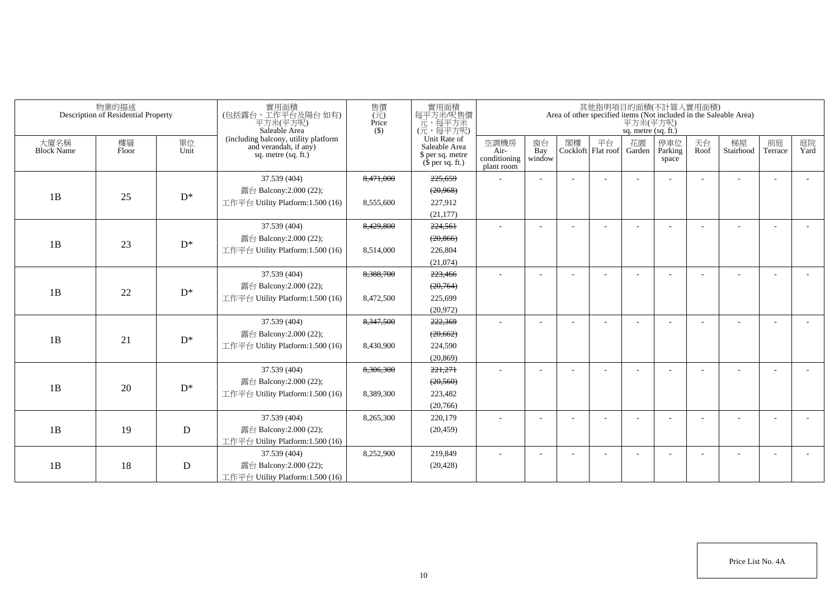|                           | 物業的描述<br>Description of Residential Property |            | 實用面積<br>(包括露台,工作平台及陽台如有)<br>平方米(平方呎)<br>Saleable Area                                | 售價<br>(元)<br>Price<br>(S) | 實用面積<br>每平方米/呎售價<br>元,每平方米<br>(元,每平方呎)                                |                                            |                     |    |                          | sq. metre (sq. ft.) | 其他指明項目的面積(不計算入實用面積)      |            | Area of other specified items (Not included in the Saleable Area)<br>$\overline{ \mathcal{F} \mathcal{I} } \mathcal{H}(\overline{\mathcal{F} \mathcal{I} } \mathcal{F} )$ |                          |                          |
|---------------------------|----------------------------------------------|------------|--------------------------------------------------------------------------------------|---------------------------|-----------------------------------------------------------------------|--------------------------------------------|---------------------|----|--------------------------|---------------------|--------------------------|------------|---------------------------------------------------------------------------------------------------------------------------------------------------------------------------|--------------------------|--------------------------|
| 大廈名稱<br><b>Block Name</b> | 樓層<br>Floor                                  | 單位<br>Unit | (including balcony, utility platform<br>and verandah, if any)<br>sq. metre (sq. ft.) |                           | Unit Rate of<br>Saleable Area<br>\$ per sq. metre<br>$$$ per sq. ft.) | 空調機房<br>Air-<br>conditioning<br>plant room | 窗台<br>Bay<br>window | 閣樓 | 平台<br>Cockloft Flat roof | 花園<br>Garden        | 停車位<br>Parking<br>space  | 天台<br>Roof | 梯屋<br>Stairhood                                                                                                                                                           | 前庭<br>Terrace            | 庭院<br>Yard               |
|                           |                                              |            | 37.539 (404)                                                                         | 8,471,000                 | 225,659                                                               |                                            |                     |    |                          |                     |                          |            |                                                                                                                                                                           |                          |                          |
| 1B                        | 25                                           | $D^*$      | 露台 Balcony:2.000 (22);                                                               |                           | (20, 968)                                                             |                                            |                     |    |                          |                     |                          |            |                                                                                                                                                                           |                          |                          |
|                           |                                              |            | 工作平台 Utility Platform: 1.500 (16)                                                    | 8,555,600                 | 227,912                                                               |                                            |                     |    |                          |                     |                          |            |                                                                                                                                                                           |                          |                          |
|                           |                                              |            |                                                                                      |                           | (21, 177)                                                             |                                            |                     |    |                          |                     |                          |            |                                                                                                                                                                           |                          |                          |
|                           |                                              |            | 37.539 (404)                                                                         | 8,429,800                 | 224,561                                                               |                                            |                     |    |                          |                     |                          |            |                                                                                                                                                                           |                          |                          |
| 1B                        | 23                                           | $D^*$      | 露台 Balcony:2.000 (22);                                                               |                           | (20, 866)                                                             |                                            |                     |    |                          |                     |                          |            |                                                                                                                                                                           |                          |                          |
|                           |                                              |            | 工作平台 Utility Platform:1.500 (16)                                                     | 8,514,000                 | 226,804                                                               |                                            |                     |    |                          |                     |                          |            |                                                                                                                                                                           |                          |                          |
|                           |                                              |            |                                                                                      |                           | (21,074)                                                              |                                            |                     |    |                          |                     |                          |            |                                                                                                                                                                           |                          |                          |
|                           |                                              |            | 37.539 (404)                                                                         | 8,388,700                 | 223,466                                                               | ٠                                          |                     |    |                          |                     |                          |            |                                                                                                                                                                           | $\overline{\phantom{a}}$ | $\overline{\phantom{a}}$ |
| 1B                        | 22                                           | $D^*$      | 露台 Balcony:2.000 (22);                                                               |                           | (20,764)                                                              |                                            |                     |    |                          |                     |                          |            |                                                                                                                                                                           |                          |                          |
|                           |                                              |            | 工作平台 Utility Platform: 1.500 (16)                                                    | 8,472,500                 | 225,699                                                               |                                            |                     |    |                          |                     |                          |            |                                                                                                                                                                           |                          |                          |
|                           |                                              |            |                                                                                      |                           | (20,972)                                                              |                                            |                     |    |                          |                     |                          |            |                                                                                                                                                                           |                          |                          |
|                           |                                              |            | 37.539 (404)                                                                         | 8,347,500                 | 222,369                                                               | $\overline{a}$                             |                     |    |                          |                     |                          |            |                                                                                                                                                                           |                          |                          |
| 1B                        | 21                                           | $D^*$      | 露台 Balcony:2.000 (22);                                                               |                           | (20, 662)                                                             |                                            |                     |    |                          |                     |                          |            |                                                                                                                                                                           |                          |                          |
|                           |                                              |            | 工作平台 Utility Platform: 1.500 (16)                                                    | 8,430,900                 | 224,590                                                               |                                            |                     |    |                          |                     |                          |            |                                                                                                                                                                           |                          |                          |
|                           |                                              |            |                                                                                      |                           | (20, 869)                                                             |                                            |                     |    |                          |                     |                          |            |                                                                                                                                                                           |                          |                          |
|                           |                                              |            | 37.539 (404)                                                                         | 8,306,300                 | 221,271                                                               |                                            |                     |    |                          |                     |                          |            |                                                                                                                                                                           |                          |                          |
| 1B                        | 20                                           | $D^*$      | 露台 Balcony:2.000 (22);                                                               |                           | (20, 560)                                                             |                                            |                     |    |                          |                     |                          |            |                                                                                                                                                                           |                          |                          |
|                           |                                              |            | 工作平台 Utility Platform:1.500 (16)                                                     | 8,389,300                 | 223,482                                                               |                                            |                     |    |                          |                     |                          |            |                                                                                                                                                                           |                          |                          |
|                           |                                              |            |                                                                                      |                           | (20,766)                                                              |                                            |                     |    |                          |                     |                          |            |                                                                                                                                                                           |                          |                          |
|                           |                                              |            | 37.539 (404)                                                                         | 8,265,300                 | 220,179                                                               | ٠                                          |                     |    |                          |                     |                          |            |                                                                                                                                                                           | $\overline{\phantom{a}}$ |                          |
| 1B                        | 19                                           | D          | 露台 Balcony: 2.000 (22);                                                              |                           | (20, 459)                                                             |                                            |                     |    |                          |                     |                          |            |                                                                                                                                                                           |                          |                          |
|                           |                                              |            | 工作平台 Utility Platform:1.500 (16)                                                     |                           |                                                                       |                                            |                     |    |                          |                     |                          |            |                                                                                                                                                                           |                          |                          |
|                           |                                              |            | 37.539 (404)                                                                         | 8,252,900                 | 219,849                                                               | ٠                                          |                     |    |                          |                     | $\overline{\phantom{a}}$ |            |                                                                                                                                                                           | $\overline{\phantom{a}}$ |                          |
| 1B                        | 18                                           | D          | 露台 Balcony: 2.000 (22);                                                              |                           | (20, 428)                                                             |                                            |                     |    |                          |                     |                          |            |                                                                                                                                                                           |                          |                          |
|                           |                                              |            | 工作平台 Utility Platform: 1.500 (16)                                                    |                           |                                                                       |                                            |                     |    |                          |                     |                          |            |                                                                                                                                                                           |                          |                          |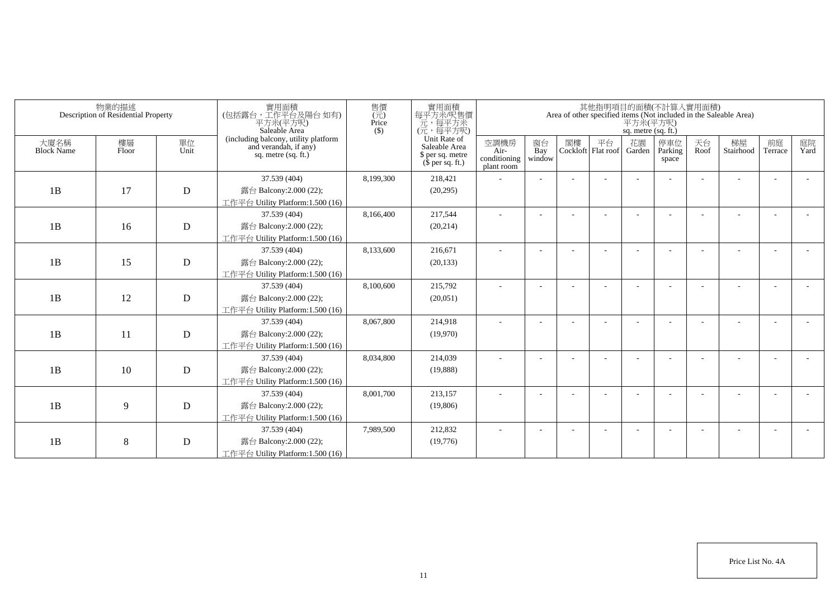| 物業的描述<br>Description of Residential Property |             |             | 實用面積<br>(包括露台,工作平台及陽台 如有)<br>平方米(平方呎)<br>Saleable Area                                 | 售價<br>(元)<br>Price<br>$($ \$) | 實用面積<br>每平方米/呎售價<br>一元,每平方米<br>(元,每平方呎)                               |                                            | 其他指明項目的面積(不計算入實用面積)<br>Area of other specified items (Not included in the Saleable Area)<br>平方米(平方呎)<br>sq. metre (sq. ft.) |    |                          |              |                         |            |                 |               |            |  |
|----------------------------------------------|-------------|-------------|----------------------------------------------------------------------------------------|-------------------------------|-----------------------------------------------------------------------|--------------------------------------------|-----------------------------------------------------------------------------------------------------------------------------|----|--------------------------|--------------|-------------------------|------------|-----------------|---------------|------------|--|
| 大廈名稱<br><b>Block Name</b>                    | 樓層<br>Floor | 單位<br>Unit  | (including balcony, utility platform<br>and verandah, if any)<br>sq. metre $(sq, ft.)$ |                               | Unit Rate of<br>Saleable Area<br>\$ per sq. metre<br>$$$ per sq. ft.) | 空調機房<br>Air-<br>conditioning<br>plant room | 窗台<br>Bay<br>window                                                                                                         | 閣樓 | 平台<br>Cockloft Flat roof | 花園<br>Garden | 停車位<br>Parking<br>space | 天台<br>Roof | 梯屋<br>Stairhood | 前庭<br>Terrace | 庭院<br>Yard |  |
|                                              |             |             | 37.539 (404)                                                                           | 8,199,300                     | 218,421                                                               |                                            |                                                                                                                             |    |                          |              |                         |            |                 |               |            |  |
| 1B                                           | 17          | $\mathbf D$ | 露台 Balcony:2.000 (22);                                                                 |                               | (20, 295)                                                             |                                            |                                                                                                                             |    |                          |              |                         |            |                 |               |            |  |
|                                              |             |             | 工作平台 Utility Platform:1.500 (16)                                                       |                               |                                                                       |                                            |                                                                                                                             |    |                          |              |                         |            |                 |               |            |  |
|                                              |             |             | 37.539 (404)                                                                           | 8,166,400                     | 217,544                                                               |                                            |                                                                                                                             |    |                          |              |                         |            |                 |               |            |  |
| 1B                                           | 16          | D           | 露台 Balcony:2.000 (22);                                                                 |                               | (20, 214)                                                             |                                            |                                                                                                                             |    |                          |              |                         |            |                 |               |            |  |
|                                              |             |             | 工作平台 Utility Platform:1.500 (16)                                                       |                               |                                                                       |                                            |                                                                                                                             |    |                          |              |                         |            |                 |               |            |  |
|                                              |             |             | 37.539 (404)                                                                           | 8,133,600                     | 216,671                                                               | ٠                                          | $\overline{\phantom{a}}$                                                                                                    |    |                          |              |                         |            |                 |               |            |  |
| 1B                                           | 15          | $\mathbf D$ | 露台 Balcony:2.000 (22);                                                                 |                               | (20, 133)                                                             |                                            |                                                                                                                             |    |                          |              |                         |            |                 |               |            |  |
|                                              |             |             | 工作平台 Utility Platform: 1.500 (16)                                                      |                               |                                                                       |                                            |                                                                                                                             |    |                          |              |                         |            |                 |               |            |  |
|                                              |             |             | 37.539 (404)                                                                           | 8,100,600                     | 215,792                                                               |                                            |                                                                                                                             |    |                          |              |                         |            |                 |               |            |  |
| 1B                                           | 12          | D           | 露台 Balcony: 2.000 (22);                                                                |                               | (20,051)                                                              |                                            |                                                                                                                             |    |                          |              |                         |            |                 |               |            |  |
|                                              |             |             | 工作平台 Utility Platform:1.500 (16)                                                       |                               |                                                                       |                                            |                                                                                                                             |    |                          |              |                         |            |                 |               |            |  |
|                                              |             |             | 37.539 (404)                                                                           | 8,067,800                     | 214,918                                                               |                                            |                                                                                                                             |    |                          |              |                         |            |                 |               |            |  |
| 1B                                           | 11          | D           | 露台 Balcony:2.000 (22);                                                                 |                               | (19,970)                                                              |                                            |                                                                                                                             |    |                          |              |                         |            |                 |               |            |  |
|                                              |             |             | 工作平台 Utility Platform: 1.500 (16)                                                      |                               |                                                                       |                                            |                                                                                                                             |    |                          |              |                         |            |                 |               |            |  |
|                                              |             |             | 37.539 (404)                                                                           | 8,034,800                     | 214,039                                                               |                                            |                                                                                                                             |    |                          |              |                         |            |                 |               |            |  |
| 1B                                           | 10          | D           | 露台 Balcony:2.000 (22);                                                                 |                               | (19,888)                                                              |                                            |                                                                                                                             |    |                          |              |                         |            |                 |               |            |  |
|                                              |             |             | 工作平台 Utility Platform:1.500 (16)                                                       |                               |                                                                       |                                            |                                                                                                                             |    |                          |              |                         |            |                 |               |            |  |
|                                              |             |             | 37.539 (404)                                                                           | 8,001,700                     | 213,157                                                               |                                            |                                                                                                                             |    |                          |              |                         |            |                 | ÷,            |            |  |
| 1B                                           | 9           | $\mathbf D$ | 露台 Balcony:2.000 (22);                                                                 |                               | (19,806)                                                              |                                            |                                                                                                                             |    |                          |              |                         |            |                 |               |            |  |
|                                              |             |             | 工作平台 Utility Platform: 1.500 (16)<br>37.539 (404)                                      | 7,989,500                     | 212,832                                                               |                                            |                                                                                                                             |    |                          |              |                         |            |                 |               |            |  |
| 1B                                           | 8           | $\mathbf D$ | 露台 Balcony:2.000 (22);                                                                 |                               | (19,776)                                                              |                                            |                                                                                                                             |    |                          |              |                         |            |                 |               |            |  |
|                                              |             |             | 工作平台 Utility Platform:1.500 (16)                                                       |                               |                                                                       |                                            |                                                                                                                             |    |                          |              |                         |            |                 |               |            |  |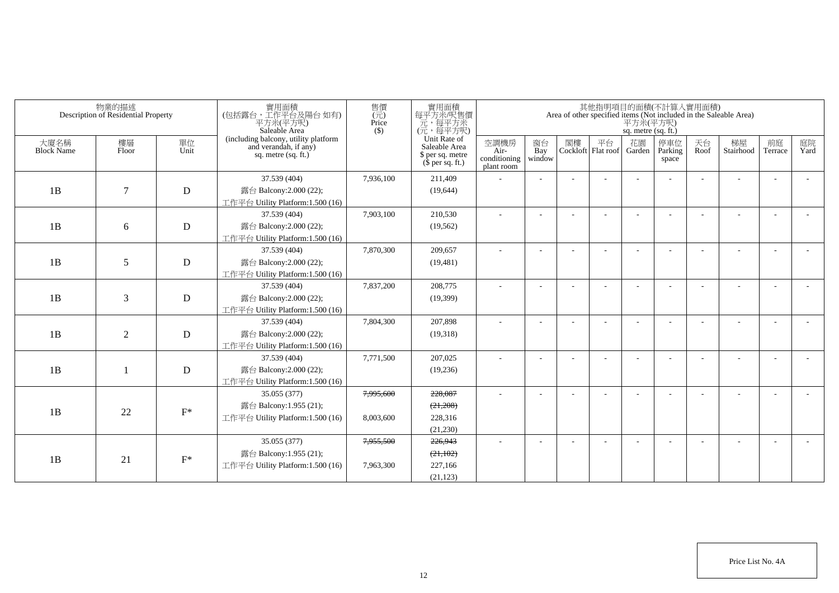| 物業的描述<br>Description of Residential Property |                |                | 實用面積<br>(包括露台,工作平台及陽台如有)<br>平方米(平方呎)<br>Saleable Area | 售價<br>$\overline{(\overline{\pi})}$<br>Price<br>$($ \$)       | 實用面積<br>每平方米/呎售價<br>元,每平方米<br>(元,每平方呎) | 其他指明項目的面積(不計算入實用面積)<br>Area of other specified items (Not included in the Saleable Area)<br>$\overline{P} \overline{f} \dot{\mathcal{H}} (\overline{P} \overline{f} \overline{\mathcal{H}})$<br>sq. metre (sq. ft.) |                          |                                                                       |                                            |                     |    |                          |              |                          |            |                 |               |            |
|----------------------------------------------|----------------|----------------|-------------------------------------------------------|---------------------------------------------------------------|----------------------------------------|---------------------------------------------------------------------------------------------------------------------------------------------------------------------------------------------------------------------|--------------------------|-----------------------------------------------------------------------|--------------------------------------------|---------------------|----|--------------------------|--------------|--------------------------|------------|-----------------|---------------|------------|
| 大廈名稱<br><b>Block Name</b>                    | 樓層<br>Floor    | 單位<br>Unit     | sq. metre (sq. ft.)                                   | (including balcony, utility platform<br>and verandah, if any) |                                        |                                                                                                                                                                                                                     |                          | Unit Rate of<br>Saleable Area<br>\$ per sq. metre<br>$$$ per sq. ft.) | 空調機房<br>Air-<br>conditioning<br>plant room | 窗台<br>Bay<br>window | 閣樓 | 平台<br>Cockloft Flat roof | 花園<br>Garden | 停車位<br>Parking<br>space  | 天台<br>Roof | 梯屋<br>Stairhood | 前庭<br>Terrace | 庭院<br>Yard |
|                                              |                |                | 37.539 (404)                                          | 7,936,100                                                     | 211,409                                |                                                                                                                                                                                                                     |                          |                                                                       |                                            |                     |    |                          |              |                          |            |                 |               |            |
| 1B                                           | $\tau$         | $\mathbf D$    | 露台 Balcony:2.000 (22);                                |                                                               | (19,644)                               |                                                                                                                                                                                                                     |                          |                                                                       |                                            |                     |    |                          |              |                          |            |                 |               |            |
|                                              |                |                | 工作平台 Utility Platform:1.500 (16)                      |                                                               |                                        |                                                                                                                                                                                                                     |                          |                                                                       |                                            |                     |    |                          |              |                          |            |                 |               |            |
|                                              |                |                | 37.539 (404)                                          | 7,903,100                                                     | 210,530                                |                                                                                                                                                                                                                     |                          |                                                                       |                                            |                     |    |                          |              |                          |            |                 |               |            |
| 1B                                           | 6              | D              | 露台 Balcony: $2.000(22)$ ;                             |                                                               | (19, 562)                              |                                                                                                                                                                                                                     |                          |                                                                       |                                            |                     |    |                          |              |                          |            |                 |               |            |
|                                              |                |                | 工作平台 Utility Platform:1.500 (16)                      |                                                               |                                        |                                                                                                                                                                                                                     |                          |                                                                       |                                            |                     |    |                          |              |                          |            |                 |               |            |
| 1B                                           |                |                | 37.539 (404)                                          | 7,870,300                                                     | 209,657                                |                                                                                                                                                                                                                     |                          |                                                                       |                                            |                     |    |                          |              |                          |            |                 |               |            |
|                                              | 5              | ${\bf D}$      | 露台 Balcony: $2.000(22)$ ;                             |                                                               | (19, 481)                              |                                                                                                                                                                                                                     |                          |                                                                       |                                            |                     |    |                          |              |                          |            |                 |               |            |
|                                              |                |                | 工作平台 Utility Platform:1.500 (16)                      |                                                               |                                        |                                                                                                                                                                                                                     |                          |                                                                       |                                            |                     |    |                          |              |                          |            |                 |               |            |
| 1B                                           | 3              | $\mathbf D$    | 37.539 (404)                                          | 7,837,200                                                     | 208,775                                | $\overline{\phantom{a}}$                                                                                                                                                                                            | $\overline{\phantom{a}}$ |                                                                       |                                            |                     |    |                          |              | $\overline{\phantom{a}}$ |            |                 |               |            |
|                                              |                |                | 露台 Balcony:2.000 (22);                                |                                                               | (19,399)                               |                                                                                                                                                                                                                     |                          |                                                                       |                                            |                     |    |                          |              |                          |            |                 |               |            |
|                                              |                |                | 工作平台 Utility Platform: 1.500 (16)                     |                                                               |                                        |                                                                                                                                                                                                                     |                          |                                                                       |                                            |                     |    |                          |              |                          |            |                 |               |            |
|                                              | $\overline{2}$ | ${\rm D}$      | 37.539 (404)                                          | 7,804,300                                                     | 207,898                                |                                                                                                                                                                                                                     | $\overline{\phantom{a}}$ |                                                                       |                                            |                     |    |                          |              |                          |            |                 |               |            |
| 1B                                           |                |                | 露台 Balcony:2.000 (22);                                |                                                               | (19,318)                               |                                                                                                                                                                                                                     |                          |                                                                       |                                            |                     |    |                          |              |                          |            |                 |               |            |
|                                              |                |                | 工作平台 Utility Platform:1.500 (16)                      |                                                               |                                        |                                                                                                                                                                                                                     |                          |                                                                       |                                            |                     |    |                          |              |                          |            |                 |               |            |
|                                              |                | ${\bf D}$      | 37.539 (404)                                          | 7,771,500                                                     | 207,025                                |                                                                                                                                                                                                                     |                          |                                                                       |                                            |                     |    |                          |              |                          |            |                 |               |            |
| 1B                                           |                |                | 露台 Balcony:2.000 (22);                                |                                                               | (19,236)                               |                                                                                                                                                                                                                     |                          |                                                                       |                                            |                     |    |                          |              |                          |            |                 |               |            |
|                                              |                |                | 工作平台 Utility Platform:1.500 (16)                      |                                                               |                                        |                                                                                                                                                                                                                     |                          |                                                                       |                                            |                     |    |                          |              |                          |            |                 |               |            |
|                                              | 22             | $F^*$          | 35.055 (377)                                          | 7,995,600                                                     | 228,087                                |                                                                                                                                                                                                                     | ÷                        |                                                                       |                                            |                     |    |                          |              |                          |            |                 |               |            |
| 1B                                           |                |                | 露台 Balcony:1.955 (21);                                |                                                               | (21,208)                               |                                                                                                                                                                                                                     |                          |                                                                       |                                            |                     |    |                          |              |                          |            |                 |               |            |
|                                              |                |                | 工作平台 Utility Platform: 1.500 (16)                     | 8,003,600                                                     | 228,316                                |                                                                                                                                                                                                                     |                          |                                                                       |                                            |                     |    |                          |              |                          |            |                 |               |            |
|                                              |                |                |                                                       |                                                               | (21,230)                               |                                                                                                                                                                                                                     |                          |                                                                       |                                            |                     |    |                          |              |                          |            |                 |               |            |
|                                              | 21             | $\mathbf{F}^*$ | 35.055 (377)                                          | 7,955,500                                                     | 226,943                                |                                                                                                                                                                                                                     |                          |                                                                       |                                            |                     |    |                          |              |                          |            |                 |               |            |
|                                              |                |                | 露台 Balcony:1.955 (21);                                |                                                               | (21, 102)                              |                                                                                                                                                                                                                     |                          |                                                                       |                                            |                     |    |                          |              |                          |            |                 |               |            |
| 1B                                           |                |                | 工作平台 Utility Platform:1.500 (16)                      | 7,963,300                                                     | 227,166                                |                                                                                                                                                                                                                     |                          |                                                                       |                                            |                     |    |                          |              |                          |            |                 |               |            |
|                                              |                |                |                                                       |                                                               | (21, 123)                              |                                                                                                                                                                                                                     |                          |                                                                       |                                            |                     |    |                          |              |                          |            |                 |               |            |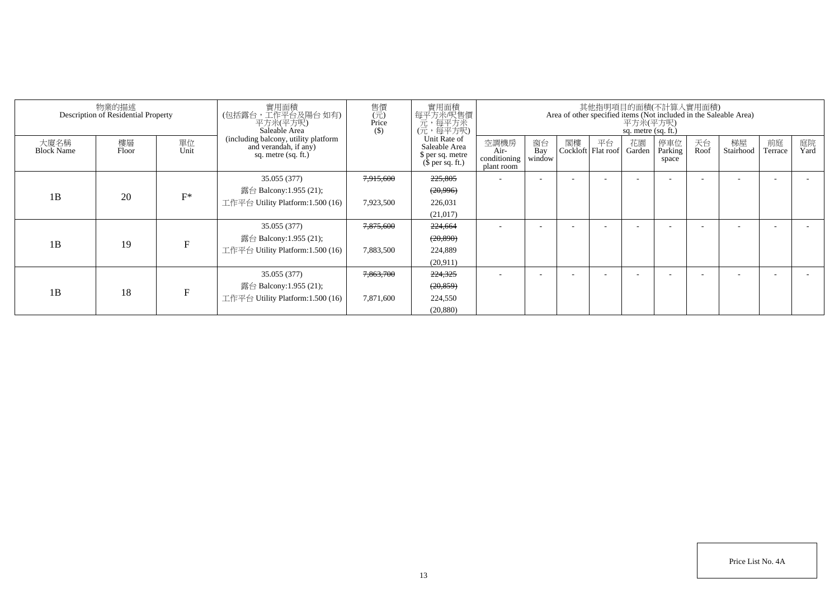| 物業的描述<br>Description of Residential Property |             |              | 實用面積<br>(包括露台,工作平台及陽台 如有)<br>平方米(平方呎)<br>Saleable Area                               | 售價<br>$\overline{(\overline{\pi})}$<br>Price<br>$($)$ | 實用面積<br>每平方米/呎售價<br>元,每平方米<br>(元,每平方呎)                                | 其他指明項目的面積(不計算入實用面積)<br>Area of other specified items (Not included in the Saleable Area)<br>平方米(平方呎)<br>sq. metre (sq. ft.) |                     |                          |    |              |                          |            |                 |                      |            |
|----------------------------------------------|-------------|--------------|--------------------------------------------------------------------------------------|-------------------------------------------------------|-----------------------------------------------------------------------|-----------------------------------------------------------------------------------------------------------------------------|---------------------|--------------------------|----|--------------|--------------------------|------------|-----------------|----------------------|------------|
| 大廈名稱<br><b>Block Name</b>                    | 樓層<br>Floor | 單位<br>Unit   | (including balcony, utility platform<br>and verandah, if any)<br>sq. metre (sq. ft.) |                                                       | Unit Rate of<br>Saleable Area<br>\$ per sq. metre<br>$$$ per sq. ft.) | 空調機房<br>Air-<br>conditioning<br>plant room                                                                                  | 窗台<br>Bay<br>window | 閣樓<br>Cockloft Flat roof | 平台 | 花園<br>Garden | 停車位<br>Parking<br>space  | 天台<br>Roof | 梯屋<br>Stairhood | 前庭<br><b>Ferrace</b> | 庭院<br>Yard |
|                                              |             |              | 35.055 (377)                                                                         | 7,915,600                                             | 225,805                                                               | $\overline{\phantom{a}}$                                                                                                    | ۰                   | $\overline{\phantom{a}}$ |    |              | $\overline{\phantom{a}}$ |            |                 |                      |            |
| 1B                                           | 20          | $F^*$        | 露台 Balcony:1.955 (21);                                                               |                                                       | (20, 996)                                                             |                                                                                                                             |                     |                          |    |              |                          |            |                 |                      |            |
|                                              |             |              | 工作平台 Utility Platform:1.500 (16)                                                     | 7,923,500                                             | 226,031                                                               |                                                                                                                             |                     |                          |    |              |                          |            |                 |                      |            |
|                                              |             |              |                                                                                      |                                                       | (21, 017)                                                             |                                                                                                                             |                     |                          |    |              |                          |            |                 |                      |            |
|                                              | 19          | F            | 35.055 (377)                                                                         | 7,875,600                                             | 224,664                                                               |                                                                                                                             |                     |                          |    |              |                          |            |                 |                      |            |
| 1B                                           |             |              | 露台 Balcony:1.955 (21);                                                               |                                                       | (20, 890)                                                             |                                                                                                                             |                     |                          |    |              |                          |            |                 |                      |            |
|                                              |             |              | 工作平台 Utility Platform:1.500 (16)                                                     | 7,883,500                                             | 224,889                                                               |                                                                                                                             |                     |                          |    |              |                          |            |                 |                      |            |
|                                              |             |              |                                                                                      |                                                       | (20.911)                                                              |                                                                                                                             |                     |                          |    |              |                          |            |                 |                      |            |
| 1B                                           | 18          | $\mathbf{E}$ | 35.055 (377)                                                                         | 7,863,700                                             | 224,325                                                               |                                                                                                                             |                     |                          |    |              |                          |            |                 |                      |            |
|                                              |             |              | 露台 Balcony:1.955 (21);                                                               |                                                       | (20, 859)                                                             |                                                                                                                             |                     |                          |    |              |                          |            |                 |                      |            |
|                                              |             |              | 工作平台 Utility Platform:1.500 (16)                                                     | 7,871,600                                             | 224,550                                                               |                                                                                                                             |                     |                          |    |              |                          |            |                 |                      |            |
|                                              |             |              |                                                                                      |                                                       | (20, 880)                                                             |                                                                                                                             |                     |                          |    |              |                          |            |                 |                      |            |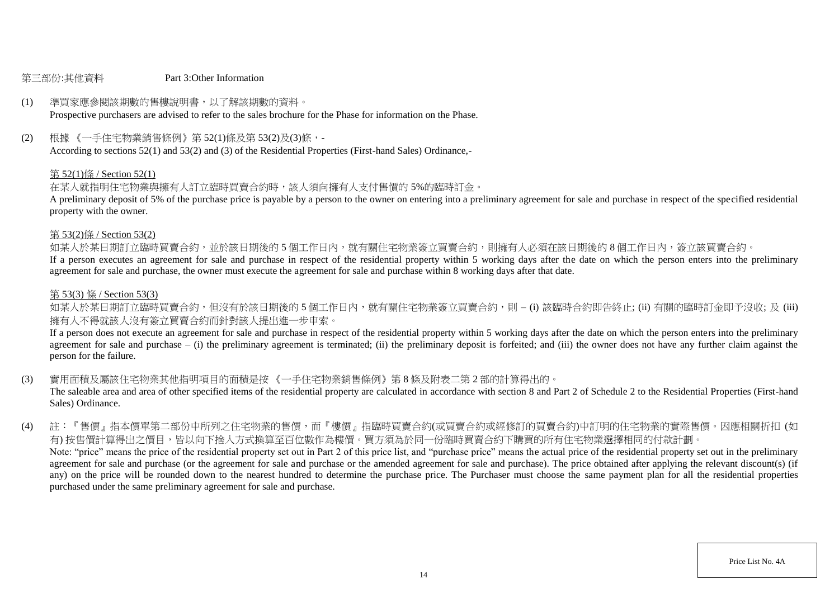#### 第三部份:其他資料 Part 3:Other Information

# (1) 準買家應參閱該期數的售樓說明書,以了解該期數的資料。

Prospective purchasers are advised to refer to the sales brochure for the Phase for information on the Phase.

(2) 根據 《一手住宅物業銷售條例》第 52(1)條及第 53(2)及(3)條,-

According to sections 52(1) and 53(2) and (3) of the Residential Properties (First-hand Sales) Ordinance,-

#### 第 52(1)條 / Section 52(1)

在某人就指明住宅物業與擁有人訂立臨時買賣合約時,該人須向擁有人支付售價的 5%的臨時訂金。

A preliminary deposit of 5% of the purchase price is payable by a person to the owner on entering into a preliminary agreement for sale and purchase in respect of the specified residential property with the owner.

#### 第 53(2)條 / Section 53(2)

如某人於某日期訂立臨時買賣合約,並於該日期後的5個工作日內,就有關住宅物業簽立買賣合約,則擁有人必須在該日期後的8個工作日內,簽立該買賣合約。

If a person executes an agreement for sale and purchase in respect of the residential property within 5 working days after the date on which the person enters into the preliminary agreement for sale and purchase, the owner must execute the agreement for sale and purchase within 8 working days after that date.

#### 第 53(3) 條 / Section 53(3)

如某人於某日期訂立臨時買賣合約,但沒有於該日期後的 5 個工作日内,就有關住宅物業簽立買賣合約,則 – (i) 該臨時合約即告終止; (ii) 有關的臨時訂金即予沒收; 及 (iii) 擁有人不得就該人沒有簽立買賣合約而針對該人提出進一步申索。

If a person does not execute an agreement for sale and purchase in respect of the residential property within 5 working days after the date on which the person enters into the preliminary agreement for sale and purchase  $-$  (i) the preliminary agreement is terminated; (ii) the preliminary deposit is forfeited; and (iii) the owner does not have any further claim against the person for the failure.

(3) 實用面積及屬該住宅物業其他指明項目的面積是按 《一手住宅物業銷售條例》第 8 條及附表二第 2 部的計算得出的。

The saleable area and area of other specified items of the residential property are calculated in accordance with section 8 and Part 2 of Schedule 2 to the Residential Properties (First-hand Sales) Ordinance.

(4) 註:『售價』指本價單第二部份中所列之住宅物業的售價,而『樓價』指臨時買賣合約(或買賣合約或經修訂的買賣合約)中訂明的住宅物業的實際售價。因應相關折扣 (如 有) 按售價計算得出之價目,皆以向下捨入方式換算至百位數作為樓價。買方須為於同一份臨時買賣合約下購買的所有住宅物業選擇相同的付款計劃。 Note: "price" means the price of the residential property set out in Part 2 of this price list, and "purchase price" means the actual price of the residential property set out in the preliminary agreement for sale and purchase (or the agreement for sale and purchase or the amended agreement for sale and purchase). The price obtained after applying the relevant discount(s) (if any) on the price will be rounded down to the nearest hundred to determine the purchase price. The Purchaser must choose the same payment plan for all the residential properties purchased under the same preliminary agreement for sale and purchase.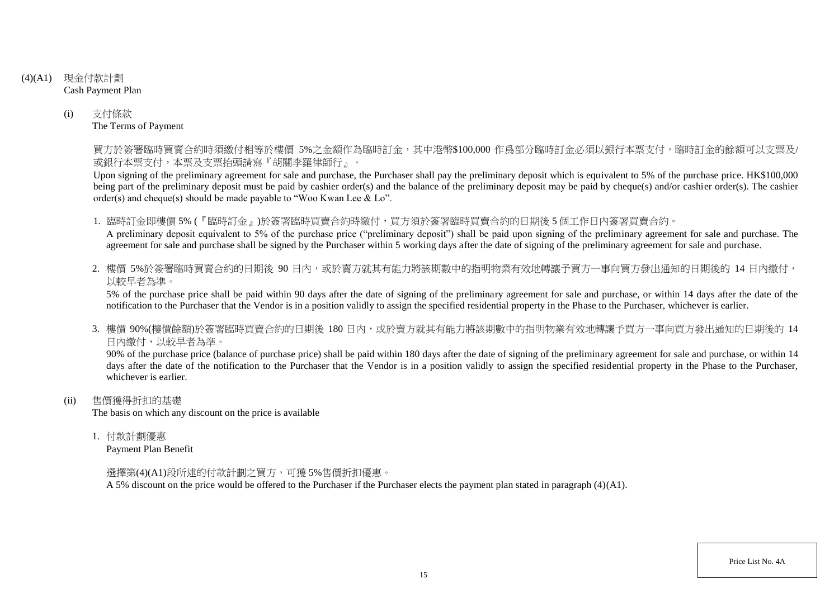- (4)(A1) 現金付款計劃 Cash Payment Plan
	- (i) 支付條款 The Terms of Payment

買方於簽署臨時買賣合約時須繳付相等於樓價 5%之金額作為臨時訂金,其中港幣\$100,000 作爲部分臨時訂金必須以銀行本票支付,臨時訂金的餘額可以支票及/ 或銀行本票支付,本票及支票抬頭請寫『胡關李羅律師行』。

Upon signing of the preliminary agreement for sale and purchase, the Purchaser shall pay the preliminary deposit which is equivalent to 5% of the purchase price. HK\$100,000 being part of the preliminary deposit must be paid by cashier order(s) and the balance of the preliminary deposit may be paid by cheque(s) and/or cashier order(s). The cashier order(s) and cheque(s) should be made payable to "Woo Kwan Lee & Lo".

1. 臨時訂金即樓價 5% (『臨時訂金』)於簽署臨時買賣合約時繳付,買方須於簽署臨時買賣合約的日期後 5 個工作日內簽署買賣合約。

A preliminary deposit equivalent to 5% of the purchase price ("preliminary deposit") shall be paid upon signing of the preliminary agreement for sale and purchase. The agreement for sale and purchase shall be signed by the Purchaser within 5 working days after the date of signing of the preliminary agreement for sale and purchase.

2. 樓價 5%於簽署臨時買賣合約的日期後 90 日内,或於賣方就其有能力將該期數中的指明物業有效地轉讓予買方一事向買方發出通知的日期後的 14 日內繳付, 以較早者為準。

5% of the purchase price shall be paid within 90 days after the date of signing of the preliminary agreement for sale and purchase, or within 14 days after the date of the notification to the Purchaser that the Vendor is in a position validly to assign the specified residential property in the Phase to the Purchaser, whichever is earlier.

3. 樓價 90%(樓價餘額)於簽署臨時買賣合約的日期後 180 日内,或於賣方就其有能力將該期數中的指明物業有效地轉讓予買方一事向買方發出涌知的日期後的 14 日內繳付,以較早者為準。

90% of the purchase price (balance of purchase price) shall be paid within 180 days after the date of signing of the preliminary agreement for sale and purchase, or within 14 days after the date of the notification to the Purchaser that the Vendor is in a position validly to assign the specified residential property in the Phase to the Purchaser. whichever is earlier.

(ii) 售價獲得折扣的基礎

The basis on which any discount on the price is available

1. 付款計劃優惠

Payment Plan Benefit

選擇第(4)(A1)段所述的付款計劃之買方,可獲 5%售價折扣優惠。

A 5% discount on the price would be offered to the Purchaser if the Purchaser elects the payment plan stated in paragraph (4)(A1).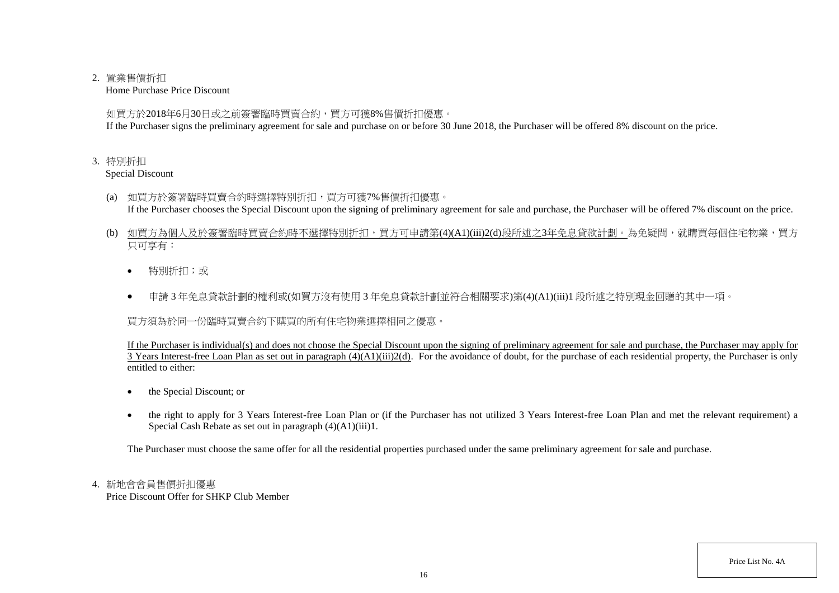## 2. 置業售價折扣

Home Purchase Price Discount

如買方於2018年6月30日或之前簽署臨時買賣合約,買方可獲8%售價折扣優惠。

If the Purchaser signs the preliminary agreement for sale and purchase on or before 30 June 2018, the Purchaser will be offered 8% discount on the price.

## 3. 特別折扣

Special Discount

- (a) 如買方於簽署臨時買賣合約時選擇特別折扣,買方可獲7%售價折扣優惠。 If the Purchaser chooses the Special Discount upon the signing of preliminary agreement for sale and purchase, the Purchaser will be offered 7% discount on the price.
- (b) 如買方為個人及於簽署臨時買賣合約時不選擇特別折扣,買方可申請第(4)(A1)(iii)2(d)段所述之3年免息貸款計劃。為免疑問,就購買每個住宅物業,買方 只可享有:
	- 特別折扣;或
	- 申請 3 年免息貸款計劃的權利或(如買方沒有使用 3 年免息貸款計劃並符合相關要求)第(4)(A1)(iii)1 段所述之特別現金回贈的其中一項。

買方須為於同一份臨時買賣合約下購買的所有住宅物業選擇相同之優惠。

If the Purchaser is individual(s) and does not choose the Special Discount upon the signing of preliminary agreement for sale and purchase, the Purchaser may apply for 3 Years Interest-free Loan Plan as set out in paragraph (4)(A1)(iii)2(d). For the avoidance of doubt, for the purchase of each residential property, the Purchaser is only entitled to either:

- the Special Discount; or
- the right to apply for 3 Years Interest-free Loan Plan or (if the Purchaser has not utilized 3 Years Interest-free Loan Plan and met the relevant requirement) a Special Cash Rebate as set out in paragraph (4)(A1)(iii)1.

The Purchaser must choose the same offer for all the residential properties purchased under the same preliminary agreement for sale and purchase.

# 4. 新地會會員售價折扣優惠

Price Discount Offer for SHKP Club Member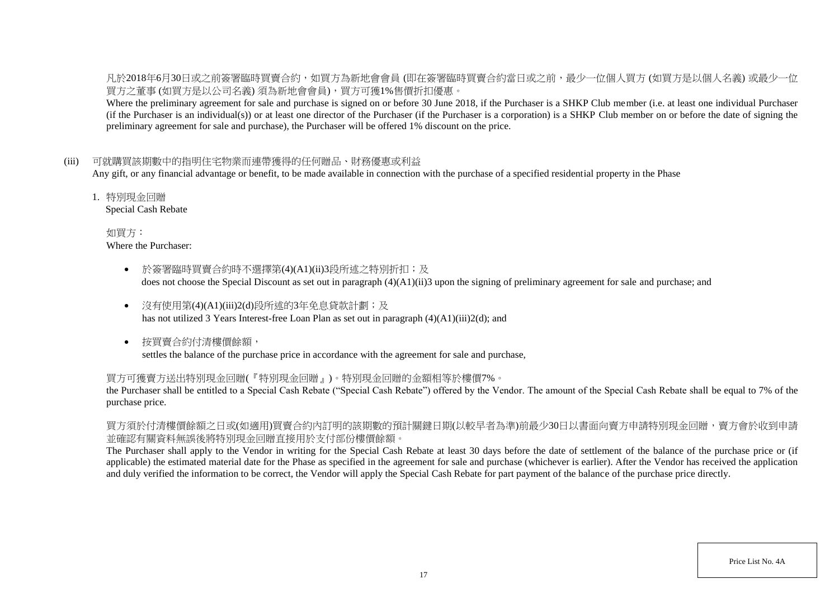凡於2018年6月30日或之前簽署臨時買賣合約,如買方為新地會會員 (即在簽署臨時買賣合約當日或之前,最少一位個人買方 (如買方是以個人名義) 或最少一位 買方之董事 (如買方是以公司名義) 須為新地會會員),買方可獲1%售價折扣優惠。

Where the preliminary agreement for sale and purchase is signed on or before 30 June 2018, if the Purchaser is a SHKP Club member (i.e. at least one individual Purchaser (if the Purchaser is an individual(s)) or at least one director of the Purchaser (if the Purchaser is a corporation) is a SHKP Club member on or before the date of signing the preliminary agreement for sale and purchase), the Purchaser will be offered 1% discount on the price.

## (iii) 可就購買該期數中的指明住宅物業而連帶獲得的任何贈品、財務優惠或利益

Any gift, or any financial advantage or benefit, to be made available in connection with the purchase of a specified residential property in the Phase

1. 特別現金回贈

Special Cash Rebate

如買方: Where the Purchaser:

- 於簽署臨時買賣合約時不選擇第(4)(A1)(ii)3段所述之特別折扣;及 does not choose the Special Discount as set out in paragraph (4)(A1)(ii)3 upon the signing of preliminary agreement for sale and purchase; and
- 沒有使用第(4)(A1)(iii)2(d)段所述的3年免息貸款計劃;及 has not utilized 3 Years Interest-free Loan Plan as set out in paragraph (4)(A1)(iii)2(d); and
- 按買賣合約付清樓價餘額, settles the balance of the purchase price in accordance with the agreement for sale and purchase,

#### 買方可獲賣方送出特別現金回贈(『特別現金回贈』)。特別現金回贈的金額相等於樓價7%。

the Purchaser shall be entitled to a Special Cash Rebate ("Special Cash Rebate") offered by the Vendor. The amount of the Special Cash Rebate shall be equal to 7% of the purchase price.

買方須於付清樓價餘額之日或(如適用)買賣合約內訂明的該期數的預計關鍵日期(以較早者為準)前最少30日以書面向賣方申請特別現金回贈,賣方會於收到申請 並確認有關資料無誤後將特別現金回贈直接用於支付部份樓價餘額。

The Purchaser shall apply to the Vendor in writing for the Special Cash Rebate at least 30 days before the date of settlement of the balance of the purchase price or (if applicable) the estimated material date for the Phase as specified in the agreement for sale and purchase (whichever is earlier). After the Vendor has received the application and duly verified the information to be correct, the Vendor will apply the Special Cash Rebate for part payment of the balance of the purchase price directly.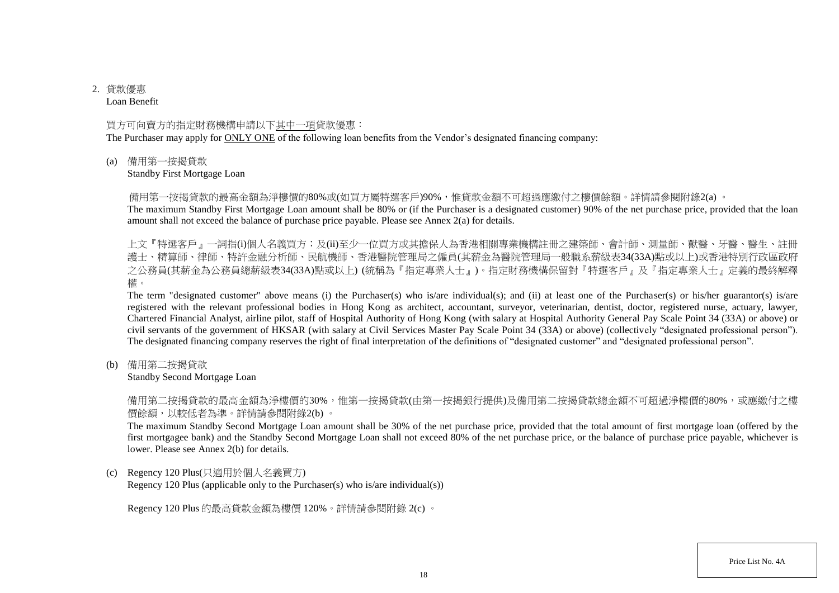# 2. 貸款優惠

Loan Benefit

## 買方可向賣方的指定財務機構申請以下其中一項貸款優惠:

The Purchaser may apply for ONLY ONE of the following loan benefits from the Vendor's designated financing company:

(a) 備用第一按揭貸款

Standby First Mortgage Loan

備用第一按揭貸款的最高金額為淨樓價的80%或(如買方屬特選客戶)90%,惟貸款金額不可超過應繳付之樓價餘額。詳情請參閱附錄2(a) 。

The maximum Standby First Mortgage Loan amount shall be 80% or (if the Purchaser is a designated customer) 90% of the net purchase price, provided that the loan amount shall not exceed the balance of purchase price payable. Please see Annex 2(a) for details.

上文『特選客戶』一詞指(i)個人名義買方;及(ii)至少一位買方或其擔保人為香港相關專業機構註冊之建築師、會計師、測量師、獸醫、牙醫、醫生、註冊 護士、精算師、律師、特許金融分析師、民航機師、香港醫院管理局之僱員(其薪金為醫院管理局一般職系薪級表34(33A)點或以上)或香港特別行政區政府 之公務員(其薪金為公務員總薪級表34(33A)點或以上) (統稱為『指定專業人士』)。指定財務機構保留對『特選客戶』及『指定專業人士』定義的最終解釋 權。

The term "designated customer" above means (i) the Purchaser(s) who is/are individual(s); and (ii) at least one of the Purchaser(s) or his/her guarantor(s) is/are registered with the relevant professional bodies in Hong Kong as architect, accountant, surveyor, veterinarian, dentist, doctor, registered nurse, actuary, lawyer, Chartered Financial Analyst, airline pilot, staff of Hospital Authority of Hong Kong (with salary at Hospital Authority General Pay Scale Point 34 (33A) or above) or civil servants of the government of HKSAR (with salary at Civil Services Master Pay Scale Point 34 (33A) or above) (collectively "designated professional person"). The designated financing company reserves the right of final interpretation of the definitions of "designated customer" and "designated professional person".

(b) 備用第二按揭貸款

Standby Second Mortgage Loan

備用第二按揭貸款的最高金額為淨樓價的30%,惟第一按揭貸款(由第一按揭銀行提供)及備用第二按揭貸款總金額不可超過淨樓價的80%,或應繳付之樓 價餘額,以較低者為準。詳情請參閱附錄2(b) 。

The maximum Standby Second Mortgage Loan amount shall be 30% of the net purchase price, provided that the total amount of first mortgage loan (offered by the first mortgagee bank) and the Standby Second Mortgage Loan shall not exceed 80% of the net purchase price, or the balance of purchase price payable, whichever is lower. Please see Annex 2(b) for details.

(c) Regency 120 Plus(只適用於個人名義買方)

Regency 120 Plus (applicable only to the Purchaser(s) who is/are individual(s))

Regency 120 Plus 的最高貸款金額為樓價 120%。詳情請參閱附錄 2(c) 。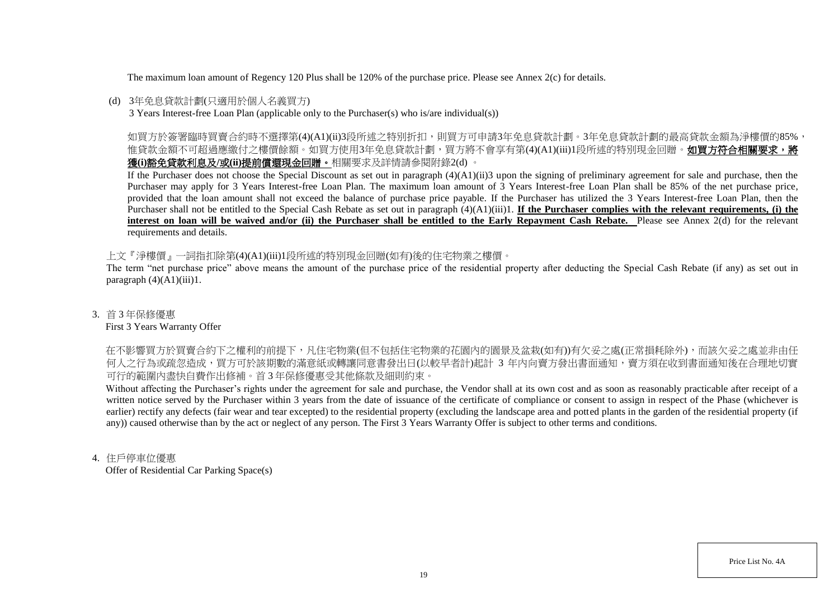The maximum loan amount of Regency 120 Plus shall be 120% of the purchase price. Please see Annex 2(c) for details.

## (d) 3年免息貸款計劃(只適用於個人名義買方)

3 Years Interest-free Loan Plan (applicable only to the Purchaser(s) who is/are individual(s))

如買方於簽署臨時買賣合約時不選擇第(4)(A1)(ii)3段所述之特別折扣,則買方可申請3年免息貸款計劃。3年免息貸款計劃的最高貸款金額為淨樓價的85%, 惟貸款金額不可超過應繳付之樓價餘額。如買方使用3年免息貸款計劃,買方將不會享有第(4)(A1)(iii)1段所述的特別現金回贈。如買方符合相關要求,將 獲**(i)**豁免貸款利息及**/**或**(ii)**提前償還現金回贈。相關要求及詳情請參閱附錄2(d) 。

If the Purchaser does not choose the Special Discount as set out in paragraph (4)(A1)(ii)3 upon the signing of preliminary agreement for sale and purchase, then the Purchaser may apply for 3 Years Interest-free Loan Plan. The maximum loan amount of 3 Years Interest-free Loan Plan shall be 85% of the net purchase price, provided that the loan amount shall not exceed the balance of purchase price payable. If the Purchaser has utilized the 3 Years Interest-free Loan Plan, then the Purchaser shall not be entitled to the Special Cash Rebate as set out in paragraph (4)(A1)(iii)1. **If the Purchaser complies with the relevant requirements, (i) the** interest on loan will be waived and/or (ii) the Purchaser shall be entitled to the Early Repayment Cash Rebate. Please see Annex 2(d) for the relevant requirements and details.

上文『淨樓價』一詞指扣除第(4)(A1)(iii)1段所述的特別現金回贈(如有)後的住宅物業之樓價。

The term "net purchase price" above means the amount of the purchase price of the residential property after deducting the Special Cash Rebate (if any) as set out in paragraph  $(4)(A1)(iii)1$ .

## 3. 首 3 年保修優惠

#### First 3 Years Warranty Offer

在不影響買方於買賣合約下之權利的前提下,凡住宅物業(但不包括住宅物業的花園内的園景及盆栽(如有))有欠妥之處(正常損耗除外),而該欠妥之處並非由任 何人之行為或疏忽造成,買方可於該期數的滿意紙或轉讓同意書發出日(以較早者計)起計 3 年内向賣方發出書面通知,賣方須在收到書面通知後在合理地切實 可行的範圍內盡快自費作出修補。首 3 年保修優惠受其他條款及細則約束。

Without affecting the Purchaser's rights under the agreement for sale and purchase, the Vendor shall at its own cost and as soon as reasonably practicable after receipt of a written notice served by the Purchaser within 3 years from the date of issuance of the certificate of compliance or consent to assign in respect of the Phase (whichever is earlier) rectify any defects (fair wear and tear excepted) to the residential property (excluding the landscape area and potted plants in the garden of the residential property (if any)) caused otherwise than by the act or neglect of any person. The First 3 Years Warranty Offer is subject to other terms and conditions.

## 4. 住戶停車位優惠

Offer of Residential Car Parking Space(s)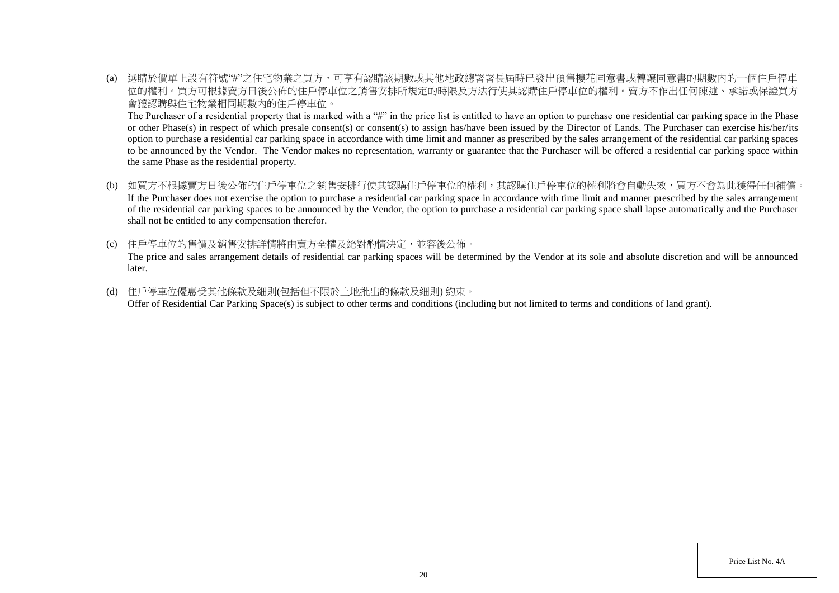(a) 選購於價單上設有符號"#"之住宅物業之買方,可享有認購該期數或其他地政總署署長屆時已發出預售樓花同意書或轉讓同意書的期數內的一個住戶停車 位的權利。買方可根據賣方日後公佈的住戶停車位之銷售安排所規定的時限及方法行使其認購住戶停車位的權利。賣方不作出任何陳述、承諾或保證買方 會獲認購與住宅物業相同期數內的住戶停車位。

The Purchaser of a residential property that is marked with a "#" in the price list is entitled to have an option to purchase one residential car parking space in the Phase or other Phase(s) in respect of which presale consent(s) or consent(s) to assign has/have been issued by the Director of Lands. The Purchaser can exercise his/her/its option to purchase a residential car parking space in accordance with time limit and manner as prescribed by the sales arrangement of the residential car parking spaces to be announced by the Vendor. The Vendor makes no representation, warranty or guarantee that the Purchaser will be offered a residential car parking space within the same Phase as the residential property.

- (b) 如買方不根據賣方日後公佈的住戶停車位之銷售安排行使其認購住戶停車位的權利,其認購住戶停車位的權利將會自動失效,買方不會為此獲得任何補償。 If the Purchaser does not exercise the option to purchase a residential car parking space in accordance with time limit and manner prescribed by the sales arrangement of the residential car parking spaces to be announced by the Vendor, the option to purchase a residential car parking space shall lapse automatically and the Purchaser shall not be entitled to any compensation therefor.
- (c) 住戶停車位的售價及銷售安排詳情將由賣方全權及絕對酌情決定,並容後公佈。 The price and sales arrangement details of residential car parking spaces will be determined by the Vendor at its sole and absolute discretion and will be announced later.
- (d) 住戶停車位優惠受其他條款及細則(包括但不限於土地批出的條款及細則) 約束。 Offer of Residential Car Parking Space(s) is subject to other terms and conditions (including but not limited to terms and conditions of land grant).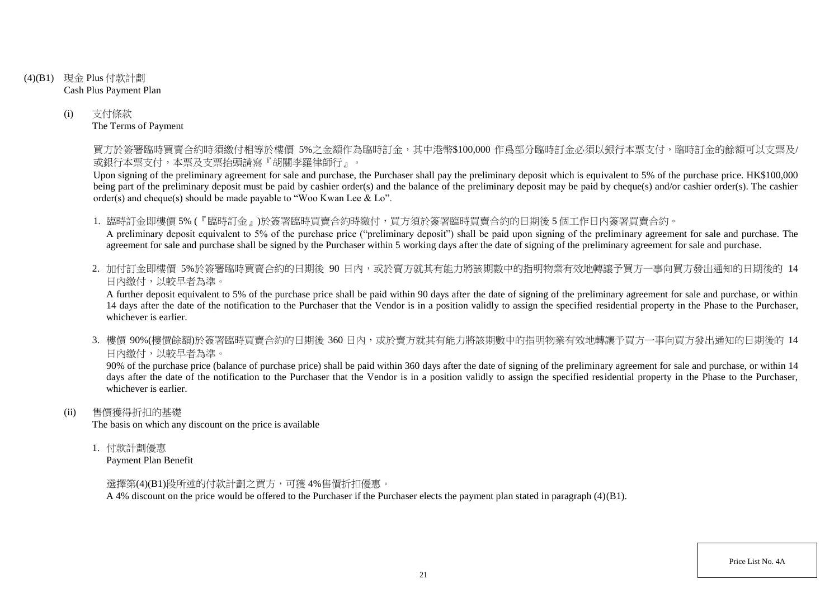- (4)(B1) 現金 Plus 付款計劃 Cash Plus Payment Plan
	- (i) 支付條款 The Terms of Payment

買方於簽署臨時買賣合約時須繳付相等於樓價 5%之金額作為臨時訂金,其中港幣\$100,000 作爲部分臨時訂金必須以銀行本票支付,臨時訂金的餘額可以支票及/ 或銀行本票支付,本票及支票抬頭請寫『胡關李羅律師行』。

Upon signing of the preliminary agreement for sale and purchase, the Purchaser shall pay the preliminary deposit which is equivalent to 5% of the purchase price. HK\$100,000 being part of the preliminary deposit must be paid by cashier order(s) and the balance of the preliminary deposit may be paid by cheque(s) and/or cashier order(s). The cashier order(s) and cheque(s) should be made payable to "Woo Kwan Lee & Lo".

1. 臨時訂金即樓價 5% (『臨時訂金』)於簽署臨時買賣合約時繳付,買方須於簽署臨時買賣合約的日期後 5 個工作日內簽署買賣合約。

A preliminary deposit equivalent to 5% of the purchase price ("preliminary deposit") shall be paid upon signing of the preliminary agreement for sale and purchase. The agreement for sale and purchase shall be signed by the Purchaser within 5 working days after the date of signing of the preliminary agreement for sale and purchase.

2. 加付訂金即樓價 5%於簽署臨時買賣合約的日期後 90 日内,或於賣方就其有能力將該期數中的指明物業有效地轉讓予買方一事向買方發出通知的日期後的 14 日內繳付,以較早者為準。

A further deposit equivalent to 5% of the purchase price shall be paid within 90 days after the date of signing of the preliminary agreement for sale and purchase, or within 14 days after the date of the notification to the Purchaser that the Vendor is in a position validly to assign the specified residential property in the Phase to the Purchaser, whichever is earlier.

3. 樓價 90%(樓價餘額)於簽署臨時買賣合約的日期後 360 日內,或於賣方就其有能力將該期數中的指明物業有效地轉讓予買方一事向買方發出通知的日期後的 14 日內繳付,以較早者為準。

90% of the purchase price (balance of purchase price) shall be paid within 360 days after the date of signing of the preliminary agreement for sale and purchase, or within 14 days after the date of the notification to the Purchaser that the Vendor is in a position validly to assign the specified residential property in the Phase to the Purchaser, whichever is earlier.

(ii) 售價獲得折扣的基礎

The basis on which any discount on the price is available

1. 付款計劃優惠

Payment Plan Benefit

選擇第(4)(B1)段所述的付款計劃之買方,可獲 4%售價折扣優惠。

A 4% discount on the price would be offered to the Purchaser if the Purchaser elects the payment plan stated in paragraph (4)(B1).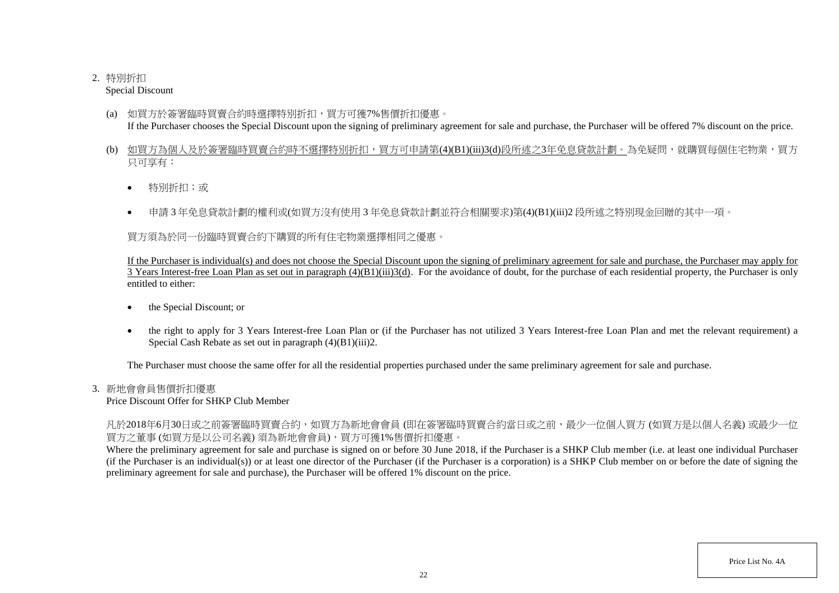# 2. 特別折扣

Special Discount

- (a) 如買方於簽署臨時買賣合約時選擇特別折扣,買方可獲7%售價折扣優惠。 If the Purchaser chooses the Special Discount upon the signing of preliminary agreement for sale and purchase, the Purchaser will be offered 7% discount on the price.
- (b) 如買方為個人及於簽署臨時買賣合約時不選擇特別折扣,買方可申請第(4)(B1)(iii)3(d)段所述之3年免息貸款計劃。為免疑問,就購買每個住宅物業,買方 只可享有:
	- 特別折扣;或
	- 申請 3 年免息貸款計劃的權利或(如買方沒有使用 3 年免息貸款計劃並符合相關要求)第(4)(B1)(iii)2 段所述之特別現金回贈的其中一項。

買方須為於同一份臨時買賣合約下購買的所有住宅物業選擇相同之優惠。

If the Purchaser is individual(s) and does not choose the Special Discount upon the signing of preliminary agreement for sale and purchase, the Purchaser may apply for  $\overline{3}$  Years Interest-free Loan Plan as set out in paragraph  $(4)(B1)(iii)3(d)$ . For the avoidance of doubt, for the purchase of each residential property, the Purchaser is only entitled to either:

- the Special Discount; or
- the right to apply for 3 Years Interest-free Loan Plan or (if the Purchaser has not utilized 3 Years Interest-free Loan Plan and met the relevant requirement) a Special Cash Rebate as set out in paragraph (4)(B1)(iii)2.

The Purchaser must choose the same offer for all the residential properties purchased under the same preliminary agreement for sale and purchase.

# 3. 新地會會員售價折扣優惠

Price Discount Offer for SHKP Club Member

凡於2018年6月30日或之前簽署臨時買賣合約,如買方為新地會會員 (即在簽署臨時買賣合約當日或之前,最少一位個人買方 (如買方是以個人名義) 或最少一位 買方之董事 (如買方是以公司名義) 須為新地會會員),買方可獲1%售價折扣優惠。

Where the preliminary agreement for sale and purchase is signed on or before 30 June 2018, if the Purchaser is a SHKP Club member (i.e. at least one individual Purchaser (if the Purchaser is an individual(s)) or at least one director of the Purchaser (if the Purchaser is a corporation) is a SHKP Club member on or before the date of signing the preliminary agreement for sale and purchase), the Purchaser will be offered 1% discount on the price.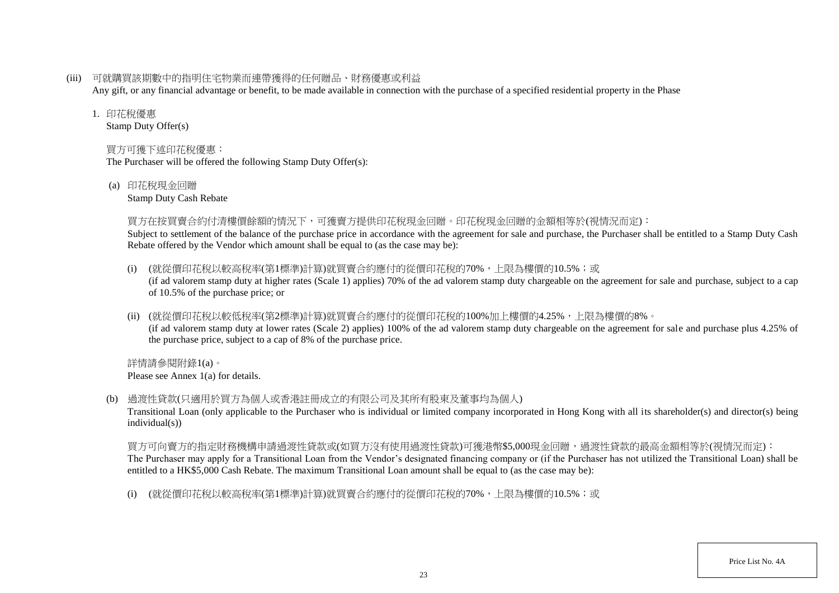(iii) 可就購買該期數中的指明住宅物業而連帶獲得的任何贈品、財務優惠或利益

Any gift, or any financial advantage or benefit, to be made available in connection with the purchase of a specified residential property in the Phase

### 1. 印花稅優惠

Stamp Duty Offer(s)

# 買方可獲下述印花稅優惠:

The Purchaser will be offered the following Stamp Duty Offer(s):

(a) 印花稅現金回贈

Stamp Duty Cash Rebate

## 買方在按買賣合約付清樓價餘額的情況下,可獲賣方提供印花稅現金回贈。印花稅現金回贈的金額相等於(視情況而定):

Subject to settlement of the balance of the purchase price in accordance with the agreement for sale and purchase, the Purchaser shall be entitled to a Stamp Duty Cash Rebate offered by the Vendor which amount shall be equal to (as the case may be):

- (i) (就從價印花稅以較高稅率(第1標準)計算)就買賣合約應付的從價印花稅的70%,上限為樓價的10.5%;或 (if ad valorem stamp duty at higher rates (Scale 1) applies) 70% of the ad valorem stamp duty chargeable on the agreement for sale and purchase, subject to a cap of 10.5% of the purchase price; or
- (ii) (就從價印花稅以較低稅率(第2標準)計算)就買賣合約應付的從價印花稅的100%加上樓價的4.25%,上限為樓價的8%。 (if ad valorem stamp duty at lower rates (Scale 2) applies) 100% of the ad valorem stamp duty chargeable on the agreement for sale and purchase plus 4.25% of the purchase price, subject to a cap of 8% of the purchase price.

詳情請參閱附錄1(a)。 Please see Annex 1(a) for details.

(b) 過渡性貸款(只適用於買方為個人或香港註冊成立的有限公司及其所有股東及董事均為個人)

Transitional Loan (only applicable to the Purchaser who is individual or limited company incorporated in Hong Kong with all its shareholder(s) and director(s) being individual(s))

買方可向賣方的指定財務機構申請過渡性貸款或(如買方沒有使用過渡性貸款)可獲港幣\$5,000現金回贈,過渡性貸款的最高金額相等於(視情況而定): The Purchaser may apply for a Transitional Loan from the Vendor's designated financing company or (if the Purchaser has not utilized the Transitional Loan) shall be entitled to a HK\$5,000 Cash Rebate. The maximum Transitional Loan amount shall be equal to (as the case may be):

(i) (就從價印花稅以較高稅率(第1標準)計算)就買賣合約應付的從價印花稅的70%,上限為樓價的10.5%;或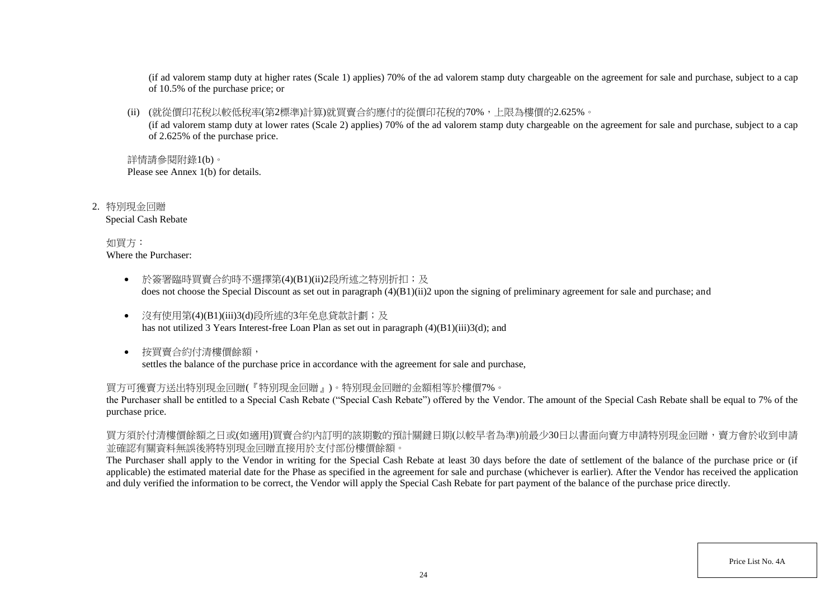(if ad valorem stamp duty at higher rates (Scale 1) applies) 70% of the ad valorem stamp duty chargeable on the agreement for sale and purchase, subject to a cap of 10.5% of the purchase price; or

(ii) (就從價印花稅以較低稅率(第2標準)計算)就買賣合約應付的從價印花稅的70%,上限為樓價的2.625%。

(if ad valorem stamp duty at lower rates (Scale 2) applies) 70% of the ad valorem stamp duty chargeable on the agreement for sale and purchase, subject to a cap of 2.625% of the purchase price.

詳情請參閱附錄1(b)。 Please see Annex 1(b) for details.

2. 特別現金回贈 Special Cash Rebate

> 如買方: Where the Purchaser:

- 於簽署臨時買賣合約時不選擇第(4)(B1)(ii)2段所述之特別折扣;及 does not choose the Special Discount as set out in paragraph (4)(B1)(ii)2 upon the signing of preliminary agreement for sale and purchase; and
- 沒有使用第(4)(B1)(iii)3(d)段所述的3年免息貸款計劃;及 has not utilized 3 Years Interest-free Loan Plan as set out in paragraph (4)(B1)(iii)3(d); and
- 按買賣合約付清樓價餘額, settles the balance of the purchase price in accordance with the agreement for sale and purchase,

買方可獲賣方送出特別現金回贈(『特別現金回贈』)。特別現金回贈的金額相等於樓價7%。

the Purchaser shall be entitled to a Special Cash Rebate ("Special Cash Rebate") offered by the Vendor. The amount of the Special Cash Rebate shall be equal to 7% of the purchase price.

買方須於付清樓價餘額之日或(如適用)買賣合約內訂明的該期數的預計關鍵日期(以較早者為準)前最少30日以書面向賣方申請特別現金回贈,賣方會於收到申請 並確認有關資料無誤後將特別現金回贈直接用於支付部份樓價餘額。

The Purchaser shall apply to the Vendor in writing for the Special Cash Rebate at least 30 days before the date of settlement of the balance of the purchase price or (if applicable) the estimated material date for the Phase as specified in the agreement for sale and purchase (whichever is earlier). After the Vendor has received the application and duly verified the information to be correct, the Vendor will apply the Special Cash Rebate for part payment of the balance of the purchase price directly.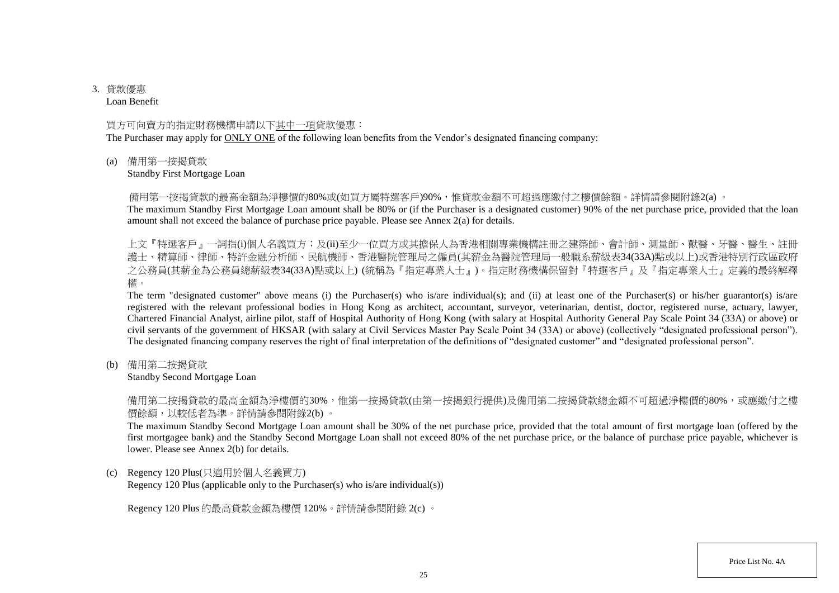# 3. 貸款優惠

Loan Benefit

## 買方可向賣方的指定財務機構申請以下其中一項貸款優惠:

The Purchaser may apply for ONLY ONE of the following loan benefits from the Vendor's designated financing company:

(a) 備用第一按揭貸款

Standby First Mortgage Loan

備用第一按揭貸款的最高金額為淨樓價的80%或(如買方屬特選客戶)90%,惟貸款金額不可超過應繳付之樓價餘額。詳情請參閱附錄2(a) 。

The maximum Standby First Mortgage Loan amount shall be 80% or (if the Purchaser is a designated customer) 90% of the net purchase price, provided that the loan amount shall not exceed the balance of purchase price payable. Please see Annex 2(a) for details.

上文『特選客戶』一詞指(i)個人名義買方;及(ii)至少一位買方或其擔保人為香港相關專業機構註冊之建築師、會計師、測量師、獸醫、牙醫、醫生、註冊 護士、精算師、律師、特許金融分析師、民航機師、香港醫院管理局之僱員(其薪金為醫院管理局一般職系薪級表34(33A)點或以上)或香港特別行政區政府 之公務員(其薪金為公務員總薪級表34(33A)點或以上) (統稱為『指定專業人士』)。指定財務機構保留對『特選客戶』及『指定專業人士』定義的最終解釋 權。

The term "designated customer" above means (i) the Purchaser(s) who is/are individual(s); and (ii) at least one of the Purchaser(s) or his/her guarantor(s) is/are registered with the relevant professional bodies in Hong Kong as architect, accountant, surveyor, veterinarian, dentist, doctor, registered nurse, actuary, lawyer, Chartered Financial Analyst, airline pilot, staff of Hospital Authority of Hong Kong (with salary at Hospital Authority General Pay Scale Point 34 (33A) or above) or civil servants of the government of HKSAR (with salary at Civil Services Master Pay Scale Point 34 (33A) or above) (collectively "designated professional person"). The designated financing company reserves the right of final interpretation of the definitions of "designated customer" and "designated professional person".

(b) 備用第二按揭貸款

Standby Second Mortgage Loan

備用第二按揭貸款的最高金額為淨樓價的30%,惟第一按揭貸款(由第一按揭銀行提供)及備用第二按揭貸款總金額不可超過淨樓價的80%,或應繳付之樓 價餘額,以較低者為準。詳情請參閱附錄2(b) 。

The maximum Standby Second Mortgage Loan amount shall be 30% of the net purchase price, provided that the total amount of first mortgage loan (offered by the first mortgagee bank) and the Standby Second Mortgage Loan shall not exceed 80% of the net purchase price, or the balance of purchase price payable, whichever is lower. Please see Annex 2(b) for details.

(c) Regency 120 Plus(只適用於個人名義買方)

Regency 120 Plus (applicable only to the Purchaser(s) who is/are individual(s))

Regency 120 Plus 的最高貸款金額為樓價 120%。詳情請參閱附錄 2(c) 。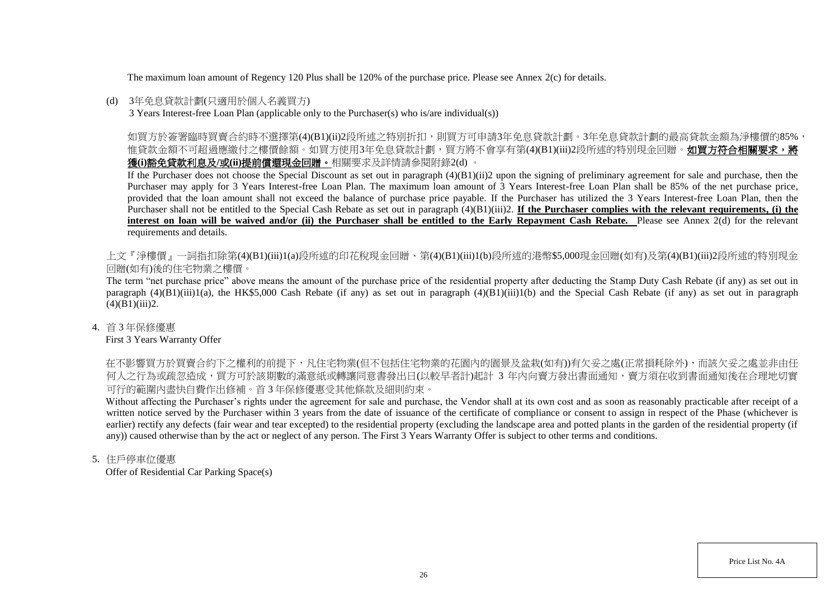The maximum loan amount of Regency 120 Plus shall be 120% of the purchase price. Please see Annex 2(c) for details.

## (d) 3年免息貸款計劃(只適用於個人名義買方)

3 Years Interest-free Loan Plan (applicable only to the Purchaser(s) who is/are individual(s))

如買方於簽署臨時買賣合約時不選擇第(4)(B1)(ii)2段所述之特別折扣,則買方可申請3年免息貸款計劃。3年免息貸款計劃的最高貸款金額為淨樓價的85%, 惟貸款金額不可超過應繳付之樓價餘額。如買方使用3年免息貸款計劃,買方將不會享有第(4)(B1)(iii)2段所述的特別現金回贈。**如買方符合相關要求,將** 獲**(i)**豁免貸款利息及**/**或**(ii)**提前償還現金回贈。相關要求及詳情請參閱附錄2(d) 。

If the Purchaser does not choose the Special Discount as set out in paragraph  $(4)(B1)(ii)2$  upon the signing of preliminary agreement for sale and purchase, then the Purchaser may apply for 3 Years Interest-free Loan Plan. The maximum loan amount of 3 Years Interest-free Loan Plan shall be 85% of the net purchase price, provided that the loan amount shall not exceed the balance of purchase price payable. If the Purchaser has utilized the 3 Years Interest-free Loan Plan, then the Purchaser shall not be entitled to the Special Cash Rebate as set out in paragraph (4)(B1)(iii)2. **If the Purchaser complies with the relevant requirements, (i) the**  interest on loan will be waived and/or (ii) the Purchaser shall be entitled to the Early Repayment Cash Rebate. Please see Annex 2(d) for the relevant requirements and details.

上文『淨樓價』一詞指扣除第(4)(B1)(iii)1(a)段所述的印花稅現金回贈、第(4)(B1)(iii)1(b)段所述的港幣\$5,000現金回贈(如有)及第(4)(B1)(iii)2段所述的特別現金 回贈(如有)後的住宅物業之樓價。

The term "net purchase price" above means the amount of the purchase price of the residential property after deducting the Stamp Duty Cash Rebate (if any) as set out in paragraph  $(4)(B1)(iii)1(a)$ , the HK\$5,000 Cash Rebate (if any) as set out in paragraph  $(4)(B1)(iii)1(b)$  and the Special Cash Rebate (if any) as set out in paragraph  $(4)(B1)(iii)2.$ 

4. 首 3 年保修優惠

First 3 Years Warranty Offer

在不影響買方於買賣合約下之權利的前提下,凡住宅物業(但不包括住宅物業的花園內的園景及盆栽(如有))有欠妥之處(正常損耗除外),而該欠妥之處並非由任 何人之行為或疏忽造成,買方可於該期數的滿意紙或轉讓同意書發出日(以較早者計)起計 3 年内向賣方發出書面通知,賣方須在收到書面通知後在合理地切實 可行的範圍內盡快自費作出修補。首 3 年保修優惠受其他條款及細則約束。

Without affecting the Purchaser's rights under the agreement for sale and purchase, the Vendor shall at its own cost and as soon as reasonably practicable after receipt of a written notice served by the Purchaser within 3 years from the date of issuance of the certificate of compliance or consent to assign in respect of the Phase (whichever is earlier) rectify any defects (fair wear and tear excepted) to the residential property (excluding the landscape area and potted plants in the garden of the residential property (if any)) caused otherwise than by the act or neglect of any person. The First 3 Years Warranty Offer is subject to other terms and conditions.

5. 住戶停車位優惠

Offer of Residential Car Parking Space(s)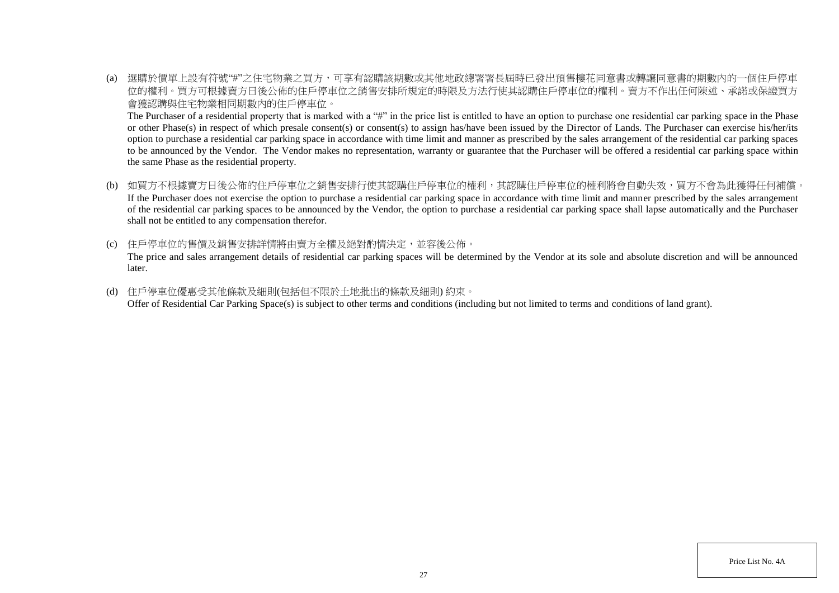(a) 選購於價單上設有符號"#"之住宅物業之買方,可享有認購該期數或其他地政總署署長屆時已發出預售樓花同意書或轉讓同意書的期數內的一個住戶停車 位的權利。買方可根據賣方日後公佈的住戶停車位之銷售安排所規定的時限及方法行使其認購住戶停車位的權利。賣方不作出任何陳述、承諾或保證買方 會獲認購與住宅物業相同期數內的住戶停車位。

The Purchaser of a residential property that is marked with a "#" in the price list is entitled to have an option to purchase one residential car parking space in the Phase or other Phase(s) in respect of which presale consent(s) or consent(s) to assign has/have been issued by the Director of Lands. The Purchaser can exercise his/her/its option to purchase a residential car parking space in accordance with time limit and manner as prescribed by the sales arrangement of the residential car parking spaces to be announced by the Vendor. The Vendor makes no representation, warranty or guarantee that the Purchaser will be offered a residential car parking space within the same Phase as the residential property.

- (b) 如買方不根據賣方日後公佈的住戶停車位之銷售安排行使其認購住戶停車位的權利,其認購住戶停車位的權利將會自動失效,買方不會為此獲得任何補償。 If the Purchaser does not exercise the option to purchase a residential car parking space in accordance with time limit and manner prescribed by the sales arrangement of the residential car parking spaces to be announced by the Vendor, the option to purchase a residential car parking space shall lapse automatically and the Purchaser shall not be entitled to any compensation therefor.
- (c) 住戶停車位的售價及銷售安排詳情將由賣方全權及絕對酌情決定,並容後公佈。 The price and sales arrangement details of residential car parking spaces will be determined by the Vendor at its sole and absolute discretion and will be announced later.
- (d) 住戶停車位優惠受其他條款及細則(包括但不限於土地批出的條款及細則) 約束。 Offer of Residential Car Parking Space(s) is subject to other terms and conditions (including but not limited to terms and conditions of land grant).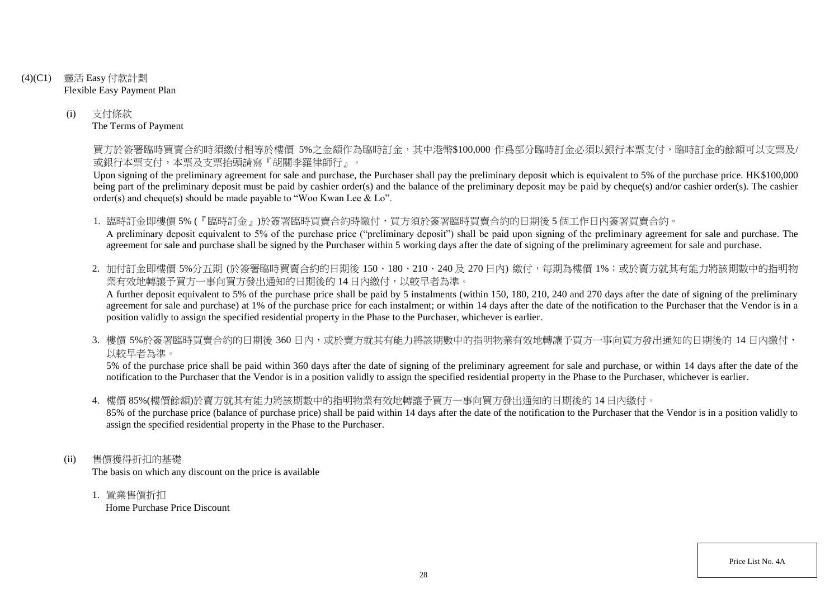- (4)(C1) 靈活 Easy 付款計劃 Flexible Easy Payment Plan
	- (i) 支付條款 The Terms of Payment

買方於簽署臨時買賣合約時須繳付相等於樓價 5%之金額作為臨時訂金,其中港幣\$100,000 作爲部分臨時訂金必須以銀行本票支付,臨時訂金的餘額可以支票及/ 或銀行本票支付,本票及支票抬頭請寫『胡關李羅律師行』。

Upon signing of the preliminary agreement for sale and purchase, the Purchaser shall pay the preliminary deposit which is equivalent to 5% of the purchase price. HK\$100,000 being part of the preliminary deposit must be paid by cashier order(s) and the balance of the preliminary deposit may be paid by cheque(s) and/or cashier order(s). The cashier order(s) and cheque(s) should be made payable to "Woo Kwan Lee & Lo".

1. 臨時訂金即樓價 5% (『臨時訂金』)於簽署臨時買賣合約時繳付,買方須於簽署臨時買賣合約的日期後 5 個工作日內簽署買賣合約。 A preliminary deposit equivalent to 5% of the purchase price ("preliminary deposit") shall be paid upon signing of the preliminary agreement for sale and purchase. The agreement for sale and purchase shall be signed by the Purchaser within 5 working days after the date of signing of the preliminary agreement for sale and purchase.

2. 加付訂金即樓價 5%分五期 (於簽署臨時買賣合約的日期後 150、180、210、240及 270日內) 繳付, 每期為樓價 1%; 或於賣方就其有能力將該期數中的指明物 業有效地轉讓予買方一事向買方發出通知的日期後的14日內繳付,以較早者為準。

A further deposit equivalent to 5% of the purchase price shall be paid by 5 instalments (within 150, 180, 210, 240 and 270 days after the date of signing of the preliminary agreement for sale and purchase) at 1% of the purchase price for each instalment; or within 14 days after the date of the notification to the Purchaser that the Vendor is in a position validly to assign the specified residential property in the Phase to the Purchaser, whichever is earlier.

3. 樓價 5%於簽署臨時買賣合約的日期後 360 日内,或於賣方就其有能力將該期數中的指明物業有效地轉讓予買方一事向買方發出通知的日期後的 14 日內繳付, 以較早者為準。

5% of the purchase price shall be paid within 360 days after the date of signing of the preliminary agreement for sale and purchase, or within 14 days after the date of the notification to the Purchaser that the Vendor is in a position validly to assign the specified residential property in the Phase to the Purchaser, whichever is earlier.

4. 樓價 85%(樓價餘額)於賣方就其有能力將該期數中的指明物業有效地轉讓予買方一事向買方發出通知的日期後的 14 日內繳付。

85% of the purchase price (balance of purchase price) shall be paid within 14 days after the date of the notification to the Purchaser that the Vendor is in a position validly to assign the specified residential property in the Phase to the Purchaser.

- (ii) 售價獲得折扣的基礎 The basis on which any discount on the price is available
	- 1. 置業售價折扣 Home Purchase Price Discount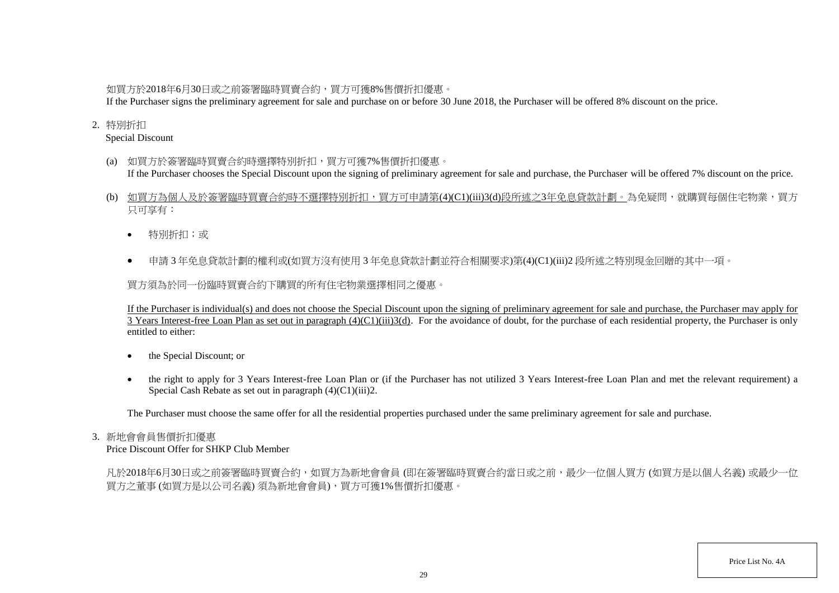# 如買方於2018年6月30日或之前簽署臨時買賣合約,買方可獲8%售價折扣優惠。

If the Purchaser signs the preliminary agreement for sale and purchase on or before 30 June 2018, the Purchaser will be offered 8% discount on the price.

## 2. 特別折扣

Special Discount

- (a) 如買方於簽署臨時買賣合約時選擇特別折扣,買方可獲7%售價折扣優惠。 If the Purchaser chooses the Special Discount upon the signing of preliminary agreement for sale and purchase, the Purchaser will be offered 7% discount on the price.
- (b) 如買方為個人及於簽署臨時買賣合約時不選擇特別折扣,買方可申請第(4)(C1)(iii)3(d)段所述之3年免息貸款計劃。為免疑問,就購買每個住宅物業,買方 只可享有:
	- 特別折扣;或
	- 申請 3 年免息貸款計劃的權利或(如買方沒有使用 3 年免息貸款計劃並符合相關要求)第(4)(C1)(iii)2 段所述之特別現金回贈的其中一項。

買方須為於同一份臨時買賣合約下購買的所有住宅物業選擇相同之優惠。

If the Purchaser is individual(s) and does not choose the Special Discount upon the signing of preliminary agreement for sale and purchase, the Purchaser may apply for 3 Years Interest-free Loan Plan as set out in paragraph  $(4)(C1)(iii)3(d)$ . For the avoidance of doubt, for the purchase of each residential property, the Purchaser is only entitled to either:

- the Special Discount; or
- the right to apply for 3 Years Interest-free Loan Plan or (if the Purchaser has not utilized 3 Years Interest-free Loan Plan and met the relevant requirement) a Special Cash Rebate as set out in paragraph (4)(C1)(iii)2.

The Purchaser must choose the same offer for all the residential properties purchased under the same preliminary agreement for sale and purchase.

## 3. 新地會會員售價折扣優惠

Price Discount Offer for SHKP Club Member

凡於2018年6月30日或之前簽署臨時買賣合約,如買方為新地會會員 (即在簽署臨時買賣合約當日或之前,最少一位個人買方 (如買方是以個人名義) 或最少一位 買方之董事 (如買方是以公司名義) 須為新地會會員),買方可獲1%售價折扣優惠。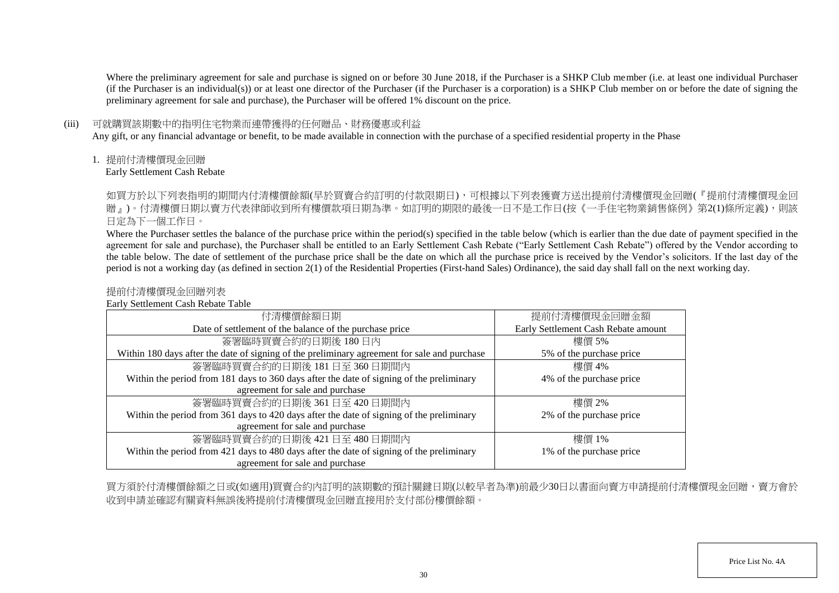Where the preliminary agreement for sale and purchase is signed on or before 30 June 2018, if the Purchaser is a SHKP Club member (i.e. at least one individual Purchaser (if the Purchaser is an individual(s)) or at least one director of the Purchaser (if the Purchaser is a corporation) is a SHKP Club member on or before the date of signing the preliminary agreement for sale and purchase), the Purchaser will be offered 1% discount on the price.

## (iii) 可就購買該期數中的指明住宅物業而連帶獲得的任何贈品、財務優惠或利益

Any gift, or any financial advantage or benefit, to be made available in connection with the purchase of a specified residential property in the Phase

1. 提前付清樓價現金回贈

Early Settlement Cash Rebate

如買方於以下列表指明的期間内付清樓價餘額(早於買賣合約訂明的付款限期日),可根據以下列表獲賣方送出提前付清樓價現金回贈(『提前付清樓價現金回 贈」)。付清樓價日期以賣方代表律師收到所有樓價款項日期為準。如訂明的期限的最後一日不是工作日(按《一手住宅物業銷售條例》第2(1)條所定義),則該 日定為下一個工作日。

Where the Purchaser settles the balance of the purchase price within the period(s) specified in the table below (which is earlier than the due date of payment specified in the agreement for sale and purchase), the Purchaser shall be entitled to an Early Settlement Cash Rebate ("Early Settlement Cash Rebate") offered by the Vendor according to the table below. The date of settlement of the purchase price shall be the date on which all the purchase price is received by the Vendor's solicitors. If the last day of the period is not a working day (as defined in section 2(1) of the Residential Properties (First-hand Sales) Ordinance), the said day shall fall on the next working day.

## 提前付清樓價現金回贈列表

Early Settlement Cash Rebate Table

| 付清樓價餘額日期                                                                                     | 提前付清樓價現金回贈金額                        |
|----------------------------------------------------------------------------------------------|-------------------------------------|
| Date of settlement of the balance of the purchase price                                      | Early Settlement Cash Rebate amount |
| 簽署臨時買賣合約的日期後180日內                                                                            | 樓價 5%                               |
| Within 180 days after the date of signing of the preliminary agreement for sale and purchase | 5% of the purchase price            |
| 簽署臨時買賣合約的日期後 181日至 360日期間內                                                                   | 樓價 4%                               |
| Within the period from 181 days to 360 days after the date of signing of the preliminary     | 4% of the purchase price            |
| agreement for sale and purchase                                                              |                                     |
| 簽署臨時買賣合約的日期後 361日至 420日期間內                                                                   | 樓價 2%                               |
| Within the period from 361 days to 420 days after the date of signing of the preliminary     | 2% of the purchase price            |
| agreement for sale and purchase                                                              |                                     |
| 簽署臨時買賣合約的日期後 421日至 480日期間內                                                                   | 樓價 1%                               |
| Within the period from 421 days to 480 days after the date of signing of the preliminary     | 1% of the purchase price            |
| agreement for sale and purchase                                                              |                                     |

買方須於付清樓價餘額之日或(如適用)買賣合約內訂明的該期數的預計關鍵日期(以較早者為準)前最少30日以書面向賣方申請提前付清樓價現金回贈,賣方會於 收到申請並確認有關資料無誤後將提前付清樓價現金回贈直接用於支付部份樓價餘額。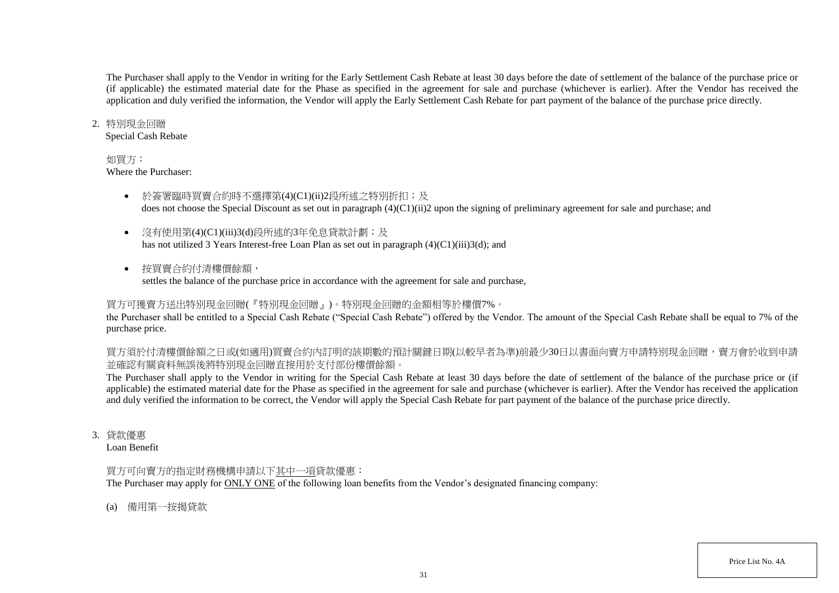The Purchaser shall apply to the Vendor in writing for the Early Settlement Cash Rebate at least 30 days before the date of settlement of the balance of the purchase price or (if applicable) the estimated material date for the Phase as specified in the agreement for sale and purchase (whichever is earlier). After the Vendor has received the application and duly verified the information, the Vendor will apply the Early Settlement Cash Rebate for part payment of the balance of the purchase price directly.

### 2. 特別現金回贈

Special Cash Rebate

## 如買方:

Where the Purchaser:

- 於簽署臨時買賣合約時不選擇第(4)(C1)(ii)2段所述之特別折扣;及 does not choose the Special Discount as set out in paragraph (4)(C1)(ii)2 upon the signing of preliminary agreement for sale and purchase; and
- 沒有使用第(4)(C1)(iii)3(d)段所述的3年免息貸款計劃;及 has not utilized 3 Years Interest-free Loan Plan as set out in paragraph (4)(C1)(iii)3(d); and
- 按買賣合約付清樓價餘額, settles the balance of the purchase price in accordance with the agreement for sale and purchase,

# 買方可獲賣方送出特別現金回贈(『特別現金回贈』)。特別現金回贈的金額相等於樓價7%。

the Purchaser shall be entitled to a Special Cash Rebate ("Special Cash Rebate") offered by the Vendor. The amount of the Special Cash Rebate shall be equal to 7% of the purchase price.

買方須於付清樓價餘額之日或(如適用)買賣合約內訂明的該期數的預計關鍵日期(以較早者為準)前最少30日以書面向賣方申請特別現金回贈,賣方會於收到申請 並確認有關資料無誤後將特別現金回贈直接用於支付部份樓價餘額。

The Purchaser shall apply to the Vendor in writing for the Special Cash Rebate at least 30 days before the date of settlement of the balance of the purchase price or (if applicable) the estimated material date for the Phase as specified in the agreement for sale and purchase (whichever is earlier). After the Vendor has received the application and duly verified the information to be correct, the Vendor will apply the Special Cash Rebate for part payment of the balance of the purchase price directly.

3. 貸款優惠

Loan Benefit

# 買方可向賣方的指定財務機構申請以下其中一項貸款優惠:

The Purchaser may apply for ONLY ONE of the following loan benefits from the Vendor's designated financing company:

(a) 備用第一按揭貸款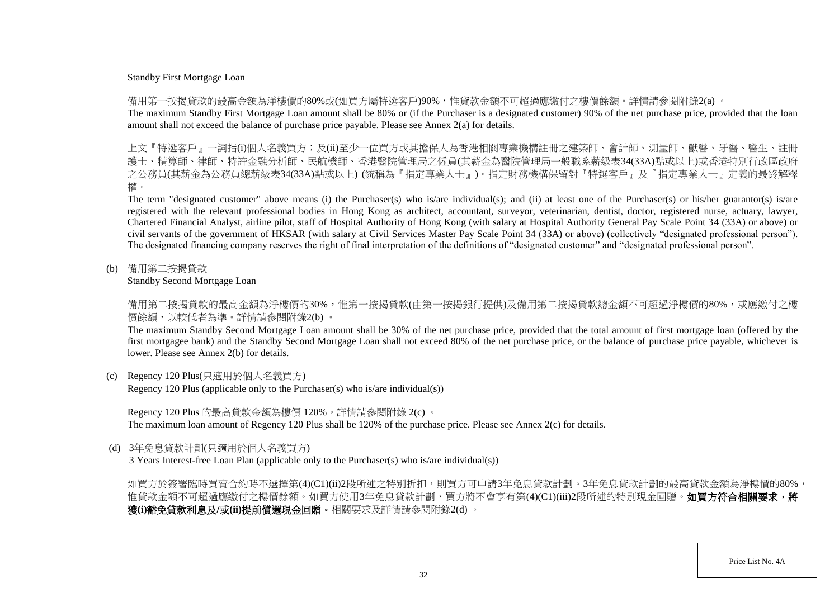#### Standby First Mortgage Loan

備用第一按揭貸款的最高金額為淨樓價的80%或(如買方屬特選客戶)90%,惟貸款金額不可超過應繳付之樓價餘額。詳情請參閱附錄2(a) 。

The maximum Standby First Mortgage Loan amount shall be 80% or (if the Purchaser is a designated customer) 90% of the net purchase price, provided that the loan amount shall not exceed the balance of purchase price payable. Please see Annex 2(a) for details.

上文『特選客戶』一詞指(i)個人名義買方;及(ii)至少一位買方或其擔保人為香港相關專業機構註冊之建築師、會計師、測量師、獸醫、牙醫、醫生、 護士、精算師、律師、特許金融分析師、民航機師、香港醫院管理局之僱員(其薪金為醫院管理局一般職系薪級表34(33A)點或以上)或香港特別行政區政府 之公務員(其薪金為公務員總薪級表34(33A)點或以上) (統稱為『指定專業人士』)。指定財務機構保留對『特選客戶』及『指定專業人士』定義的最終解釋 權。

The term "designated customer" above means (i) the Purchaser(s) who is/are individual(s); and (ii) at least one of the Purchaser(s) or his/her guarantor(s) is/are registered with the relevant professional bodies in Hong Kong as architect, accountant, surveyor, veterinarian, dentist, doctor, registered nurse, actuary, lawyer, Chartered Financial Analyst, airline pilot, staff of Hospital Authority of Hong Kong (with salary at Hospital Authority General Pay Scale Point 34 (33A) or above) or civil servants of the government of HKSAR (with salary at Civil Services Master Pay Scale Point 34 (33A) or above) (collectively "designated professional person"). The designated financing company reserves the right of final interpretation of the definitions of "designated customer" and "designated professional person".

(b) 備用第二按揭貸款

Standby Second Mortgage Loan

備用第二按揭貸款的最高金額為淨樓價的30%,惟第一按揭貸款(由第一按揭銀行提供)及備用第二按揭貸款總金額不可超過淨樓價的80%,或應繳付之樓 價餘額,以較低者為準。詳情請參閱附錄2(b) 。

The maximum Standby Second Mortgage Loan amount shall be 30% of the net purchase price, provided that the total amount of first mortgage loan (offered by the first mortgagee bank) and the Standby Second Mortgage Loan shall not exceed 80% of the net purchase price, or the balance of purchase price payable, whichever is lower. Please see Annex 2(b) for details.

(c) Regency 120 Plus(只適用於個人名義買方)

Regency 120 Plus (applicable only to the Purchaser(s) who is/are individual(s))

Regency 120 Plus 的最高貸款金額為樓價 120%。詳情請參閱附錄 2(c) 。 The maximum loan amount of Regency 120 Plus shall be 120% of the purchase price. Please see Annex 2(c) for details.

(d) 3年免息貸款計劃(只適用於個人名義買方)

3 Years Interest-free Loan Plan (applicable only to the Purchaser(s) who is/are individual(s))

如買方於簽署臨時買賣合約時不選擇第(4)(C1)(ii)2段所述之特別折扣,則買方可申請3年免息貸款計劃。3年免息貸款計劃的最高貸款金額為淨樓價的80%, 惟貸款金額不可超過應繳付之樓價餘額。如買方使用3年免息貸款計劃,買方將不會享有第(4)(C1)(iii)2段所述的特別現金回贈。**如買方符合相關要求,將** 獲**(i)**豁免貸款利息及**/**或**(ii)**提前償還現金回贈。相關要求及詳情請參閱附錄2(d) 。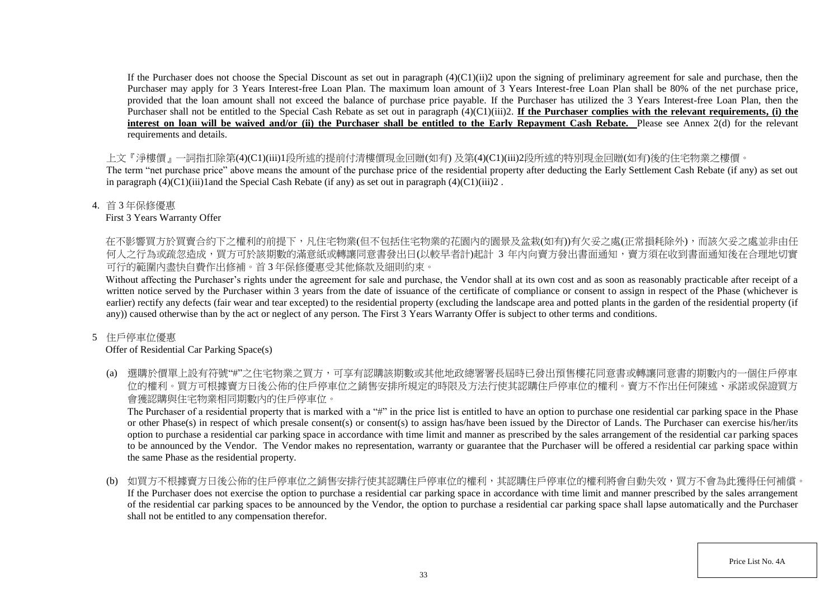If the Purchaser does not choose the Special Discount as set out in paragraph  $(4)(C1)(ii)$  upon the signing of preliminary agreement for sale and purchase, then the Purchaser may apply for 3 Years Interest-free Loan Plan. The maximum loan amount of 3 Years Interest-free Loan Plan shall be 80% of the net purchase price, provided that the loan amount shall not exceed the balance of purchase price payable. If the Purchaser has utilized the 3 Years Interest-free Loan Plan, then the Purchaser shall not be entitled to the Special Cash Rebate as set out in paragraph (4)(C1)(iii)2. **If the Purchaser complies with the relevant requirements, (i) the** interest on loan will be waived and/or (ii) the Purchaser shall be entitled to the Early Repayment Cash Rebate. Please see Annex 2(d) for the relevant requirements and details.

上文『淨樓價』一詞指扣除第(4)(C1)(iii)1段所述的提前付清樓價現金回贈(如有) 及第(4)(C1)(iii)2段所述的特別現金回贈(如有)後的住宅物業之樓價。

The term "net purchase price" above means the amount of the purchase price of the residential property after deducting the Early Settlement Cash Rebate (if any) as set out in paragraph  $(4)(C1)(iii)1$  and the Special Cash Rebate (if any) as set out in paragraph  $(4)(C1)(iii)2$ .

4. 首 3 年保修優惠

First 3 Years Warranty Offer

在不影響買方於買賣合約下之權利的前提下,凡住宅物業(但不包括住宅物業的花園内的園景及盆栽(如有))有欠妥之處(正常損耗除外),而該欠妥之處並非由任 何人之行為或疏忽造成,買方可於該期數的滿意紙或轉讓同意書發出日(以較早者計)起計 3 年内向賣方發出書面通知,賣方須在收到書面通知後在合理地切實 可行的範圍內盡快自費作出修補。首 3 年保修優惠受其他條款及細則約束。

Without affecting the Purchaser's rights under the agreement for sale and purchase, the Vendor shall at its own cost and as soon as reasonably practicable after receipt of a written notice served by the Purchaser within 3 years from the date of issuance of the certificate of compliance or consent to assign in respect of the Phase (whichever is earlier) rectify any defects (fair wear and tear excepted) to the residential property (excluding the landscape area and potted plants in the garden of the residential property (if any)) caused otherwise than by the act or neglect of any person. The First 3 Years Warranty Offer is subject to other terms and conditions.

# 5 住戶停車位優惠

# Offer of Residential Car Parking Space(s)

(a) 選購於價單上設有符號"#"之住宅物業之買方,可享有認購該期數或其他地政總署署長屆時已發出預售樓花同意書或轉讓同意書的期數內的一個住戶停車 位的權利。買方可根據賣方日後公佈的住戶停車位之銷售安排所規定的時限及方法行使其認購住戶停車位的權利。賣方不作出任何陳述、承諾或保證買方 會獲認購與住宅物業相同期數內的住戶停車位。

The Purchaser of a residential property that is marked with a "#" in the price list is entitled to have an option to purchase one residential car parking space in the Phase or other Phase(s) in respect of which presale consent(s) or consent(s) to assign has/have been issued by the Director of Lands. The Purchaser can exercise his/her/its option to purchase a residential car parking space in accordance with time limit and manner as prescribed by the sales arrangement of the residential car parking spaces to be announced by the Vendor. The Vendor makes no representation, warranty or guarantee that the Purchaser will be offered a residential car parking space within the same Phase as the residential property.

(b) 如買方不根據賣方日後公佈的住戶停車位之銷售安排行使其認購住戶停車位的權利,其認購住戶停車位的權利將會自動失效,買方不會為此獲得任何補償。 If the Purchaser does not exercise the option to purchase a residential car parking space in accordance with time limit and manner prescribed by the sales arrangement of the residential car parking spaces to be announced by the Vendor, the option to purchase a residential car parking space shall lapse automatically and the Purchaser shall not be entitled to any compensation therefor.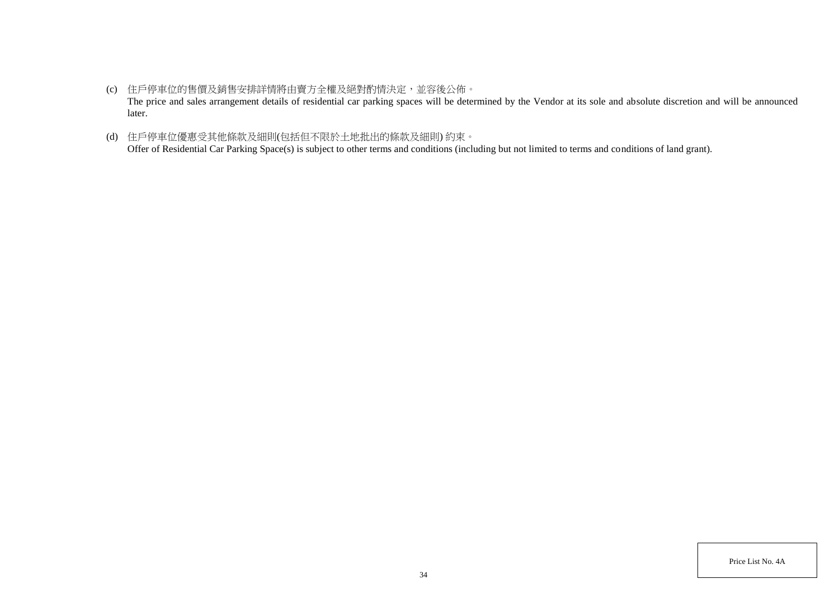- (c) 住戶停車位的售價及銷售安排詳情將由賣方全權及絕對酌情決定,並容後公佈。 The price and sales arrangement details of residential car parking spaces will be determined by the Vendor at its sole and absolute discretion and will be announced later.
- (d) 住戶停車位優惠受其他條款及細則(包括但不限於土地批出的條款及細則) 約束。 Offer of Residential Car Parking Space(s) is subject to other terms and conditions (including but not limited to terms and conditions of land grant).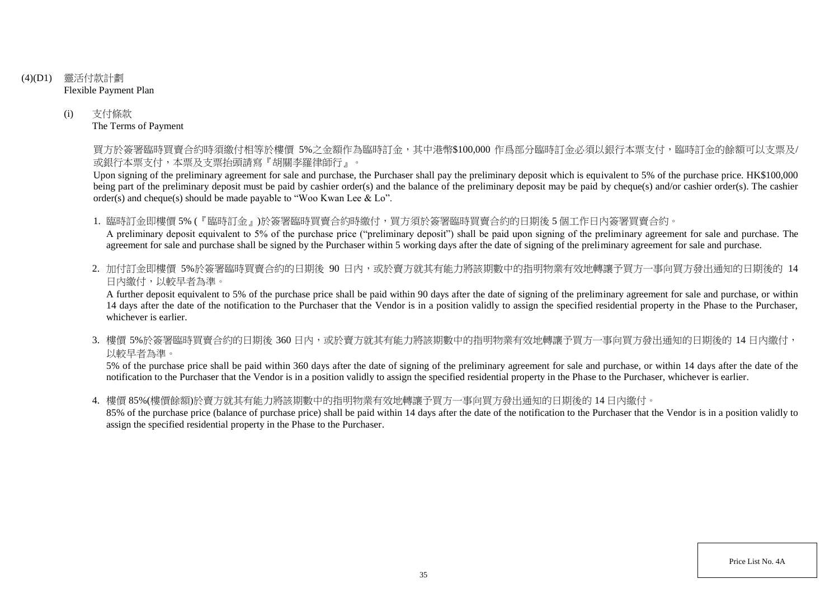- (4)(D1) 靈活付款計劃 Flexible Payment Plan
	- (i) 支付條款 The Terms of Payment

買方於簽署臨時買賣合約時須繳付相等於樓價 5%之金額作為臨時訂金,其中港幣\$100,000 作爲部分臨時訂金必須以銀行本票支付,臨時訂金的餘額可以支票及/ 或銀行本票支付,本票及支票抬頭請寫『胡關李羅律師行』。

Upon signing of the preliminary agreement for sale and purchase, the Purchaser shall pay the preliminary deposit which is equivalent to 5% of the purchase price. HK\$100,000 being part of the preliminary deposit must be paid by cashier order(s) and the balance of the preliminary deposit may be paid by cheque(s) and/or cashier order(s). The cashier order(s) and cheque(s) should be made payable to "Woo Kwan Lee & Lo".

1. 臨時訂金即樓價 5% (『臨時訂金』)於簽署臨時買賣合約時繳付,買方須於簽署臨時買賣合約的日期後 5 個工作日內簽署買賣合約。

A preliminary deposit equivalent to 5% of the purchase price ("preliminary deposit") shall be paid upon signing of the preliminary agreement for sale and purchase. The agreement for sale and purchase shall be signed by the Purchaser within 5 working days after the date of signing of the preliminary agreement for sale and purchase.

2. 加付訂金即樓價 5%於簽署臨時買賣合約的日期後 90 日内,或於賣方就其有能力將該期數中的指明物業有效地轉讓予買方一事向買方發出通知的日期後的 14 日內繳付,以較早者為準。

A further deposit equivalent to 5% of the purchase price shall be paid within 90 days after the date of signing of the preliminary agreement for sale and purchase, or within 14 days after the date of the notification to the Purchaser that the Vendor is in a position validly to assign the specified residential property in the Phase to the Purchaser, whichever is earlier.

3. 樓價 5%於簽署臨時買賣合約的日期後 360 日内,或於賣方就其有能力將該期數中的指明物業有效地轉讓予買方一事向買方發出通知的日期後的 14 日內繳付, 以較早者為準。

5% of the purchase price shall be paid within 360 days after the date of signing of the preliminary agreement for sale and purchase, or within 14 days after the date of the notification to the Purchaser that the Vendor is in a position validly to assign the specified residential property in the Phase to the Purchaser, whichever is earlier.

4. 樓價 85%(樓價餘額)於賣方就其有能力將該期數中的指明物業有效地轉讓予買方一事向買方發出通知的日期後的 14 日內繳付。

85% of the purchase price (balance of purchase price) shall be paid within 14 days after the date of the notification to the Purchaser that the Vendor is in a position validly to assign the specified residential property in the Phase to the Purchaser.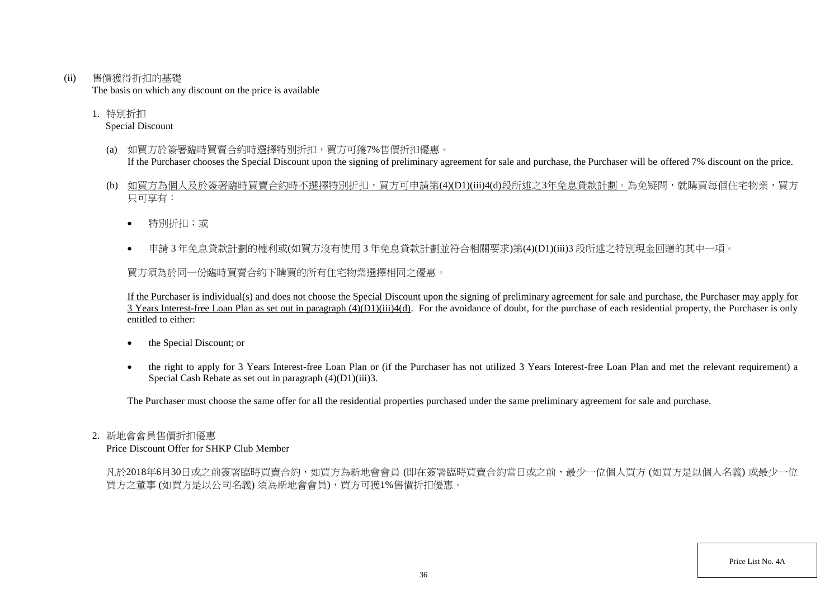(ii) 售價獲得折扣的基礎

The basis on which any discount on the price is available

1. 特別折扣 Special Discount

- (a) 如買方於簽署臨時買賣合約時選擇特別折扣,買方可獲7%售價折扣優惠。 If the Purchaser chooses the Special Discount upon the signing of preliminary agreement for sale and purchase, the Purchaser will be offered 7% discount on the price.
- (b) 如買方為個人及於簽署臨時買賣合約時不選擇特別折扣,買方可申請第(4)(D1)(iii)4(d)段所述之3年免息貸款計劃。為免疑問,就購買每個住宅物業,買方 只可享有:
	- 特別折扣;或
	- 申請 3 年免息貸款計劃的權利或(如買方沒有使用 3 年免息貸款計劃並符合相關要求)第(4)(D1)(iii)3 段所述之特別現金回贈的其中一項。

買方須為於同一份臨時買賣合約下購買的所有住宅物業選擇相同之優惠。

If the Purchaser is individual(s) and does not choose the Special Discount upon the signing of preliminary agreement for sale and purchase, the Purchaser may apply for  $\overline{3}$  Years Interest-free Loan Plan as set out in paragraph  $(4)(D1)(iii)4(d)$ . For the avoidance of doubt, for the purchase of each residential property, the Purchaser is only entitled to either:

- the Special Discount; or
- the right to apply for 3 Years Interest-free Loan Plan or (if the Purchaser has not utilized 3 Years Interest-free Loan Plan and met the relevant requirement) a Special Cash Rebate as set out in paragraph (4)(D1)(iii)3.

The Purchaser must choose the same offer for all the residential properties purchased under the same preliminary agreement for sale and purchase.

#### 2. 新地會會員售價折扣優惠

Price Discount Offer for SHKP Club Member

凡於2018年6月30日或之前簽署臨時買賣合約,如買方為新地會會員 (即在簽署臨時買賣合約當日或之前,最少一位個人買方 (如買方是以個人名義) 或最少一位 買方之董事 (如買方是以公司名義) 須為新地會會員),買方可獲1%售價折扣優惠。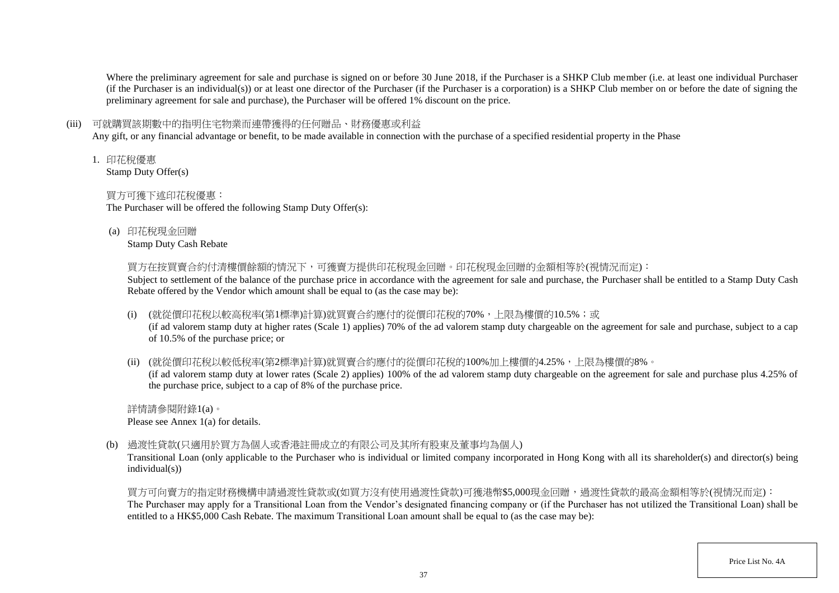Where the preliminary agreement for sale and purchase is signed on or before 30 June 2018, if the Purchaser is a SHKP Club member (i.e. at least one individual Purchaser (if the Purchaser is an individual(s)) or at least one director of the Purchaser (if the Purchaser is a corporation) is a SHKP Club member on or before the date of signing the preliminary agreement for sale and purchase), the Purchaser will be offered 1% discount on the price.

### (iii) 可就購買該期數中的指明住宅物業而連帶獲得的任何贈品、財務優惠或利益

Any gift, or any financial advantage or benefit, to be made available in connection with the purchase of a specified residential property in the Phase

1. 印花稅優惠

Stamp Duty Offer(s)

## 買方可獲下述印花稅優惠:

The Purchaser will be offered the following Stamp Duty Offer(s):

(a) 印花稅現金回贈

Stamp Duty Cash Rebate

買方在按買賣合約付清樓價餘額的情況下,可獲賣方提供印花稅現金回贈。印花稅現金回贈的金額相等於(視情況而定):

Subject to settlement of the balance of the purchase price in accordance with the agreement for sale and purchase, the Purchaser shall be entitled to a Stamp Duty Cash Rebate offered by the Vendor which amount shall be equal to (as the case may be):

(i) (就從價印花稅以較高稅率(第1標準)計算)就買賣合約應付的從價印花稅的70%,上限為樓價的10.5%;或

(if ad valorem stamp duty at higher rates (Scale 1) applies) 70% of the ad valorem stamp duty chargeable on the agreement for sale and purchase, subject to a cap of 10.5% of the purchase price; or

(ii) (就從價印花稅以較低稅率(第2標準)計算)就買賣合約應付的從價印花稅的100%加上樓價的4.25%,上限為樓價的8%。

(if ad valorem stamp duty at lower rates (Scale 2) applies) 100% of the ad valorem stamp duty chargeable on the agreement for sale and purchase plus 4.25% of the purchase price, subject to a cap of 8% of the purchase price.

詳情請參閱附錄1(a)。 Please see Annex 1(a) for details.

(b) 過渡性貸款(只適用於買方為個人或香港註冊成立的有限公司及其所有股東及董事均為個人)

Transitional Loan (only applicable to the Purchaser who is individual or limited company incorporated in Hong Kong with all its shareholder(s) and director(s) being individual(s))

買方可向賣方的指定財務機構申請過渡性貸款或(如買方沒有使用過渡性貸款)可獲港幣\$5,000現金回贈,過渡性貸款的最高金額相等於(視情況而定): The Purchaser may apply for a Transitional Loan from the Vendor's designated financing company or (if the Purchaser has not utilized the Transitional Loan) shall be entitled to a HK\$5,000 Cash Rebate. The maximum Transitional Loan amount shall be equal to (as the case may be):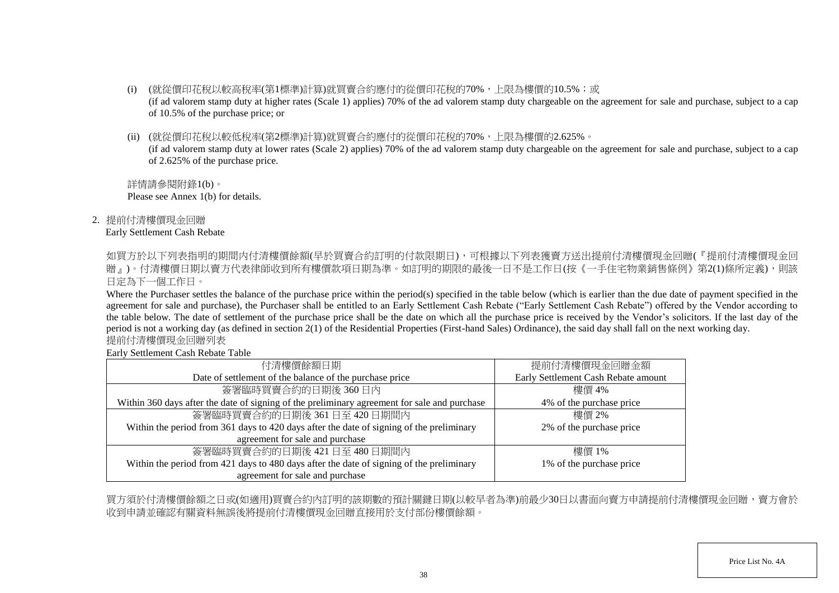- (i) (就從價印花稅以較高稅率(第1標準)計算)就買賣合約應付的從價印花稅的70%,上限為樓價的10.5%;或 (if ad valorem stamp duty at higher rates (Scale 1) applies) 70% of the ad valorem stamp duty chargeable on the agreement for sale and purchase, subject to a cap of 10.5% of the purchase price; or
- (ii) (就從價印花稅以較低稅率(第2標準)計算)就買賣合約應付的從價印花稅的70%,上限為樓價的2.625%。

(if ad valorem stamp duty at lower rates (Scale 2) applies) 70% of the ad valorem stamp duty chargeable on the agreement for sale and purchase, subject to a cap of 2.625% of the purchase price.

詳情請參閱附錄1(b)。 Please see Annex 1(b) for details.

2. 提前付清樓價現金回贈

Early Settlement Cash Rebate

如買方於以下列表指明的期間内付清樓價餘額(早於買賣合約訂明的付款限期日),可根據以下列表獲賣方送出提前付清樓價現金回贈(『提前付清樓價現金回 贈」)。付清樓價日期以賣方代表律師收到所有樓價款項日期為準。如訂明的期限的最後一日不是工作日(按《一手住宅物業銷售條例》第2(1)條所定義),則該 日定為下一個工作日。

Where the Purchaser settles the balance of the purchase price within the period(s) specified in the table below (which is earlier than the due date of payment specified in the agreement for sale and purchase), the Purchaser shall be entitled to an Early Settlement Cash Rebate ("Early Settlement Cash Rebate") offered by the Vendor according to the table below. The date of settlement of the purchase price shall be the date on which all the purchase price is received by the Vendor's solicitors. If the last day of the period is not a working day (as defined in section 2(1) of the Residential Properties (First-hand Sales) Ordinance), the said day shall fall on the next working day. 提前付清樓價現金回贈列表

Early Settlement Cash Rebate Table

| 付清樓價餘額日期                                                                                     | 提前付清樓價現金回贈金額                        |
|----------------------------------------------------------------------------------------------|-------------------------------------|
| Date of settlement of the balance of the purchase price                                      | Early Settlement Cash Rebate amount |
| 簽署臨時買賣合約的日期後360日內                                                                            | 樓價 4%                               |
| Within 360 days after the date of signing of the preliminary agreement for sale and purchase | 4% of the purchase price            |
| 簽署臨時買賣合約的日期後 361日至 420日期間內                                                                   | 樓價 2%                               |
| Within the period from 361 days to 420 days after the date of signing of the preliminary     | 2% of the purchase price            |
| agreement for sale and purchase                                                              |                                     |
| 簽署臨時買賣合約的日期後 421日至 480日期間内                                                                   | 樓價 1%                               |
| Within the period from 421 days to 480 days after the date of signing of the preliminary     | 1% of the purchase price            |
| agreement for sale and purchase                                                              |                                     |

買方須於付清樓價餘額之日或(如適用)買賣合約內訂明的該期數的預計關鍵日期(以較早者為準)前最少30日以書面向賣方申請提前付清樓價現金回贈,賣方會於 收到申請並確認有關資料無誤後將提前付清樓價現金回贈直接用於支付部份樓價餘額。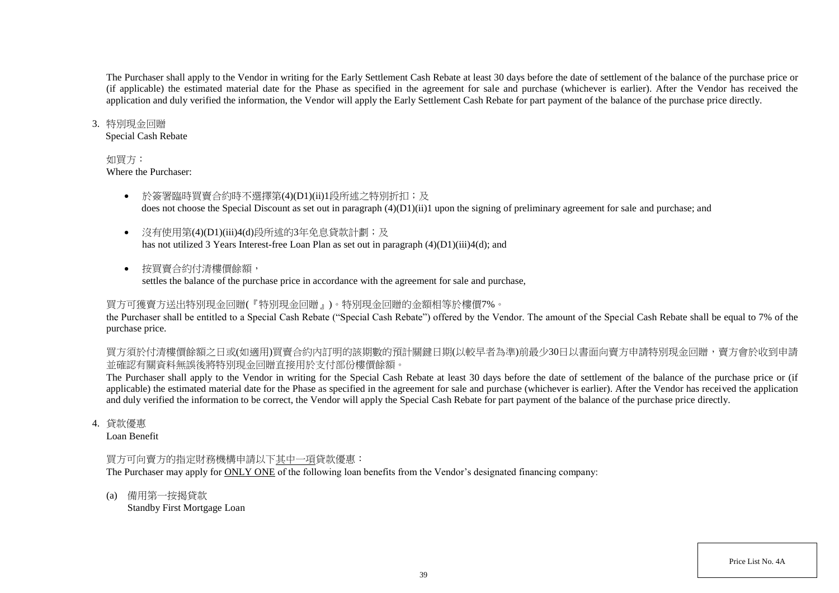The Purchaser shall apply to the Vendor in writing for the Early Settlement Cash Rebate at least 30 days before the date of settlement of the balance of the purchase price or (if applicable) the estimated material date for the Phase as specified in the agreement for sale and purchase (whichever is earlier). After the Vendor has received the application and duly verified the information, the Vendor will apply the Early Settlement Cash Rebate for part payment of the balance of the purchase price directly.

#### 3. 特別現金回贈

Special Cash Rebate

### 如買方:

Where the Purchaser:

- 於簽署臨時買賣合約時不選擇第(4)(D1)(ii)1段所述之特別折扣;及 does not choose the Special Discount as set out in paragraph (4)(D1)(ii)1 upon the signing of preliminary agreement for sale and purchase; and
- 沒有使用第(4)(D1)(iii)4(d)段所述的3年免息貸款計劃;及 has not utilized 3 Years Interest-free Loan Plan as set out in paragraph (4)(D1)(iii)4(d); and
- 按買賣合約付清樓價餘額, settles the balance of the purchase price in accordance with the agreement for sale and purchase,

## 買方可獲賣方送出特別現金回贈(『特別現金回贈』)。特別現金回贈的金額相等於樓價7%。

the Purchaser shall be entitled to a Special Cash Rebate ("Special Cash Rebate") offered by the Vendor. The amount of the Special Cash Rebate shall be equal to 7% of the purchase price.

買方須於付清樓價餘額之日或(如適用)買賣合約內訂明的該期數的預計關鍵日期(以較早者為準)前最少30日以書面向賣方申請特別現金回贈,賣方會於收到申請 並確認有關資料無誤後將特別現金回贈直接用於支付部份樓價餘額。

The Purchaser shall apply to the Vendor in writing for the Special Cash Rebate at least 30 days before the date of settlement of the balance of the purchase price or (if applicable) the estimated material date for the Phase as specified in the agreement for sale and purchase (whichever is earlier). After the Vendor has received the application and duly verified the information to be correct, the Vendor will apply the Special Cash Rebate for part payment of the balance of the purchase price directly.

4. 貸款優惠

Loan Benefit

### 買方可向賣方的指定財務機構申請以下其中一項貸款優惠:

The Purchaser may apply for ONLY ONE of the following loan benefits from the Vendor's designated financing company:

(a) 備用第一按揭貸款

Standby First Mortgage Loan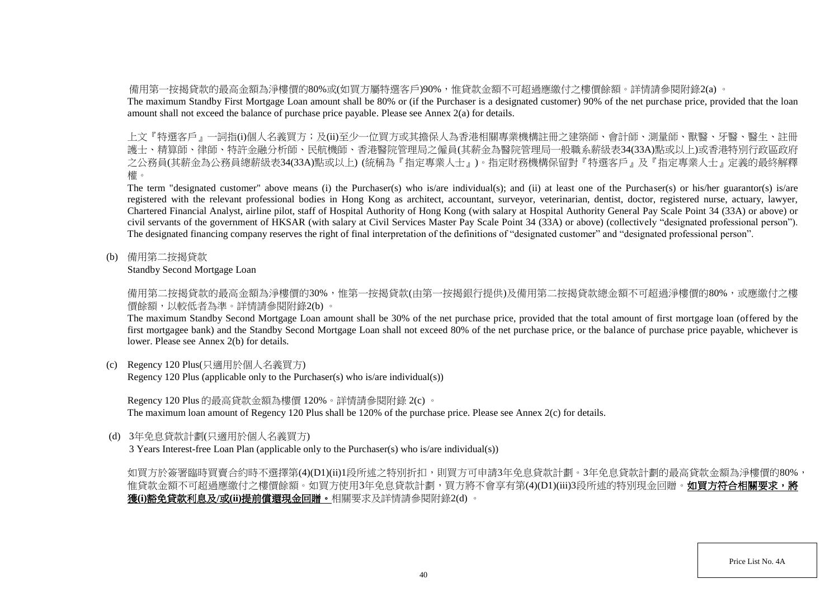備用第一按揭貸款的最高金額為淨樓價的80%或(如買方屬特選客戶)90%,惟貸款金額不可超過應繳付之樓價餘額。詳情請參閱附錄2(a) 。

The maximum Standby First Mortgage Loan amount shall be 80% or (if the Purchaser is a designated customer) 90% of the net purchase price, provided that the loan amount shall not exceed the balance of purchase price payable. Please see Annex 2(a) for details.

上文『特選客戶』一詞指(i)個人名義買方;及(ii)至少一位買方或其擔保人為香港相關專業機構註冊之建築師、會計師、測量師、獸醫、牙醫、醫生、註冊 護士、精算師、律師、特許金融分析師、民航機師、香港醫院管理局之僱員(其薪金為醫院管理局一般職系薪級表34(33A)點或以上)或香港特別行政區政府 之公務員(其薪金為公務員總薪級表34(33A)點或以上) (統稱為『指定專業人士』)。指定財務機構保留對『特選客戶』及『指定專業人士』定義的最終解釋 權。

The term "designated customer" above means (i) the Purchaser(s) who is/are individual(s); and (ii) at least one of the Purchaser(s) or his/her guarantor(s) is/are registered with the relevant professional bodies in Hong Kong as architect, accountant, surveyor, veterinarian, dentist, doctor, registered nurse, actuary, lawyer, Chartered Financial Analyst, airline pilot, staff of Hospital Authority of Hong Kong (with salary at Hospital Authority General Pay Scale Point 34 (33A) or above) or civil servants of the government of HKSAR (with salary at Civil Services Master Pay Scale Point 34 (33A) or above) (collectively "designated professional person"). The designated financing company reserves the right of final interpretation of the definitions of "designated customer" and "designated professional person".

(b) 備用第二按揭貸款

Standby Second Mortgage Loan

備用第二按揭貸款的最高金額為淨樓價的30%,惟第一按揭貸款(由第一按揭銀行提供)及備用第二按揭貸款總金額不可超過淨樓價的80%,或應繳付之樓 價餘額,以較低者為準。詳情請參閱附錄2(b) 。

The maximum Standby Second Mortgage Loan amount shall be 30% of the net purchase price, provided that the total amount of first mortgage loan (offered by the first mortgagee bank) and the Standby Second Mortgage Loan shall not exceed 80% of the net purchase price, or the balance of purchase price payable, whichever is lower. Please see Annex 2(b) for details.

(c) Regency 120 Plus(只適用於個人名義買方)

Regency 120 Plus (applicable only to the Purchaser(s) who is/are individual(s))

Regency 120 Plus 的最高貸款金額為樓價 120%。詳情請參閱附錄 2(c) 。

The maximum loan amount of Regency 120 Plus shall be 120% of the purchase price. Please see Annex 2(c) for details.

(d) 3年免息貸款計劃(只適用於個人名義買方)

3 Years Interest-free Loan Plan (applicable only to the Purchaser(s) who is/are individual(s))

如買方於簽署臨時買賣合約時不選擇第(4)(D1)(ii)1段所述之特別折扣,則買方可申請3年免息貸款計劃。3年免息貸款計劃的最高貸款金額為淨樓價的80%, 惟貸款金額不可超過應繳付之樓價餘額。如買方使用3年免息貸款計劃,買方將不會享有第(4)(D1)(iii)3段所述的特別現金回贈。**如買方符合相關要求,將** 獲**(i)**豁免貸款利息及**/**或**(ii)**提前償還現金回贈。相關要求及詳情請參閱附錄2(d) 。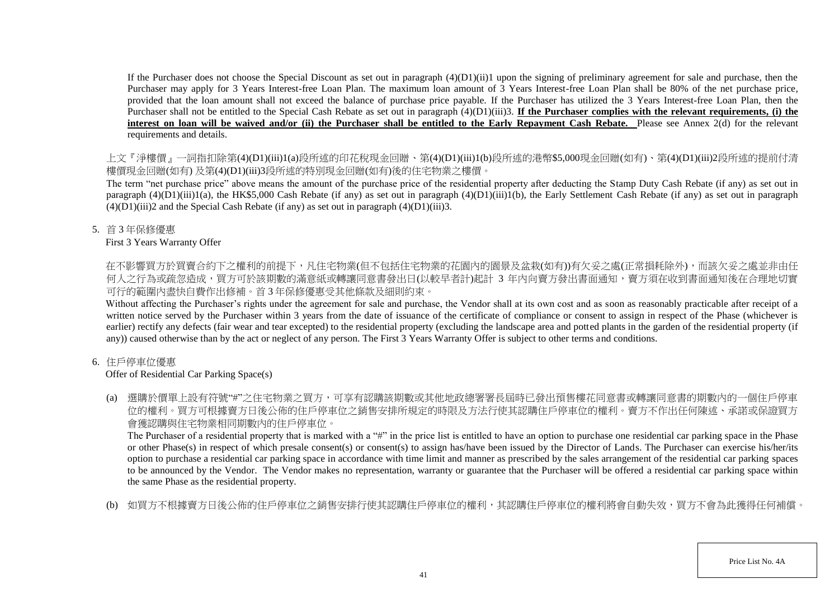If the Purchaser does not choose the Special Discount as set out in paragraph  $(4)(D1)(ii)1$  upon the signing of preliminary agreement for sale and purchase, then the Purchaser may apply for 3 Years Interest-free Loan Plan. The maximum loan amount of 3 Years Interest-free Loan Plan shall be 80% of the net purchase price, provided that the loan amount shall not exceed the balance of purchase price payable. If the Purchaser has utilized the 3 Years Interest-free Loan Plan, then the Purchaser shall not be entitled to the Special Cash Rebate as set out in paragraph (4)(D1)(iii)3. **If the Purchaser complies with the relevant requirements, (i) the** interest on loan will be waived and/or (ii) the Purchaser shall be entitled to the Early Repayment Cash Rebate. Please see Annex 2(d) for the relevant requirements and details.

上文『淨樓價』一詞指扣除第(4)(D1)(iii)1(a)段所述的印花稅現金回贈、第(4)(D1)(iii)1(b)段所述的港幣\$5,000現金回贈(如有)、第(4)(D1)(iii)2段所述的提前付清 樓價現金回贈(如有) 及第(4)(D1)(iii)3段所述的特別現金回贈(如有)後的住宅物業之樓價。

The term "net purchase price" above means the amount of the purchase price of the residential property after deducting the Stamp Duty Cash Rebate (if any) as set out in paragraph  $(4)(D1)(iii)1(a)$ , the HK\$5,000 Cash Rebate (if any) as set out in paragraph  $(4)(D1)(iii)1(b)$ , the Early Settlement Cash Rebate (if any) as set out in paragraph  $(4)(D1)(iii)2$  and the Special Cash Rebate (if any) as set out in paragraph  $(4)(D1)(iii)3$ .

5. 首 3 年保修優惠

### First 3 Years Warranty Offer

在不影響買方於買賣合約下之權利的前提下,凡住宅物業(但不包括住宅物業的花園內的園景及盆栽(如有))有欠妥之處(正常損耗除外),而該欠妥之處並非由任 何人之行為或疏忽造成,買方可於該期數的滿意紙或轉讓同意書發出日(以較早者計)起計 3 年内向賣方發出書面通知,賣方須在收到書面通知後在合理地切實 可行的範圍內盡快自費作出修補。首 3 年保修優惠受其他條款及細則約束。

Without affecting the Purchaser's rights under the agreement for sale and purchase, the Vendor shall at its own cost and as soon as reasonably practicable after receipt of a written notice served by the Purchaser within 3 years from the date of issuance of the certificate of compliance or consent to assign in respect of the Phase (whichever is earlier) rectify any defects (fair wear and tear excepted) to the residential property (excluding the landscape area and potted plants in the garden of the residential property (if any)) caused otherwise than by the act or neglect of any person. The First 3 Years Warranty Offer is subject to other terms and conditions.

## 6. 住戶停車位優惠

# Offer of Residential Car Parking Space(s)

(a) 選購於價單上設有符號"#"之住宅物業之買方,可享有認購該期數或其他地政總署署長屆時已發出預售樓花同意書或轉讓同意書的期數內的一個住戶停車 位的權利。買方可根據賣方日後公佈的住戶停車位之銷售安排所規定的時限及方法行使其認購住戶停車位的權利。賣方不作出任何陳述、承諾或保證買方 會獲認購與住宅物業相同期數內的住戶停車位。

The Purchaser of a residential property that is marked with a "#" in the price list is entitled to have an option to purchase one residential car parking space in the Phase or other Phase(s) in respect of which presale consent(s) or consent(s) to assign has/have been issued by the Director of Lands. The Purchaser can exercise his/her/its option to purchase a residential car parking space in accordance with time limit and manner as prescribed by the sales arrangement of the residential car parking spaces to be announced by the Vendor. The Vendor makes no representation, warranty or guarantee that the Purchaser will be offered a residential car parking space within the same Phase as the residential property.

(b) 如買方不根據賣方日後公佈的住戶停車位之銷售安排行使其認購住戶停車位的權利,其認購住戶停車位的權利將會自動失效,買方不會為此獲得任何補償。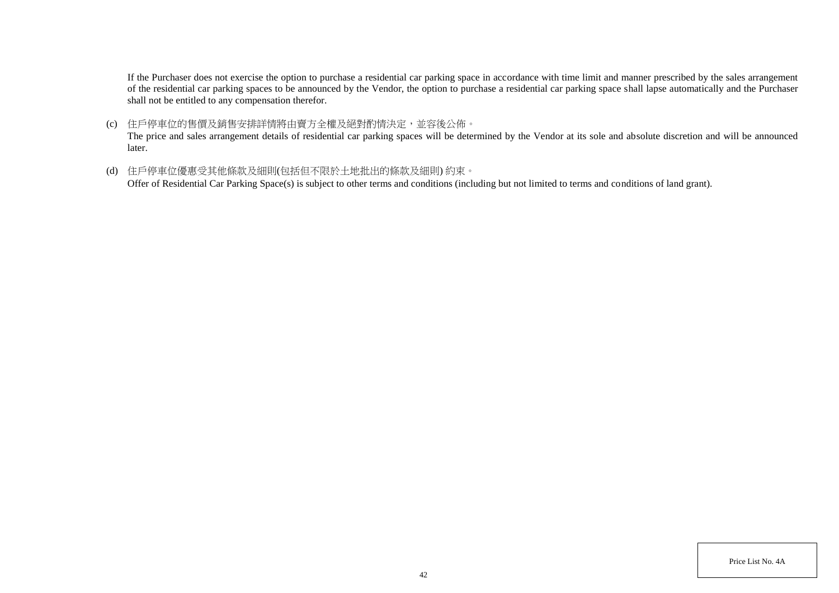If the Purchaser does not exercise the option to purchase a residential car parking space in accordance with time limit and manner prescribed by the sales arrangement of the residential car parking spaces to be announced by the Vendor, the option to purchase a residential car parking space shall lapse automatically and the Purchaser shall not be entitled to any compensation therefor.

(c) 住戶停車位的售價及銷售安排詳情將由賣方全權及絕對酌情決定,並容後公佈。

The price and sales arrangement details of residential car parking spaces will be determined by the Vendor at its sole and absolute discretion and will be announced later.

(d) 住戶停車位優惠受其他條款及細則(包括但不限於土地批出的條款及細則) 約束。

Offer of Residential Car Parking Space(s) is subject to other terms and conditions (including but not limited to terms and conditions of land grant).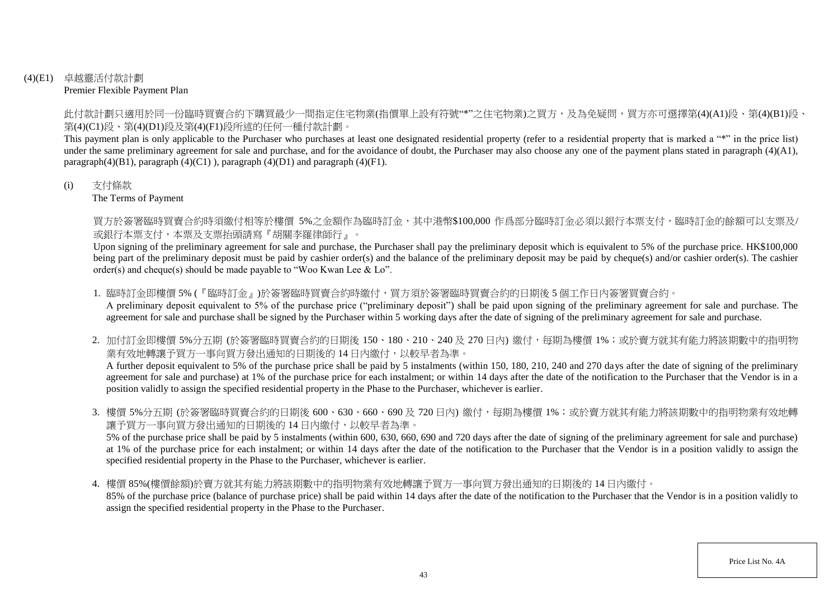### (4)(E1) 卓越靈活付款計劃 Premier Flexible Payment Plan

此付款計劃只適用於同一份臨時買賣合約下購買最少一間指定住宅物業(指價單上設有符號"\*"之住宅物業)之買方,及為免疑問,買方亦可選擇第(4)(A1)段、第(4)(B1)段、 第(4)(C1)段、第(4)(D1)段及第(4)(F1)段所述的任何一種付款計劃。

This payment plan is only applicable to the Purchaser who purchases at least one designated residential property (refer to a residential property that is marked a "\*" in the price list) under the same preliminary agreement for sale and purchase, and for the avoidance of doubt, the Purchaser may also choose any one of the payment plans stated in paragraph (4)(A1), paragraph $(4)(B1)$ , paragraph  $(4)(C1)$ ), paragraph  $(4)(D1)$  and paragraph  $(4)(F1)$ .

### (i) 支付條款

The Terms of Payment

買方於簽署臨時買賣合約時須繳付相等於樓價 5%之金額作為臨時訂金,其中港幣\$100,000 作爲部分臨時訂金必須以銀行本票支付,臨時訂金的餘額可以支票及/ 或銀行本票支付,本票及支票抬頭請寫『胡關李羅律師行』。

Upon signing of the preliminary agreement for sale and purchase, the Purchaser shall pay the preliminary deposit which is equivalent to 5% of the purchase price. HK\$100,000 being part of the preliminary deposit must be paid by cashier order(s) and the balance of the preliminary deposit may be paid by cheque(s) and/or cashier order(s). The cashier order(s) and cheque(s) should be made payable to "Woo Kwan Lee & Lo".

1. 臨時訂金即樓價 5% (『臨時訂金』)於簽署臨時買賣合約時繳付,買方須於簽署臨時買賣合約的日期後 5 個工作日内簽署買賣合約。

A preliminary deposit equivalent to 5% of the purchase price ("preliminary deposit") shall be paid upon signing of the preliminary agreement for sale and purchase. The agreement for sale and purchase shall be signed by the Purchaser within 5 working days after the date of signing of the preliminary agreement for sale and purchase.

2. 加付訂金即樓價 5%分五期 (於簽署臨時買賣合約的日期後 150、180、210、240及 270日內) 繳付,每期為樓價 1%;或於賣方就其有能力將該期數中的指明物 業有效地轉讓予買方一事向買方發出通知的日期後的 14 日内繳付,以較早者為準。

A further deposit equivalent to 5% of the purchase price shall be paid by 5 instalments (within 150, 180, 210, 240 and 270 days after the date of signing of the preliminary agreement for sale and purchase) at 1% of the purchase price for each instalment; or within 14 days after the date of the notification to the Purchaser that the Vendor is in a position validly to assign the specified residential property in the Phase to the Purchaser, whichever is earlier.

3. 樓價 5%分五期 (於簽署臨時買賣合約的日期後 600、630、660、690 及 720 日內) 繳付,每期為樓價 1%;或於賣方就其有能力將該期數中的指明物業有效地轉 讓予買方一事向買方發出通知的日期後的 14 日內繳付,以較早者為準。

5% of the purchase price shall be paid by 5 instalments (within 600, 630, 660, 690 and 720 days after the date of signing of the preliminary agreement for sale and purchase) at 1% of the purchase price for each instalment; or within 14 days after the date of the notification to the Purchaser that the Vendor is in a position validly to assign the specified residential property in the Phase to the Purchaser, whichever is earlier.

4. 樓價 85%(樓價餘額)於賣方就其有能力將該期數中的指明物業有效地轉讓予買方一事向買方發出通知的日期後的 14 日內繳付。

85% of the purchase price (balance of purchase price) shall be paid within 14 days after the date of the notification to the Purchaser that the Vendor is in a position validly to assign the specified residential property in the Phase to the Purchaser.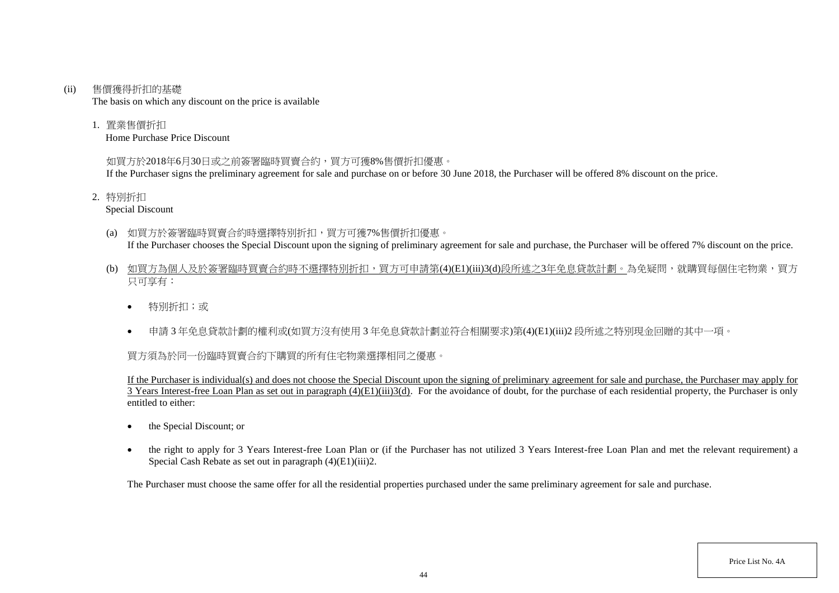#### (ii) 售價獲得折扣的基礎

The basis on which any discount on the price is available

1. 置業售價折扣

Home Purchase Price Discount

## 如買方於2018年6月30日或之前簽署臨時買賣合約,買方可獲8%售價折扣優惠。

If the Purchaser signs the preliminary agreement for sale and purchase on or before 30 June 2018, the Purchaser will be offered 8% discount on the price.

2. 特別折扣

Special Discount

- (a) 如買方於簽署臨時買賣合約時選擇特別折扣,買方可獲7%售價折扣優惠。 If the Purchaser chooses the Special Discount upon the signing of preliminary agreement for sale and purchase, the Purchaser will be offered 7% discount on the price.
- (b) 如買方為個人及於簽署臨時買賣合約時不選擇特別折扣,買方可申請第(4)(E1)(iii)3(d)段所述之3年免息貸款計劃。為免疑問,就購買每個住宅物業,買方 只可享有:
	- 特別折扣;或
	- 申請 3 年免息貸款計劃的權利或(如買方沒有使用 3 年免息貸款計劃並符合相關要求)第(4)(E1)(iii)2 段所述之特別現金回贈的其中一項。

# 買方須為於同一份臨時買賣合約下購買的所有住宅物業選擇相同之優惠。

If the Purchaser is individual(s) and does not choose the Special Discount upon the signing of preliminary agreement for sale and purchase, the Purchaser may apply for  $\overline{3}$  Years Interest-free Loan Plan as set out in paragraph (4)(E1)(iii)3(d). For the avoidance of doubt, for the purchase of each residential property, the Purchaser is only entitled to either:

- the Special Discount: or
- the right to apply for 3 Years Interest-free Loan Plan or (if the Purchaser has not utilized 3 Years Interest-free Loan Plan and met the relevant requirement) a Special Cash Rebate as set out in paragraph (4)(E1)(iii)2.

The Purchaser must choose the same offer for all the residential properties purchased under the same preliminary agreement for sale and purchase.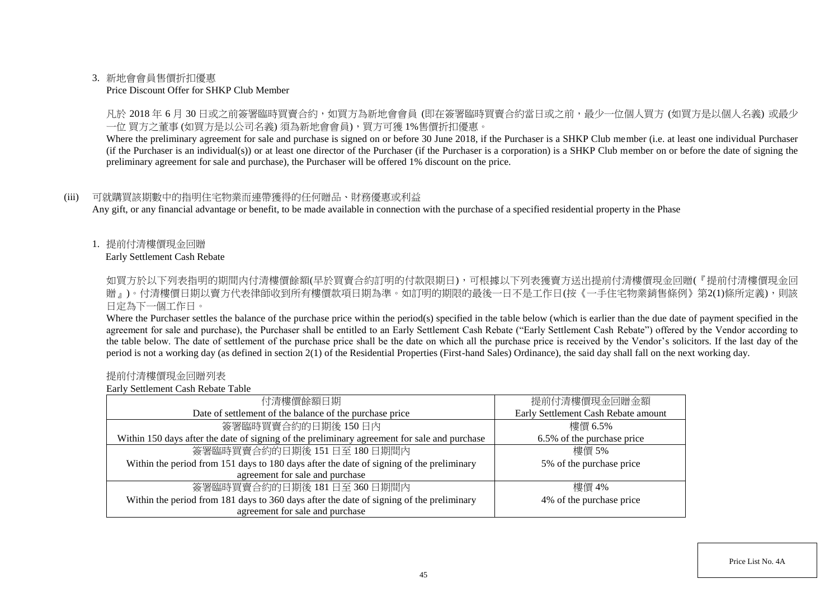### 3. 新地會會員售價折扣優惠

#### Price Discount Offer for SHKP Club Member

凡於 2018 年 6 月 30 日或之前簽署臨時買賣合約,如買方為新地會會員 (即在簽署臨時買賣合約當日或之前,最少一位個人買方 (如買方是以個人名義) 或最少 一位 買方之董事 (如買方是以公司名義) 須為新地會會員),買方可獲 1%售價折扣優惠。

Where the preliminary agreement for sale and purchase is signed on or before 30 June 2018, if the Purchaser is a SHKP Club member (i.e. at least one individual Purchaser (if the Purchaser is an individual(s)) or at least one director of the Purchaser (if the Purchaser is a corporation) is a SHKP Club member on or before the date of signing the preliminary agreement for sale and purchase), the Purchaser will be offered 1% discount on the price.

### (iii) 可就購買該期數中的指明住宅物業而連帶獲得的任何贈品、財務優惠或利益

Any gift, or any financial advantage or benefit, to be made available in connection with the purchase of a specified residential property in the Phase

1. 提前付清樓價現金回贈

Early Settlement Cash Rebate

如買方於以下列表指明的期間内付清樓價餘額(早於買賣合約訂明的付款限期日),可根據以下列表獲賣方送出提前付清樓價現金回贈(『提前付清樓價現金回 贈』)。付清樓價日期以賣方代表律師收到所有樓價款項日期為準。如訂明的期限的最後一日不是工作日(按《一手住宅物業銷售條例》第2(1)條所定義),則該 日定為下一個工作日。

Where the Purchaser settles the balance of the purchase price within the period(s) specified in the table below (which is earlier than the due date of payment specified in the agreement for sale and purchase), the Purchaser shall be entitled to an Early Settlement Cash Rebate ("Early Settlement Cash Rebate") offered by the Vendor according to the table below. The date of settlement of the purchase price shall be the date on which all the purchase price is received by the Vendor's solicitors. If the last day of the period is not a working day (as defined in section 2(1) of the Residential Properties (First-hand Sales) Ordinance), the said day shall fall on the next working day.

#### 提前付清樓價現金回贈列表

Early Settlement Cash Rebate Table

| 付清樓價餘額日期                                                                                     | 提前付清樓價現金回贈金額                        |
|----------------------------------------------------------------------------------------------|-------------------------------------|
| Date of settlement of the balance of the purchase price                                      | Early Settlement Cash Rebate amount |
| 簽署臨時買賣合約的日期後150日內                                                                            | 樓價 6.5%                             |
| Within 150 days after the date of signing of the preliminary agreement for sale and purchase | 6.5% of the purchase price          |
| 簽署臨時買賣合約的日期後 151日至 180日期間內                                                                   | 樓價 5%                               |
| Within the period from 151 days to 180 days after the date of signing of the preliminary     | 5% of the purchase price            |
| agreement for sale and purchase                                                              |                                     |
| 簽署臨時買賣合約的日期後 181日至 360日期間內                                                                   | 樓價 4%                               |
| Within the period from 181 days to 360 days after the date of signing of the preliminary     | 4% of the purchase price            |
| agreement for sale and purchase                                                              |                                     |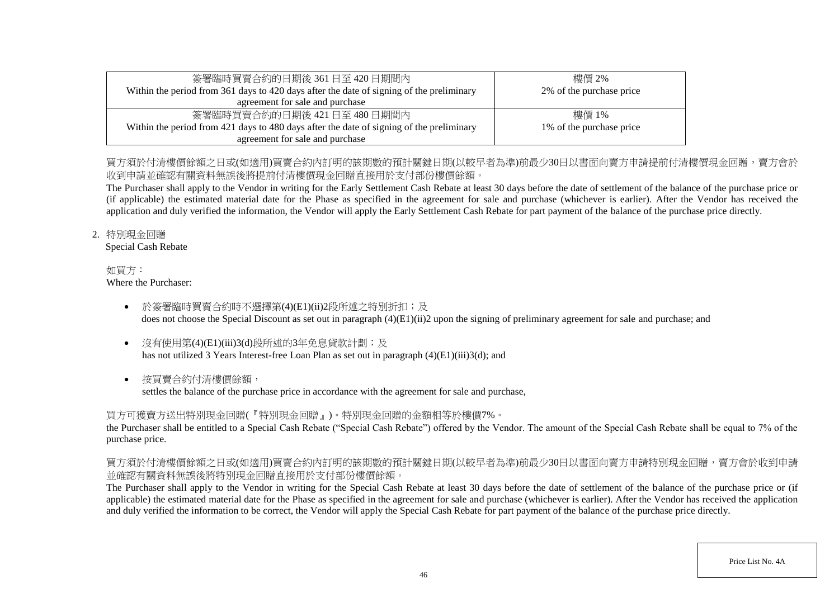| 簽署臨時買賣合約的日期後 361 日至 420 日期間內                                                             | 樓價 2%                    |
|------------------------------------------------------------------------------------------|--------------------------|
| Within the period from 361 days to 420 days after the date of signing of the preliminary | 2% of the purchase price |
| agreement for sale and purchase                                                          |                          |
| 簽署臨時買賣合約的日期後 421日至 480日期間内                                                               | 樓價 1%                    |
| Within the period from 421 days to 480 days after the date of signing of the preliminary | 1% of the purchase price |
| agreement for sale and purchase                                                          |                          |

## 買方須於付清樓價餘額之日或(如適用)買賣合約內訂明的該期數的預計關鍵日期(以較早者為進)前最少30日以書面向賣方申請提前付清樓價現金回贈,賣方會於 收到申請並確認有關資料無誤後將提前付清樓價現金回贈直接用於支付部份樓價餘額。

The Purchaser shall apply to the Vendor in writing for the Early Settlement Cash Rebate at least 30 days before the date of settlement of the balance of the purchase price or (if applicable) the estimated material date for the Phase as specified in the agreement for sale and purchase (whichever is earlier). After the Vendor has received the application and duly verified the information, the Vendor will apply the Early Settlement Cash Rebate for part payment of the balance of the purchase price directly.

### 2. 特別現金回贈

Special Cash Rebate

#### 如買方: Where the Purchaser:

- 於簽署臨時買賣合約時不選擇第(4)(E1)(ii)2段所述之特別折扣;及 does not choose the Special Discount as set out in paragraph (4)(E1)(ii)2 upon the signing of preliminary agreement for sale and purchase; and
- 沒有使用第(4)(E1)(iii)3(d)段所述的3年免息貸款計劃;及 has not utilized 3 Years Interest-free Loan Plan as set out in paragraph (4)(E1)(iii)3(d); and
- 按買賣合約付清樓價餘額,

settles the balance of the purchase price in accordance with the agreement for sale and purchase,

# 買方可獲賣方送出特別現金回贈(『特別現金回贈』)。特別現金回贈的金額相等於樓價7%。

the Purchaser shall be entitled to a Special Cash Rebate ("Special Cash Rebate") offered by the Vendor. The amount of the Special Cash Rebate shall be equal to 7% of the purchase price.

# 買方須於付清樓價餘額之日或(如適用)買賣合約內訂明的該期數的預計關鍵日期(以較早者為準)前最少30日以書面向賣方申請特別現金回贈,賣方會於收到申請 並確認有關資料無誤後將特別現金回贈直接用於支付部份樓價餘額。

The Purchaser shall apply to the Vendor in writing for the Special Cash Rebate at least 30 days before the date of settlement of the balance of the purchase price or (if applicable) the estimated material date for the Phase as specified in the agreement for sale and purchase (whichever is earlier). After the Vendor has received the application and duly verified the information to be correct, the Vendor will apply the Special Cash Rebate for part payment of the balance of the purchase price directly.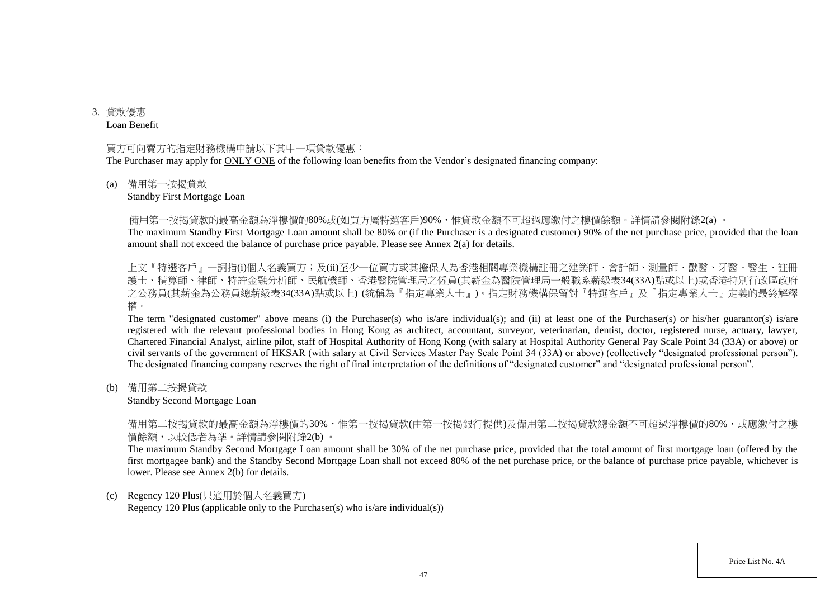3. 貸款優惠 Loan Benefit

#### 買方可向賣方的指定財務機構申請以下其中一項貸款優惠:

The Purchaser may apply for ONLY ONE of the following loan benefits from the Vendor's designated financing company:

#### (a) 備用第一按揭貸款

#### Standby First Mortgage Loan

備用第一按揭貸款的最高金額為淨樓價的80%或(如買方屬特選客戶)90%,惟貸款金額不可超過應繳付之樓價餘額。詳情請參閱附錄2(a) 。

The maximum Standby First Mortgage Loan amount shall be 80% or (if the Purchaser is a designated customer) 90% of the net purchase price, provided that the loan amount shall not exceed the balance of purchase price payable. Please see Annex 2(a) for details.

上文『特選客戶』一詞指(i)個人名義買方;及(ii)至少一位買方或其擔保人為香港相關專業機構註冊之建築師、會計師、測量師、獸醫、牙醫、醫生、註冊 護士、精算師、律師、特許金融分析師、民航機師、香港醫院管理局之僱員(其薪金為醫院管理局一般職系薪級表34(33A)點或以上)或香港特別行政區政府 之公務員(其薪金為公務員總薪級表34(33A)點或以上) (統稱為『指定專業人士』)。指定財務機構保留對『特選客戶』及『指定專業人士』定義的最終解釋 權。

The term "designated customer" above means (i) the Purchaser(s) who is/are individual(s); and (ii) at least one of the Purchaser(s) or his/her guarantor(s) is/are registered with the relevant professional bodies in Hong Kong as architect, accountant, surveyor, veterinarian, dentist, doctor, registered nurse, actuary, lawyer, Chartered Financial Analyst, airline pilot, staff of Hospital Authority of Hong Kong (with salary at Hospital Authority General Pay Scale Point 34 (33A) or above) or civil servants of the government of HKSAR (with salary at Civil Services Master Pay Scale Point 34 (33A) or above) (collectively "designated professional person"). The designated financing company reserves the right of final interpretation of the definitions of "designated customer" and "designated professional person".

(b) 備用第二按揭貸款

#### Standby Second Mortgage Loan

備用第二按揭貸款的最高金額為淨樓價的30%,惟第一按揭貸款(由第一按揭銀行提供)及備用第二按揭貸款總金額不可超過淨樓價的80%,或應繳付之樓 價餘額,以較低者為準。詳情請參閱附錄2(b) 。

The maximum Standby Second Mortgage Loan amount shall be 30% of the net purchase price, provided that the total amount of first mortgage loan (offered by the first mortgagee bank) and the Standby Second Mortgage Loan shall not exceed 80% of the net purchase price, or the balance of purchase price payable, whichever is lower. Please see Annex 2(b) for details.

#### (c) Regency 120 Plus(只適用於個人名義買方)

Regency 120 Plus (applicable only to the Purchaser(s) who is/are individual(s))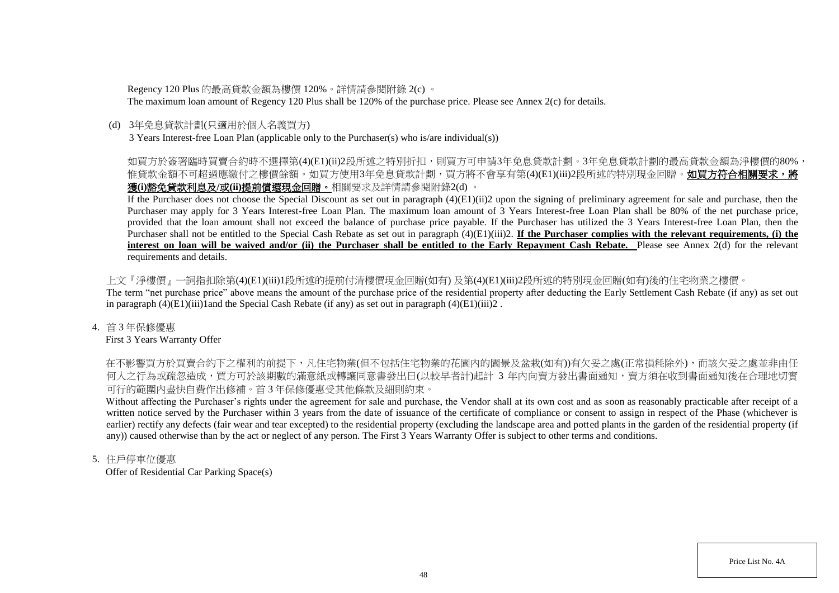Regency 120 Plus 的最高貸款金額為樓價 120%。詳情請參閱附錄 2(c) 。

The maximum loan amount of Regency 120 Plus shall be 120% of the purchase price. Please see Annex 2(c) for details.

### (d) 3年免息貸款計劃(只適用於個人名義買方)

3 Years Interest-free Loan Plan (applicable only to the Purchaser(s) who is/are individual(s))

## 如買方於簽署臨時買賣合約時不選擇第(4)(E1)(ii)2段所述之特別折扣,則買方可申請3年免息貸款計劃。3年免息貸款計劃的最高貸款金額為淨樓價的80%, 惟貸款金額不可超過應繳付之樓價餘額。如買方使用3年免息貸款計劃,買方將不會享有第(4)(E1)(iii)2段所述的特別現金回贈。**如買方符合相關要求,將** 獲**(i)**豁免貸款利息及**/**或**(ii)**提前償還現金回贈。相關要求及詳情請參閱附錄2(d) 。

If the Purchaser does not choose the Special Discount as set out in paragraph (4)(E1)(ii)2 upon the signing of preliminary agreement for sale and purchase, then the Purchaser may apply for 3 Years Interest-free Loan Plan. The maximum loan amount of 3 Years Interest-free Loan Plan shall be 80% of the net purchase price, provided that the loan amount shall not exceed the balance of purchase price payable. If the Purchaser has utilized the 3 Years Interest-free Loan Plan, then the Purchaser shall not be entitled to the Special Cash Rebate as set out in paragraph  $(4)(E1)(iii)2$ . **If the Purchaser complies with the relevant requirements, (i) the interest on loan will be waived and/or (ii) the Purchaser shall be entitled to the Early Repayment Cash Rebate.** Please see Annex 2(d) for the relevant requirements and details.

上文『淨樓價』一詞指扣除第(4)(E1)(iii)1段所述的提前付清樓價現金回贈(如有) 及第(4)(E1)(iii)2段所述的特別現金回贈(如有)後的住宅物業之樓價。 The term "net purchase price" above means the amount of the purchase price of the residential property after deducting the Early Settlement Cash Rebate (if any) as set out in paragraph  $(4)(E1)(iii)1$  and the Special Cash Rebate (if any) as set out in paragraph  $(4)(E1)(iii)2$ .

### 4. 首 3 年保修優惠

First 3 Years Warranty Offer

在不影響買方於買賣合約下之權利的前提下,凡住宅物業(但不包括住宅物業的花園內的園景及盆栽(如有))有欠妥之處(正常損耗除外),而該欠妥之處並非由任 何人之行為或疏忽造成,買方可於該期數的滿意紙或轉讓同意書發出日(以較早者計)起計 3 年内向賣方發出書面通知,賣方須在收到書面通知後在合理地切實 可行的範圍內盡快自費作出修補。首 3 年保修優惠受其他條款及細則約束。

Without affecting the Purchaser's rights under the agreement for sale and purchase, the Vendor shall at its own cost and as soon as reasonably practicable after receipt of a written notice served by the Purchaser within 3 years from the date of issuance of the certificate of compliance or consent to assign in respect of the Phase (whichever is earlier) rectify any defects (fair wear and tear excepted) to the residential property (excluding the landscape area and potted plants in the garden of the residential property (if any)) caused otherwise than by the act or neglect of any person. The First 3 Years Warranty Offer is subject to other terms and conditions.

### 5. 住戶停車位優惠

Offer of Residential Car Parking Space(s)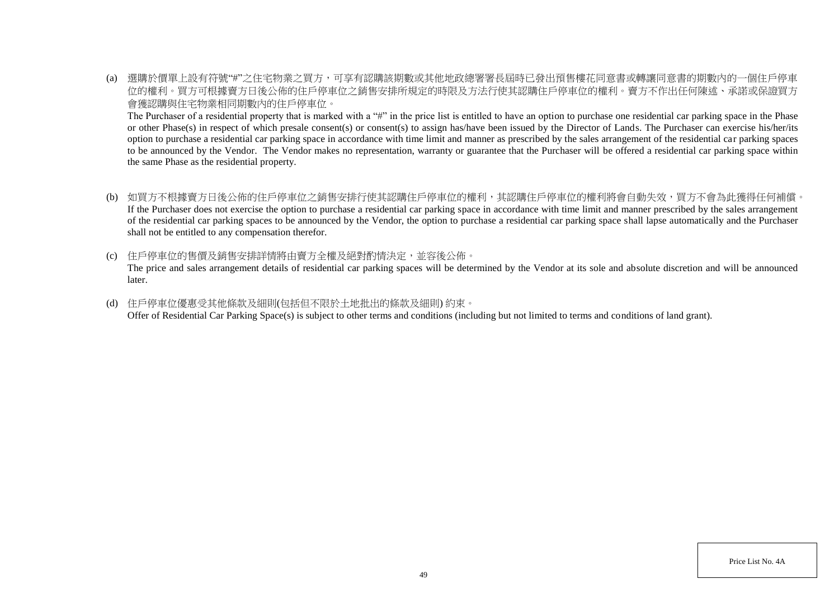(a) 選購於價單上設有符號"#"之住宅物業之買方,可享有認購該期數或其他地政總署署長屆時已發出預售樓花同意書或轉讓同意書的期數內的一個住戶停車 位的權利。買方可根據賣方日後公佈的住戶停車位之銷售安排所規定的時限及方法行使其認購住戶停車位的權利。賣方不作出任何陳述、承諾或保證買方 會獲認購與住宅物業相同期數內的住戶停車位。

The Purchaser of a residential property that is marked with a "#" in the price list is entitled to have an option to purchase one residential car parking space in the Phase or other Phase(s) in respect of which presale consent(s) or consent(s) to assign has/have been issued by the Director of Lands. The Purchaser can exercise his/her/its option to purchase a residential car parking space in accordance with time limit and manner as prescribed by the sales arrangement of the residential car parking spaces to be announced by the Vendor. The Vendor makes no representation, warranty or guarantee that the Purchaser will be offered a residential car parking space within the same Phase as the residential property.

- (b) 如買方不根據賣方日後公佈的住戶停車位之銷售安排行使其認購住戶停車位的權利,其認購住戶停車位的權利將會自動失效,買方不會為此獲得任何補償。 If the Purchaser does not exercise the option to purchase a residential car parking space in accordance with time limit and manner prescribed by the sales arrangement of the residential car parking spaces to be announced by the Vendor, the option to purchase a residential car parking space shall lapse automatically and the Purchaser shall not be entitled to any compensation therefor.
- (c) 住戶停車位的售價及銷售安排詳情將由賣方全權及絕對酌情決定,並容後公佈。

The price and sales arrangement details of residential car parking spaces will be determined by the Vendor at its sole and absolute discretion and will be announced later.

(d) 住戶停車位優惠受其他條款及細則(包括但不限於土地批出的條款及細則) 約束。 Offer of Residential Car Parking Space(s) is subject to other terms and conditions (including but not limited to terms and conditions of land grant).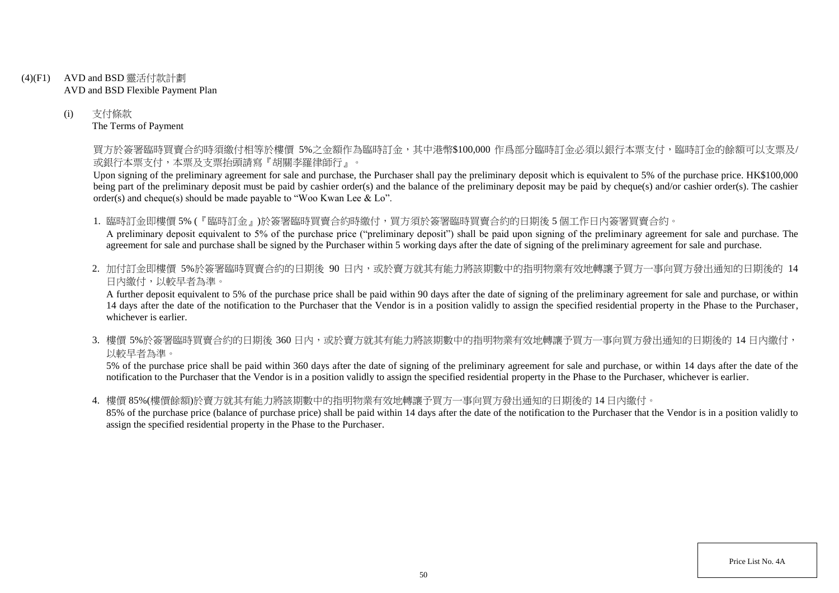- (4)(F1) AVD and BSD 靈活付款計劃 AVD and BSD Flexible Payment Plan
	- (i) 支付條款 The Terms of Payment

買方於簽署臨時買賣合約時須繳付相等於樓價 5%之金額作為臨時訂金,其中港幣\$100,000 作爲部分臨時訂金必須以銀行本票支付,臨時訂金的餘額可以支票及/ 或銀行本票支付,本票及支票抬頭請寫『胡關李羅律師行』。

Upon signing of the preliminary agreement for sale and purchase, the Purchaser shall pay the preliminary deposit which is equivalent to 5% of the purchase price. HK\$100,000 being part of the preliminary deposit must be paid by cashier order(s) and the balance of the preliminary deposit may be paid by cheque(s) and/or cashier order(s). The cashier order(s) and cheque(s) should be made payable to "Woo Kwan Lee & Lo".

1. 臨時訂金即樓價 5% (『臨時訂金』)於簽署臨時買賣合約時繳付,買方須於簽署臨時買賣合約的日期後 5 個工作日內簽署買賣合約。

A preliminary deposit equivalent to 5% of the purchase price ("preliminary deposit") shall be paid upon signing of the preliminary agreement for sale and purchase. The agreement for sale and purchase shall be signed by the Purchaser within 5 working days after the date of signing of the preliminary agreement for sale and purchase.

2. 加付訂金即樓價 5%於簽署臨時買賣合約的日期後 90 日内,或於賣方就其有能力將該期數中的指明物業有效地轉讓予買方一事向買方發出通知的日期後的 14 日內繳付,以較早者為準。

A further deposit equivalent to 5% of the purchase price shall be paid within 90 days after the date of signing of the preliminary agreement for sale and purchase, or within 14 days after the date of the notification to the Purchaser that the Vendor is in a position validly to assign the specified residential property in the Phase to the Purchaser, whichever is earlier.

3. 樓價 5%於簽署臨時買賣合約的日期後 360 日内,或於賣方就其有能力將該期數中的指明物業有效地轉讓予買方一事向買方發出通知的日期後的 14 日內繳付, 以較早者為準。

5% of the purchase price shall be paid within 360 days after the date of signing of the preliminary agreement for sale and purchase, or within 14 days after the date of the notification to the Purchaser that the Vendor is in a position validly to assign the specified residential property in the Phase to the Purchaser, whichever is earlier.

4. 樓價 85%(樓價餘額)於賣方就其有能力將該期數中的指明物業有效地轉讓予買方一事向買方發出通知的日期後的 14 日內繳付。

85% of the purchase price (balance of purchase price) shall be paid within 14 days after the date of the notification to the Purchaser that the Vendor is in a position validly to assign the specified residential property in the Phase to the Purchaser.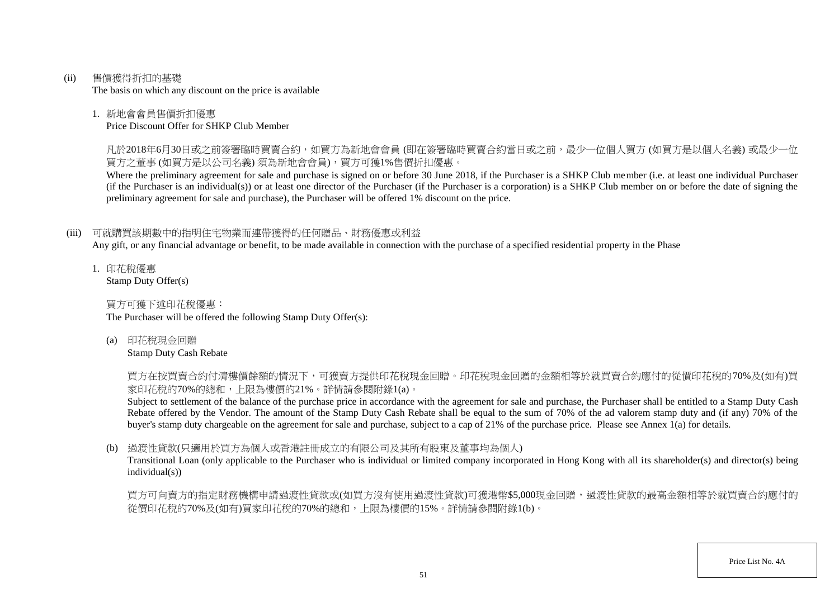(ii) 售價獲得折扣的基礎

The basis on which any discount on the price is available

### 1. 新地會會員售價折扣優惠

Price Discount Offer for SHKP Club Member

凡於2018年6月30日或之前簽署臨時買賣合約,如買方為新地會會員 (即在簽署臨時買賣合約當日或之前,最少一位個人買方 (如買方是以個人名義) 或最少一位 買方之董事 (如買方是以公司名義) 須為新地會會員),買方可獲1%售價折扣優惠。

Where the preliminary agreement for sale and purchase is signed on or before 30 June 2018, if the Purchaser is a SHKP Club member (i.e. at least one individual Purchaser (if the Purchaser is an individual(s)) or at least one director of the Purchaser (if the Purchaser is a corporation) is a SHKP Club member on or before the date of signing the preliminary agreement for sale and purchase), the Purchaser will be offered 1% discount on the price.

## (iii) 可就購買該期數中的指明住宅物業而連帶獲得的任何贈品、財務優惠或利益

Any gift, or any financial advantage or benefit, to be made available in connection with the purchase of a specified residential property in the Phase

1. 印花稅優惠 Stamp Duty Offer(s)

買方可獲下述印花稅優惠:

The Purchaser will be offered the following Stamp Duty Offer(s):

(a) 印花稅現金回贈

Stamp Duty Cash Rebate

買方在按買賣合約付清樓價餘額的情況下,可獲賣方提供印花稅現金回贈。印花稅現金回贈的金額相等於就買賣合約應付的從價印花稅的70%及(如有)買 家印花稅的70%的總和,上限為樓價的21%。詳情請參閱附錄1(a)。

Subject to settlement of the balance of the purchase price in accordance with the agreement for sale and purchase, the Purchaser shall be entitled to a Stamp Duty Cash Rebate offered by the Vendor. The amount of the Stamp Duty Cash Rebate shall be equal to the sum of 70% of the ad valorem stamp duty and (if any) 70% of the buyer's stamp duty chargeable on the agreement for sale and purchase, subject to a cap of 21% of the purchase price. Please see Annex 1(a) for details.

## (b) 過渡性貸款(只適用於買方為個人或香港註冊成立的有限公司及其所有股東及董事均為個人)

Transitional Loan (only applicable to the Purchaser who is individual or limited company incorporated in Hong Kong with all its shareholder(s) and director(s) being individual(s))

買方可向賣方的指定財務機構申請過渡性貸款或(如買方沒有使用過渡性貸款)可獲港幣\$5,000現金回贈,過渡性貸款的最高金額相等於就買賣合約應付的 從價印花稅的70%及(如有)買家印花稅的70%的總和,上限為樓價的15%。詳情請參閱附錄1(b)。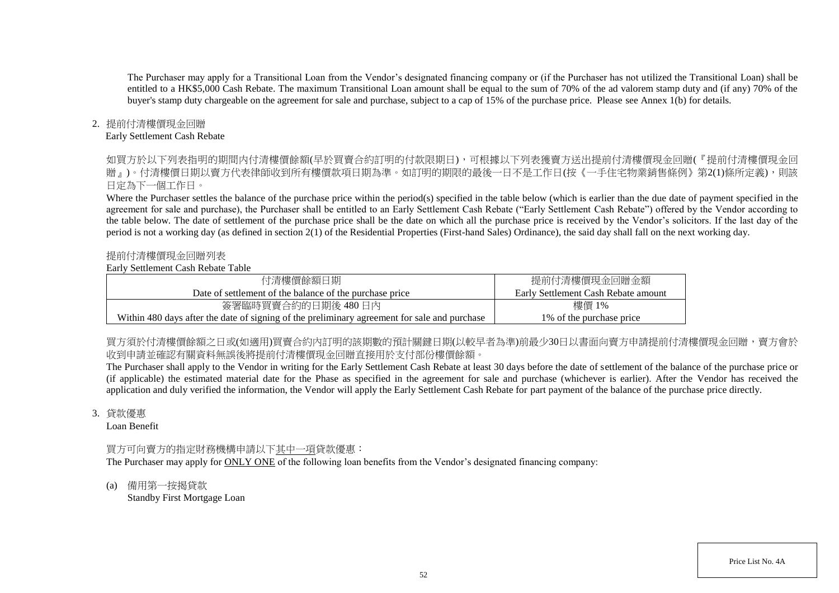The Purchaser may apply for a Transitional Loan from the Vendor's designated financing company or (if the Purchaser has not utilized the Transitional Loan) shall be entitled to a HK\$5,000 Cash Rebate. The maximum Transitional Loan amount shall be equal to the sum of 70% of the ad valorem stamp duty and (if any) 70% of the buyer's stamp duty chargeable on the agreement for sale and purchase, subject to a cap of 15% of the purchase price. Please see Annex 1(b) for details.

### 2. 提前付清樓價現金回贈

### Early Settlement Cash Rebate

如買方於以下列表指明的期間内付清樓價餘額(早於買賣合約訂明的付款限期日),可根據以下列表獲賣方送出提前付清樓價現金回贈(『提前付清樓價現金回 贈』)。付清樓價日期以賣方代表律師收到所有樓價款項日期為進。如訂明的期限的最後一日不是工作日(按《一手住宅物業銷售條例》第2(1)條所定義),則該 日定為下一個工作日。

Where the Purchaser settles the balance of the purchase price within the period(s) specified in the table below (which is earlier than the due date of payment specified in the agreement for sale and purchase), the Purchaser shall be entitled to an Early Settlement Cash Rebate ("Early Settlement Cash Rebate") offered by the Vendor according to the table below. The date of settlement of the purchase price shall be the date on which all the purchase price is received by the Vendor's solicitors. If the last day of the period is not a working day (as defined in section 2(1) of the Residential Properties (First-hand Sales) Ordinance), the said day shall fall on the next working day.

### 提前付清樓價現金回贈列表

#### Early Settlement Cash Rebate Table

| 付清樓價餘額日期                                                                                     | 提前付清樓價現金回贈金額                        |
|----------------------------------------------------------------------------------------------|-------------------------------------|
| Date of settlement of the balance of the purchase price                                      | Early Settlement Cash Rebate amount |
| 簽署臨時買賣合約的日期後 480日內                                                                           | 樓價 1%                               |
| Within 480 days after the date of signing of the preliminary agreement for sale and purchase | 1\% of the purchase price           |

買方須於付清樓價餘額之日或(如適用)買賣合約内訂明的該期數的預計關鍵日期(以較早者為準)前最少30日以書面向賣方申請提前付清樓價現金回贈,賣方會於 收到申請並確認有關資料無誤後將提前付清樓價現金回贈直接用於支付部份樓價餘額。

The Purchaser shall apply to the Vendor in writing for the Early Settlement Cash Rebate at least 30 days before the date of settlement of the balance of the purchase price or (if applicable) the estimated material date for the Phase as specified in the agreement for sale and purchase (whichever is earlier). After the Vendor has received the application and duly verified the information, the Vendor will apply the Early Settlement Cash Rebate for part payment of the balance of the purchase price directly.

#### 3. 貸款優惠

Loan Benefit

## 買方可向賣方的指定財務機構申請以下其中一項貸款優惠:

The Purchaser may apply for ONLY ONE of the following loan benefits from the Vendor's designated financing company:

(a) 備用第一按揭貸款 Standby First Mortgage Loan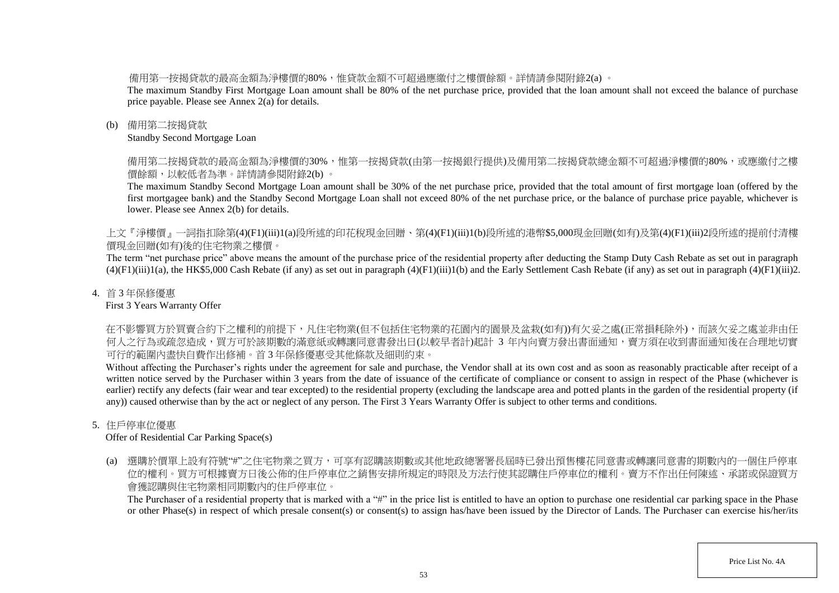備用第一按揭貸款的最高金額為淨樓價的80%,惟貸款金額不可超過應繳付之樓價餘額。詳情請參閱附錄2(a) 。

The maximum Standby First Mortgage Loan amount shall be 80% of the net purchase price, provided that the loan amount shall not exceed the balance of purchase price payable. Please see Annex 2(a) for details.

### (b) 備用第二按揭貸款

Standby Second Mortgage Loan

備用第二按揭貸款的最高金額為淨樓價的30%,惟第一按揭貸款(由第一按揭銀行提供)及備用第二按揭貸款總金額不可超過淨樓價的80%,或應繳付之樓 價餘額,以較低者為準。詳情請參閱附錄2(b) 。

The maximum Standby Second Mortgage Loan amount shall be 30% of the net purchase price, provided that the total amount of first mortgage loan (offered by the first mortgagee bank) and the Standby Second Mortgage Loan shall not exceed 80% of the net purchase price, or the balance of purchase price payable, whichever is lower. Please see Annex 2(b) for details.

上文『淨樓價』一詞指扣除第(4)(F1)(iii)1(a)段所述的印花稅現金回贈、第(4)(F1)(iii)1(b)段所述的港幣\$5,000現金回贈(如有)及第(4)(F1)(iii)2段所述的提前付清樓 價現金回贈(如有)後的住宅物業之樓價。

The term "net purchase price" above means the amount of the purchase price of the residential property after deducting the Stamp Duty Cash Rebate as set out in paragraph  $(4)(F1)(iii)1(a)$ , the HK\$5,000 Cash Rebate (if any) as set out in paragraph  $(4)(F1)(iii)1(b)$  and the Early Settlement Cash Rebate (if any) as set out in paragraph  $(4)(F1)(iii)2$ .

### 4. 首 3 年保修優惠

First 3 Years Warranty Offer

在不影響買方於買賣合約下之權利的前提下,凡住宅物業(但不包括住宅物業的花園內的園景及盆栽(如有))有欠妥之處(正常損耗除外),而該欠妥之處並非由任 何人之行為或疏忽造成,買方可於該期數的滿意紙或轉讓同意書發出日(以較早者計)起計 3 年内向賣方發出書面通知,賣方須在收到書面通知後在合理地切實 可行的範圍內盡快自費作出修補。首 3 年保修優惠受其他條款及細則約束。

Without affecting the Purchaser's rights under the agreement for sale and purchase, the Vendor shall at its own cost and as soon as reasonably practicable after receipt of a written notice served by the Purchaser within 3 years from the date of issuance of the certificate of compliance or consent to assign in respect of the Phase (whichever is earlier) rectify any defects (fair wear and tear excepted) to the residential property (excluding the landscape area and potted plants in the garden of the residential property (if any)) caused otherwise than by the act or neglect of any person. The First 3 Years Warranty Offer is subject to other terms and conditions.

## 5. 住戶停車位優惠

Offer of Residential Car Parking Space(s)

(a) 選購於價單上設有符號"#"之住宅物業之買方,可享有認購該期數或其他地政總署署長屆時已發出預售樓花同意書或轉讓同意書的期數內的一個住戶停車 位的權利。買方可根據賣方日後公佈的住戶停車位之銷售安排所規定的時限及方法行使其認購住戶停車位的權利。賣方不作出任何陳述、承諾或保證買方 會獲認購與住宅物業相同期數內的住戶停車位。

The Purchaser of a residential property that is marked with a "#" in the price list is entitled to have an option to purchase one residential car parking space in the Phase or other Phase(s) in respect of which presale consent(s) or consent(s) to assign has/have been issued by the Director of Lands. The Purchaser can exercise his/her/its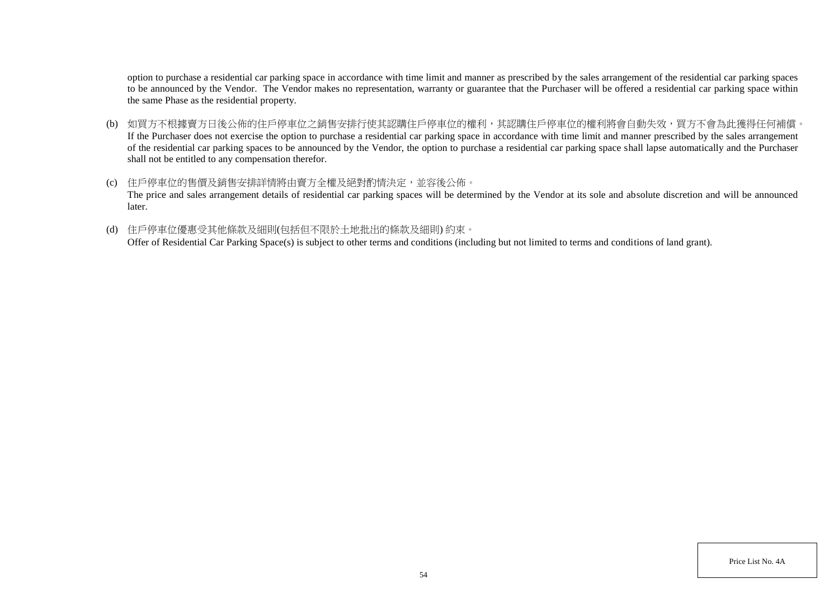option to purchase a residential car parking space in accordance with time limit and manner as prescribed by the sales arrangement of the residential car parking spaces to be announced by the Vendor. The Vendor makes no representation, warranty or guarantee that the Purchaser will be offered a residential car parking space within the same Phase as the residential property.

- (b) 如買方不根據賣方日後公佈的住戶停車位之銷售安排行使其認購住戶停車位的權利,其認購住戶停車位的權利將會自動失效,買方不會為此獲得任何補償。 If the Purchaser does not exercise the option to purchase a residential car parking space in accordance with time limit and manner prescribed by the sales arrangement of the residential car parking spaces to be announced by the Vendor, the option to purchase a residential car parking space shall lapse automatically and the Purchaser shall not be entitled to any compensation therefor.
- (c) 住戶停車位的售價及銷售安排詳情將由賣方全權及絕對酌情決定,並容後公佈。 The price and sales arrangement details of residential car parking spaces will be determined by the Vendor at its sole and absolute discretion and will be announced later.
- (d) 住戶停車位優惠受其他條款及細則(包括但不限於土地批出的條款及細則) 約束。

Offer of Residential Car Parking Space(s) is subject to other terms and conditions (including but not limited to terms and conditions of land grant).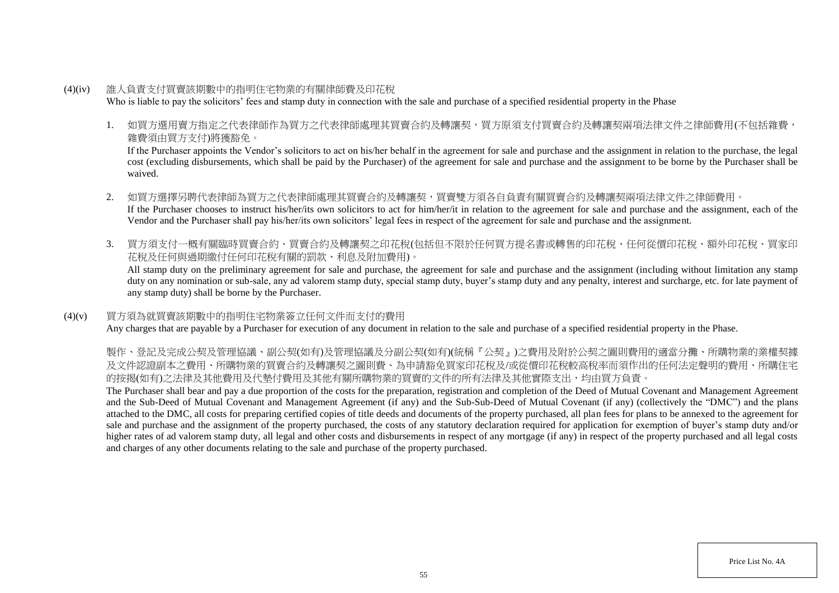- (4)(iv) 誰人負責支付買賣該期數中的指明住宅物業的有關律師費及印花稅 Who is liable to pay the solicitors' fees and stamp duty in connection with the sale and purchase of a specified residential property in the Phase
	- 1. 如買方選用賣方指定之代表律師作為買方之代表律師處理其買賣合約及轉讓契,買方原須支付買賣合約及轉讓契兩項法律文件之律師費用(不包括雜費, 雜費須由買方支付)將獲豁免。

If the Purchaser appoints the Vendor's solicitors to act on his/her behalf in the agreement for sale and purchase and the assignment in relation to the purchase, the legal cost (excluding disbursements, which shall be paid by the Purchaser) of the agreement for sale and purchase and the assignment to be borne by the Purchaser shall be waived.

- 2. 如買方選擇另聘代表律師為買方之代表律師處理其買賣合約及轉讓契,買賣雙方須各自負責有關買賣合約及轉讓契兩項法律文件之律師費用。 If the Purchaser chooses to instruct his/her/its own solicitors to act for him/her/it in relation to the agreement for sale and purchase and the assignment, each of the Vendor and the Purchaser shall pay his/her/its own solicitors' legal fees in respect of the agreement for sale and purchase and the assignment.
- 3. 買方須支付一概有關臨時買賣合約、買賣合約及轉讓契之印花稅(包括但不限於任何買方提名書或轉售的印花稅、任何從價印花稅、額外印花稅、買家印 花稅及任何與過期繳付任何印花稅有關的罰款、利息及附加費用)。

All stamp duty on the preliminary agreement for sale and purchase, the agreement for sale and purchase and the assignment (including without limitation any stamp duty on any nomination or sub-sale, any ad valorem stamp duty, special stamp duty, buyer's stamp duty and any penalty, interest and surcharge, etc. for late payment of any stamp duty) shall be borne by the Purchaser.

### (4)(v) 買方須為就買賣該期數中的指明住宅物業簽立任何文件而支付的費用

Any charges that are payable by a Purchaser for execution of any document in relation to the sale and purchase of a specified residential property in the Phase.

製作、登記及完成公契及管理協議、副公契(如有)及管理協議及分副公契(如有)(統稱『公契』)之費用及附於公契之圖則費用的適當分攤、所購物業的業權契據 及文件認證副本之費用、所購物業的買賣合約及轉讓契之圖則費、為申請豁免買家印花稅及/或從價印花稅較高稅率而須作出的任何法定聲明的費用、所購住宅 的按揭(如有)之法律及其他費用及代墊付費用及其他有關所購物業的買賣的文件的所有法律及其他實際支出,均由買方負責。

The Purchaser shall bear and pay a due proportion of the costs for the preparation, registration and completion of the Deed of Mutual Covenant and Management Agreement and the Sub-Deed of Mutual Covenant and Management Agreement (if any) and the Sub-Sub-Deed of Mutual Covenant (if any) (collectively the "DMC") and the plans attached to the DMC, all costs for preparing certified copies of title deeds and documents of the property purchased, all plan fees for plans to be annexed to the agreement for sale and purchase and the assignment of the property purchased, the costs of any statutory declaration required for application for exemption of buyer's stamp duty and/or higher rates of ad valorem stamp duty, all legal and other costs and disbursements in respect of any mortgage (if any) in respect of the property purchased and all legal costs and charges of any other documents relating to the sale and purchase of the property purchased.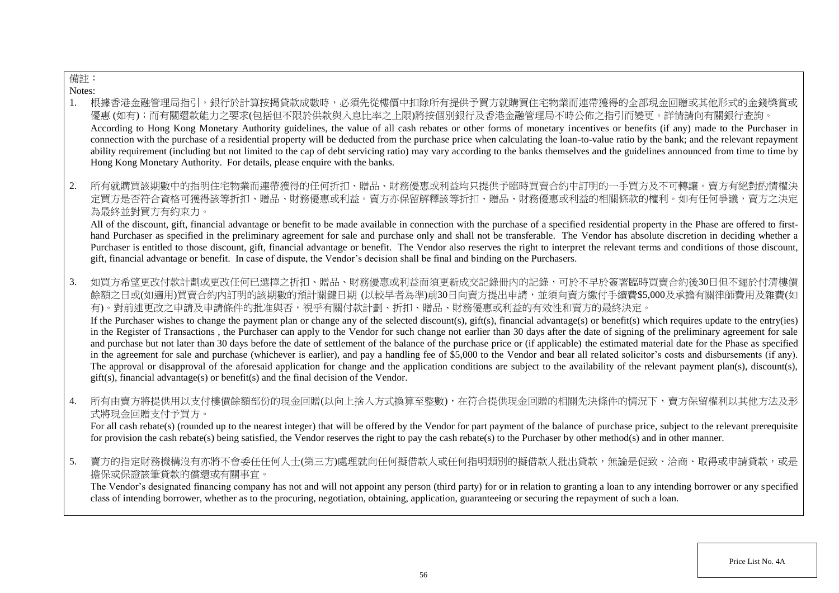# 備註:

Notes:

- 1. 根據香港金融管理局指引,銀行於計算按揭貸款成數時,必須先從樓價中扣除所有提供予買方就購買住宅物業而連帶獲得的全部現金回贈或其他形式的金錢獎賞或 優惠 (如有);而有關還款能力之要求(包括但不限於供款與入息比率之上限)將按個別銀行及香港金融管理局不時公佈之指引而變更。詳情請向有關銀行查詢。 According to Hong Kong Monetary Authority guidelines, the value of all cash rebates or other forms of monetary incentives or benefits (if any) made to the Purchaser in connection with the purchase of a residential property will be deducted from the purchase price when calculating the loan-to-value ratio by the bank; and the relevant repayment ability requirement (including but not limited to the cap of debt servicing ratio) may vary according to the banks themselves and the guidelines announced from time to time by Hong Kong Monetary Authority. For details, please enquire with the banks.
- 2. 所有就購買該期數中的指明住宅物業而連帶獲得的任何折扣、贈品、財務優惠或利益均只提供予臨時買賣合約中訂明的一手買方及不可轉讓。賣方有絕對酌情權決 定買方是否符合資格可獲得該等折扣、贈品、財務優惠或利益。賣方亦保留解釋該等折扣、贈品、財務優惠或利益的相關條款的權利。如有任何爭議,賣方之決定 為最終並對買方有約束力。

All of the discount, gift, financial advantage or benefit to be made available in connection with the purchase of a specified residential property in the Phase are offered to firsthand Purchaser as specified in the preliminary agreement for sale and purchase only and shall not be transferable. The Vendor has absolute discretion in deciding whether a Purchaser is entitled to those discount, gift, financial advantage or benefit. The Vendor also reserves the right to interpret the relevant terms and conditions of those discount, gift, financial advantage or benefit. In case of dispute, the Vendor's decision shall be final and binding on the Purchasers.

3. 如買方希望更改付款計劃或更改任何已選擇之折扣、贈品、財務優惠或利益而須更新成交記錄冊內的記錄,可於不早於簽署臨時買賣合約後30日但不遲於付清樓價 餘額之日或(如適用)買賣合約內訂明的該期數的預計關鍵日期 (以較早者為準)前30日向賣方提出申請,並須向賣方繳付手續費\$5,000及承擔有關律師費用及雜費(如 有)。對前述更改之申請及申請條件的批准與否,視乎有關付款計劃、折扣、贈品、財務優惠或利益的有效性和賣方的最終決定。

If the Purchaser wishes to change the payment plan or change any of the selected discount(s), gift(s), financial advantage(s) or benefit(s) which requires update to the entry(ies) in the Register of Transactions , the Purchaser can apply to the Vendor for such change not earlier than 30 days after the date of signing of the preliminary agreement for sale and purchase but not later than 30 days before the date of settlement of the balance of the purchase price or (if applicable) the estimated material date for the Phase as specified in the agreement for sale and purchase (whichever is earlier), and pay a handling fee of \$5,000 to the Vendor and bear all related solicitor's costs and disbursements (if any). The approval or disapproval of the aforesaid application for change and the application conditions are subject to the availability of the relevant payment plan(s), discount(s), gift(s), financial advantage(s) or benefit(s) and the final decision of the Vendor.

4. 所有由賣方將提供用以支付樓價餘額部份的現金回贈(以向上捨入方式換算至整數),在符合提供現金回贈的相關先決條件的情況下,賣方保留權利以其他方法及形 式將現金回贈支付予買方。

For all cash rebate(s) (rounded up to the nearest integer) that will be offered by the Vendor for part payment of the balance of purchase price, subject to the relevant prerequisite for provision the cash rebate(s) being satisfied, the Vendor reserves the right to pay the cash rebate(s) to the Purchaser by other method(s) and in other manner.

5. 賣方的指定財務機構沒有亦將不會委任任何人士(第三方)處理就向任何擬借款人或任何指明類別的擬借款人批出貸款,無論是促致、洽商、取得或申請貸款,或是 擔保或保證該筆貸款的償還或有關事宜。

The Vendor's designated financing company has not and will not appoint any person (third party) for or in relation to granting a loan to any intending borrower or any specified class of intending borrower, whether as to the procuring, negotiation, obtaining, application, guaranteeing or securing the repayment of such a loan.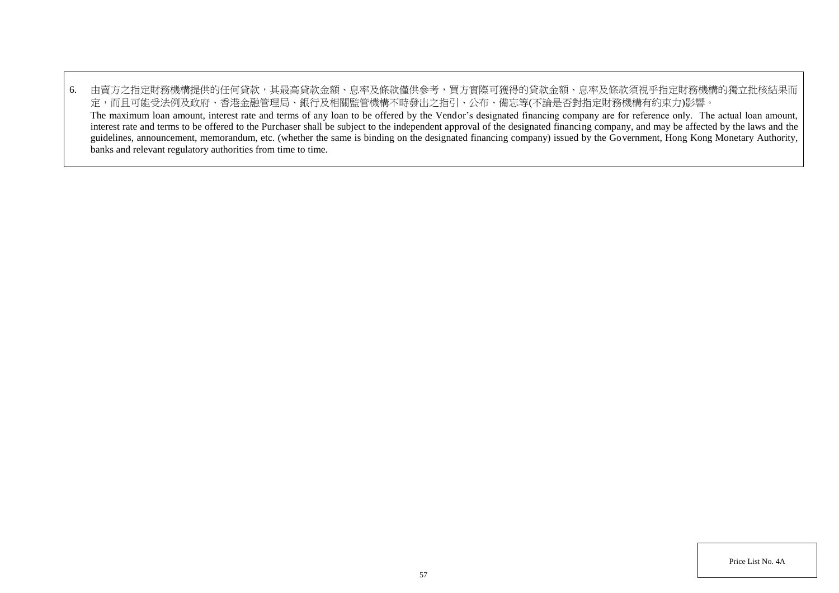6. 由賣方之指定財務機構提供的任何貸款,其最高貸款金額、息率及條款僅供參考,買方實際可獲得的貸款金額、息率及條款須視乎指定財務機構的獨立批核結果而 定,而且可能受法例及政府、香港金融管理局、銀行及相關監管機構不時發出之指引、公布、備忘等(不論是否對指定財務機構有約束力)影響。 The maximum loan amount, interest rate and terms of any loan to be offered by the Vendor's designated financing company are for reference only. The actual loan amount, interest rate and terms to be offered to the Purchaser shall be subject to the independent approval of the designated financing company, and may be affected by the laws and the guidelines, announcement, memorandum, etc. (whether the same is binding on the designated financing company) issued by the Government, Hong Kong Monetary Authority, banks and relevant regulatory authorities from time to time.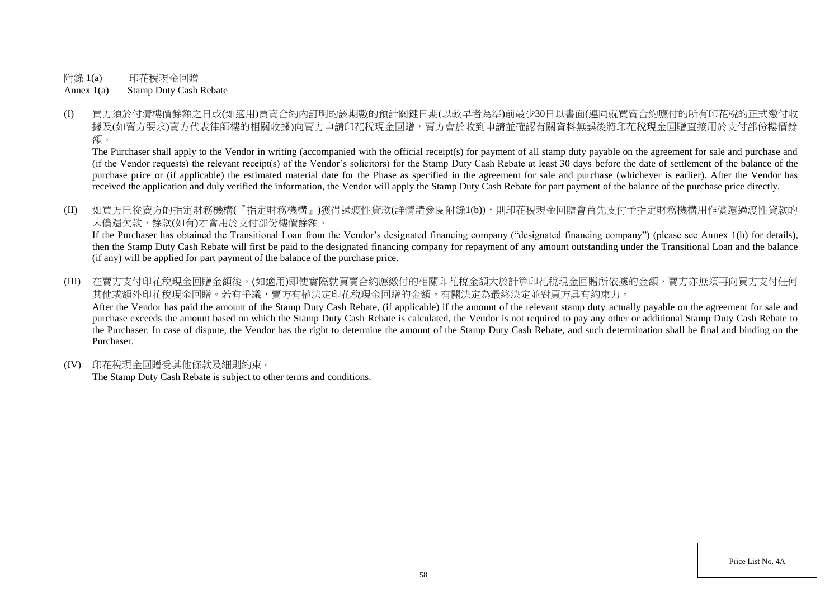附錄 1(a) 印花稅現金回贈

Annex 1(a) Stamp Duty Cash Rebate

(I) 買方須於付清樓價餘額之日或(如適用)買賣合約內訂明的該期數的預計關鍵日期(以較早者為準)前最少30日以書面(連同就買賣合約應付的所有印花稅的正式繳付收 據及(如賣方要求)賣方代表律師樓的相關收據)向賣方申請印花稅現金回贈,賣方會於收到申請並確認有關資料無誤後將印花稅現金回贈直接用於支付部份樓價餘 額。

The Purchaser shall apply to the Vendor in writing (accompanied with the official receipt(s) for payment of all stamp duty payable on the agreement for sale and purchase and (if the Vendor requests) the relevant receipt(s) of the Vendor's solicitors) for the Stamp Duty Cash Rebate at least 30 days before the date of settlement of the balance of the purchase price or (if applicable) the estimated material date for the Phase as specified in the agreement for sale and purchase (whichever is earlier). After the Vendor has received the application and duly verified the information, the Vendor will apply the Stamp Duty Cash Rebate for part payment of the balance of the purchase price directly.

(II) 如買方已從賣方的指定財務機構(『指定財務機構』)獲得過渡性貸款(詳情請參閱附錄1(b)),則印花稅現金回贈會首先支付予指定財務機構用作償還過渡性貸款的 未償還欠款,餘款(如有)才會用於支付部份樓價餘額。

If the Purchaser has obtained the Transitional Loan from the Vendor's designated financing company ("designated financing company") (please see Annex 1(b) for details), then the Stamp Duty Cash Rebate will first be paid to the designated financing company for repayment of any amount outstanding under the Transitional Loan and the balance (if any) will be applied for part payment of the balance of the purchase price.

(III) 在賣方支付印花稅現金回贈金額後,(如適用)即使實際就買賣合約應繳付的相關印花稅金額大於計算印花稅現金回贈所依據的金額,賣方亦無須再向買方支付任何 其他或額外印花稅現金回贈。若有爭議,賣方有權決定印花稅現金回贈的金額,有關決定為最終決定並對買方具有約束力。 After the Vendor has paid the amount of the Stamp Duty Cash Rebate, (if applicable) if the amount of the relevant stamp duty actually payable on the agreement for sale and purchase exceeds the amount based on which the Stamp Duty Cash Rebate is calculated, the Vendor is not required to pay any other or additional Stamp Duty Cash Rebate to the Purchaser. In case of dispute, the Vendor has the right to determine the amount of the Stamp Duty Cash Rebate, and such determination shall be final and binding on the Purchaser.

(IV) 印花稅現金回贈受其他條款及細則約束。

The Stamp Duty Cash Rebate is subject to other terms and conditions.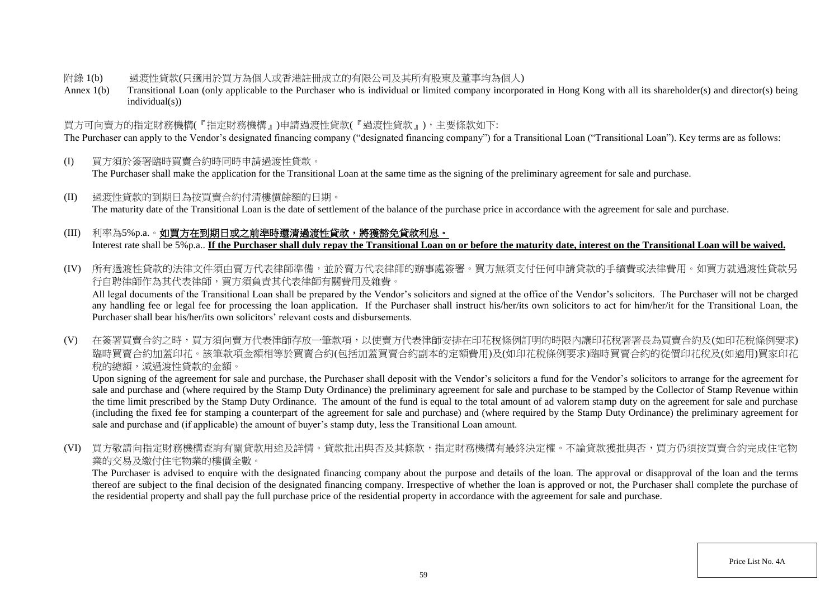### 附錄 1(b) 過渡性貸款(只適用於買方為個人或香港註冊成立的有限公司及其所有股東及董事均為個人)

Annex 1(b) Transitional Loan (only applicable to the Purchaser who is individual or limited company incorporated in Hong Kong with all its shareholder(s) and director(s) being individual(s))

## 買方可向賣方的指定財務機構(『指定財務機構』)申請過渡性貸款(『過渡性貸款』),主要條款如下:

The Purchaser can apply to the Vendor's designated financing company ("designated financing company") for a Transitional Loan ("Transitional Loan"). Key terms are as follows:

- (I) 買方須於簽署臨時買賣合約時同時申請過渡性貸款。 The Purchaser shall make the application for the Transitional Loan at the same time as the signing of the preliminary agreement for sale and purchase.
- (II) 過渡性貸款的到期日為按買賣合約付清樓價餘額的日期。 The maturity date of the Transitional Loan is the date of settlement of the balance of the purchase price in accordance with the agreement for sale and purchase.

## (III) 利率為5%p.a.。如買方在到期日或之前準時還清過渡性貸款,將獲豁免貸款利息。 Interest rate shall be 5%p.a.. **If the Purchaser shall duly repay the Transitional Loan on or before the maturity date, interest on the Transitional Loan will be waived.**

(IV) 所有過渡性貸款的法律文件須由賣方代表律師準備,並於賣方代表律師的辦事處簽署。買方無須支付任何申請貸款的手續費或法律費用。如買方就過渡性貸款另 行自聘律師作為其代表律師,買方須負責其代表律師有關費用及雜費。

All legal documents of the Transitional Loan shall be prepared by the Vendor's solicitors and signed at the office of the Vendor's solicitors. The Purchaser will not be charged any handling fee or legal fee for processing the loan application. If the Purchaser shall instruct his/her/its own solicitors to act for him/her/it for the Transitional Loan, the Purchaser shall bear his/her/its own solicitors' relevant costs and disbursements.

(V) 在簽署買賣合約之時,買方須向賣方代表律師存放一筆款項,以使賣方代表律師安排在印花稅條例訂明的時限內讓印花稅署署長為買賣合約及(如印花稅條例要求) 臨時買賣合約加蓋印花。該筆款項金額相等於買賣合約(包括加蓋買賣合約副本的定額費用)及(如印花稅條例要求)臨時買賣合約的從價印花稅及(如適用)買家印花 稅的總額,減過渡性貸款的金額。

Upon signing of the agreement for sale and purchase, the Purchaser shall deposit with the Vendor's solicitors a fund for the Vendor's solicitors to arrange for the agreement for sale and purchase and (where required by the Stamp Duty Ordinance) the preliminary agreement for sale and purchase to be stamped by the Collector of Stamp Revenue within the time limit prescribed by the Stamp Duty Ordinance. The amount of the fund is equal to the total amount of ad valorem stamp duty on the agreement for sale and purchase (including the fixed fee for stamping a counterpart of the agreement for sale and purchase) and (where required by the Stamp Duty Ordinance) the preliminary agreement for sale and purchase and (if applicable) the amount of buyer's stamp duty, less the Transitional Loan amount.

(VI) 買方敬請向指定財務機構查詢有關貸款用途及詳情。貸款批出與否及其條款,指定財務機構有最終決定權。不論貸款獲批與否,買方仍須按買賣合約完成住宅物 業的交易及繳付住宅物業的樓價全數。

The Purchaser is advised to enquire with the designated financing company about the purpose and details of the loan. The approval or disapproval of the loan and the terms thereof are subject to the final decision of the designated financing company. Irrespective of whether the loan is approved or not, the Purchaser shall complete the purchase of the residential property and shall pay the full purchase price of the residential property in accordance with the agreement for sale and purchase.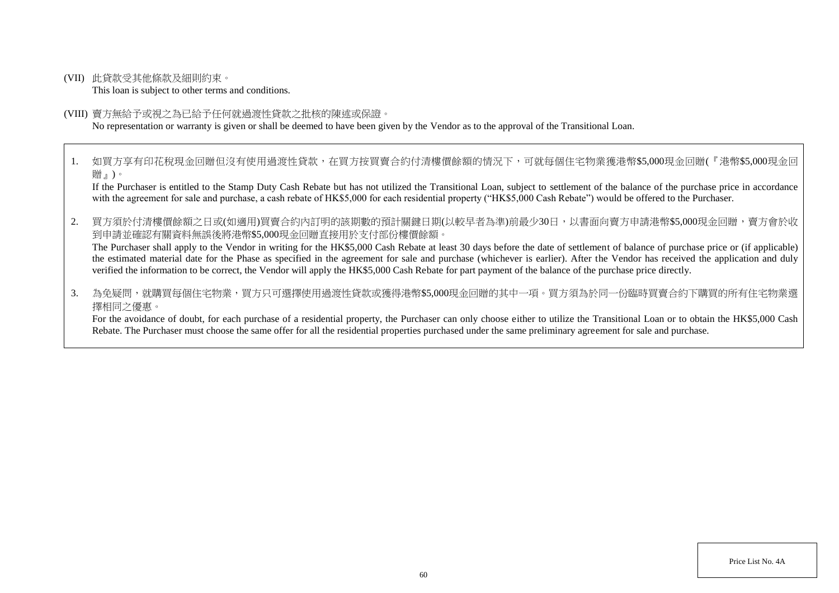(VII) 此貸款受其他條款及細則約束。

This loan is subject to other terms and conditions.

#### (VIII) 賣方無給予或視之為已給予任何就過渡性貸款之批核的陳述或保證。

No representation or warranty is given or shall be deemed to have been given by the Vendor as to the approval of the Transitional Loan.

1. 如買方享有印花稅現金回贈但沒有使用過渡性貸款,在買方按買賣合約付清樓價餘額的情況下,可就每個住宅物業獲港幣\$5,000現金回贈(『港幣\$5,000現金回 贈』)。

If the Purchaser is entitled to the Stamp Duty Cash Rebate but has not utilized the Transitional Loan, subject to settlement of the balance of the purchase price in accordance with the agreement for sale and purchase, a cash rebate of HK\$5,000 for each residential property ("HK\$5,000 Cash Rebate") would be offered to the Purchaser.

2. 買方須於付清樓價餘額之日或(如適用)買賣合約內訂明的該期數的預計關鍵日期(以較早者為準)前最少30日,以書面向賣方申請港幣\$5,000現金回贈,賣方會於收 到申請並確認有關資料無誤後將港幣\$5,000現金回贈直接用於支付部份樓價餘額。

The Purchaser shall apply to the Vendor in writing for the HK\$5,000 Cash Rebate at least 30 days before the date of settlement of balance of purchase price or (if applicable) the estimated material date for the Phase as specified in the agreement for sale and purchase (whichever is earlier). After the Vendor has received the application and duly verified the information to be correct, the Vendor will apply the HK\$5,000 Cash Rebate for part payment of the balance of the purchase price directly.

3. 為免疑問,就購買每個住宅物業,買方只可選擇使用過渡性貸款或獲得港幣\$5.000現金回贈的其中一項。買方須為於同一份臨時買賣合約下購買的所有住宅物業選 擇相同之優惠。

For the avoidance of doubt, for each purchase of a residential property, the Purchaser can only choose either to utilize the Transitional Loan or to obtain the HK\$5,000 Cash Rebate. The Purchaser must choose the same offer for all the residential properties purchased under the same preliminary agreement for sale and purchase.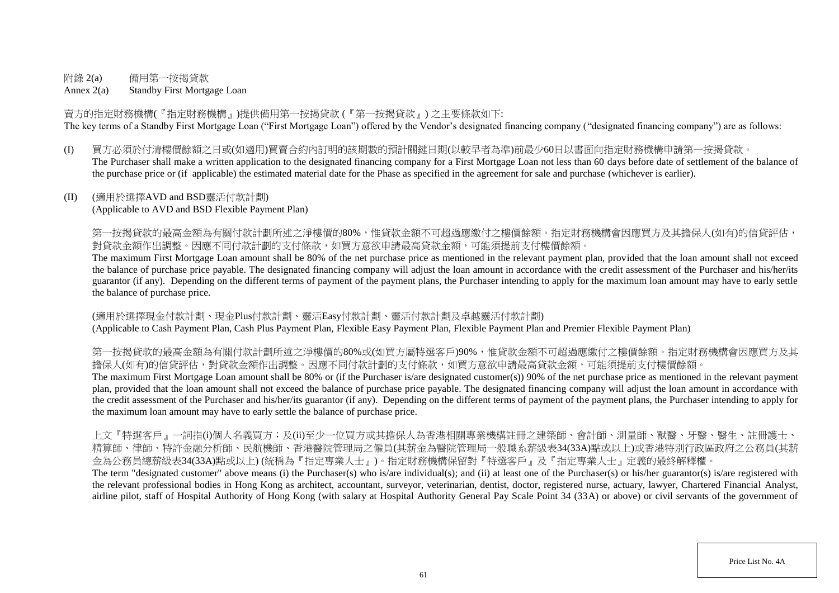## 附錄 2(a) 備用第一按揭貸款

Annex 2(a) Standby First Mortgage Loan

賣方的指定財務機構(『指定財務機構』)提供備用第一按揭貸款 (『第一按揭貸款』) 之主要條款如下: The key terms of a Standby First Mortgage Loan ("First Mortgage Loan") offered by the Vendor's designated financing company ("designated financing company") are as follows:

(I) 買方必須於付清樓價餘額之日或(如適用)買賣合約內訂明的該期數的預計關鍵日期(以較早者為準)前最少60日以書面向指定財務機構申請第一按揭貸款。 The Purchaser shall make a written application to the designated financing company for a First Mortgage Loan not less than 60 days before date of settlement of the balance of the purchase price or (if applicable) the estimated material date for the Phase as specified in the agreement for sale and purchase (whichever is earlier).

## (II) (適用於選擇AVD and BSD靈活付款計劃)

(Applicable to AVD and BSD Flexible Payment Plan)

第一按揭貸款的最高金額為有關付款計劃所述之淨樓價的80%,惟貸款金額不可超過應繳付之樓價餘額。指定財務機構會因應買方及其擔保人(如有)的信貸評估, 對貸款金額作出調整。因應不同付款計劃的支付條款,如買方意欲申請最高貸款金額,可能須提前支付樓價餘額。

The maximum First Mortgage Loan amount shall be 80% of the net purchase price as mentioned in the relevant payment plan, provided that the loan amount shall not exceed the balance of purchase price payable. The designated financing company will adjust the loan amount in accordance with the credit assessment of the Purchaser and his/her/its guarantor (if any). Depending on the different terms of payment of the payment plans, the Purchaser intending to apply for the maximum loan amount may have to early settle the balance of purchase price.

(適用於選擇現金付款計劃、現金Plus付款計劃、靈活Easy付款計劃、靈活付款計劃及卓越靈活付款計劃) (Applicable to Cash Payment Plan, Cash Plus Payment Plan, Flexible Easy Payment Plan, Flexible Payment Plan and Premier Flexible Payment Plan)

第一按揭貸款的最高金額為有關付款計劃所述之淨樓價的80%或(如買方屬特選客戶)90%,惟貸款金額不可超過應繳付之樓價餘額。指定財務機構會因應買方及其 擔保人(如有)的信貸評估,對貸款金額作出調整。因應不同付款計劃的支付條款,如買方意欲申請最高貸款金額,可能須提前支付樓價餘額。

The maximum First Mortgage Loan amount shall be 80% or (if the Purchaser is/are designated customer(s)) 90% of the net purchase price as mentioned in the relevant payment plan, provided that the loan amount shall not exceed the balance of purchase price payable. The designated financing company will adjust the loan amount in accordance with the credit assessment of the Purchaser and his/her/its guarantor (if any). Depending on the different terms of payment of the payment plans, the Purchaser intending to apply for the maximum loan amount may have to early settle the balance of purchase price.

上文『特選客戶』一詞指(i)個人名義買方;及(ii)至少一位買方或其擔保人為香港相關專業機構註冊之建築師、會計師、測量師、獸醫、牙醫、醫生、註冊護士、 精算師、律師、特許金融分析師、民航機師、香港醫院管理局之僱員(其薪金為醫院管理局一般職系薪級表34(33A)點或以上)或香港特別行政區政府之公務員(其薪 金為公務員總薪級表34(33A)點或以上) (統稱為『指定專業人士』)。指定財務機構保留對『特選客戶』及『指定專業人士』定義的最終解釋權。

The term "designated customer" above means (i) the Purchaser(s) who is/are individual(s); and (ii) at least one of the Purchaser(s) or his/her guarantor(s) is/are registered with the relevant professional bodies in Hong Kong as architect, accountant, surveyor, veterinarian, dentist, doctor, registered nurse, actuary, lawyer, Chartered Financial Analyst, airline pilot, staff of Hospital Authority of Hong Kong (with salary at Hospital Authority General Pay Scale Point 34 (33A) or above) or civil servants of the government of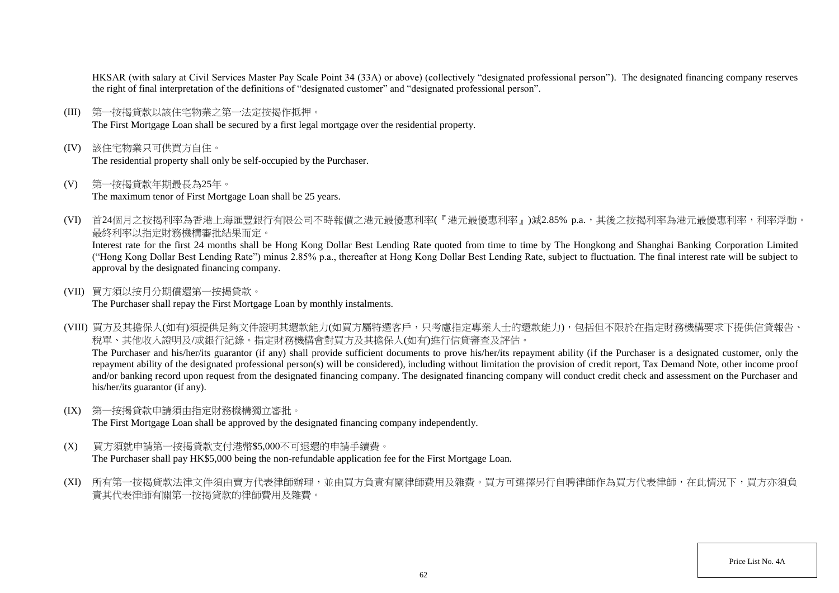HKSAR (with salary at Civil Services Master Pay Scale Point 34 (33A) or above) (collectively "designated professional person"). The designated financing company reserves the right of final interpretation of the definitions of "designated customer" and "designated professional person".

- (III) 第一按揭貸款以該住宅物業之第一法定按揭作抵押。 The First Mortgage Loan shall be secured by a first legal mortgage over the residential property.
- (IV) 該住宅物業只可供買方自住。 The residential property shall only be self-occupied by the Purchaser.
- (V) 第一按揭貸款年期最長為25年。 The maximum tenor of First Mortgage Loan shall be 25 years.
- (VI) 首24個月之按揭利率為香港上海匯豐銀行有限公司不時報價之港元最優惠利率(『港元最優惠利率』)減2.85% p.a.,其後之按揭利率為港元最優惠利率,利率浮動。 最終利率以指定財務機構審批結果而定。

Interest rate for the first 24 months shall be Hong Kong Dollar Best Lending Rate quoted from time to time by The Hongkong and Shanghai Banking Corporation Limited ("Hong Kong Dollar Best Lending Rate") minus 2.85% p.a., thereafter at Hong Kong Dollar Best Lending Rate, subject to fluctuation. The final interest rate will be subject to approval by the designated financing company.

(VII) 買方須以按月分期償還第一按揭貸款。

The Purchaser shall repay the First Mortgage Loan by monthly instalments.

(VIII) 買方及其擔保人(如有)須提供足夠文件證明其還款能力(如買方屬特選客戶,只考慮指定專業人士的還款能力),包括但不限於在指定財務機構要求下提供信貸報告、 稅單、其他收入證明及/或銀行紀錄。指定財務機構會對買方及其擔保人(如有)進行信貸審查及評估。 The Purchaser and his/her/its guarantor (if any) shall provide sufficient documents to prove his/her/its repayment ability (if the Purchaser is a designated customer, only the

repayment ability of the designated professional person(s) will be considered), including without limitation the provision of credit report, Tax Demand Note, other income proof and/or banking record upon request from the designated financing company. The designated financing company will conduct credit check and assessment on the Purchaser and his/her/its guarantor (if any).

(IX) 第一按揭貸款申請須由指定財務機構獨立審批。

The First Mortgage Loan shall be approved by the designated financing company independently.

- (X) 買方須就申請第一按揭貸款支付港幣\$5,000不可退還的申請手續費。 The Purchaser shall pay HK\$5,000 being the non-refundable application fee for the First Mortgage Loan.
- (XI) 所有第一按揭貸款法律文件須由賣方代表律師辦理,並由買方負責有關律師費用及雜費。買方可選擇另行自聘律師作為買方代表律師,在此情況下,買方亦須負 責其代表律師有關第一按揭貸款的律師費用及雜費。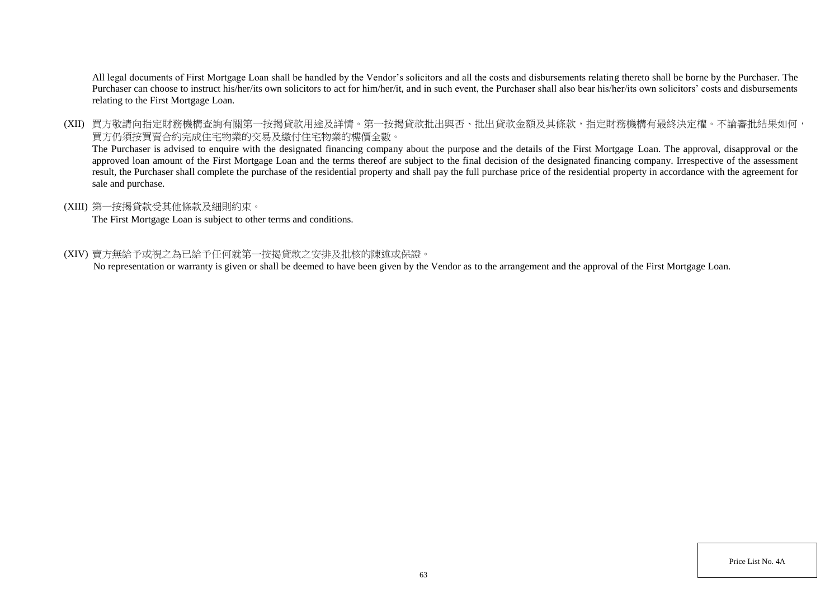All legal documents of First Mortgage Loan shall be handled by the Vendor's solicitors and all the costs and disbursements relating thereto shall be borne by the Purchaser. The Purchaser can choose to instruct his/her/its own solicitors to act for him/her/it, and in such event, the Purchaser shall also bear his/her/its own solicitors' costs and disbursements relating to the First Mortgage Loan.

(XII) 買方敬請向指定財務機構查詢有關第一按揭貸款用途及詳情。第一按揭貸款批出與否、批出貸款金額及其條款,指定財務機構有最終決定權。不論審批結果如何, 買方仍須按買賣合約完成住宅物業的交易及繳付住宅物業的樓價全數。

The Purchaser is advised to enquire with the designated financing company about the purpose and the details of the First Mortgage Loan. The approval, disapproval or the approved loan amount of the First Mortgage Loan and the terms thereof are subject to the final decision of the designated financing company. Irrespective of the assessment result, the Purchaser shall complete the purchase of the residential property and shall pay the full purchase price of the residential property in accordance with the agreement for sale and purchase.

### (XIII) 第一按揭貸款受其他條款及細則約束。

The First Mortgage Loan is subject to other terms and conditions.

### (XIV) 賣方無給予或視之為已給予任何就第一按揭貸款之安排及批核的陳述或保證。

No representation or warranty is given or shall be deemed to have been given by the Vendor as to the arrangement and the approval of the First Mortgage Loan.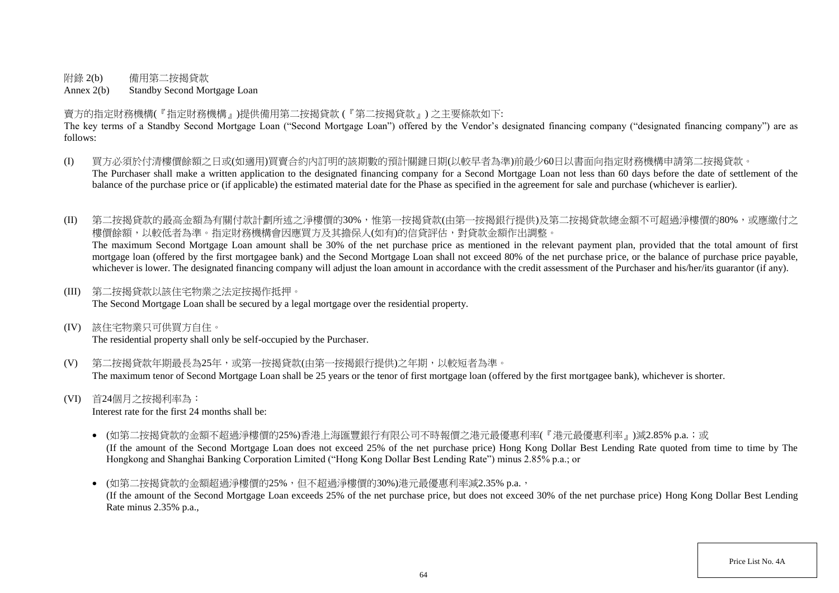附錄 2(b) 備用第二按揭貸款

Annex 2(b) Standby Second Mortgage Loan

賣方的指定財務機構(『指定財務機構』)提供備用第二按揭貸款 (『第二按揭貸款』) 之主要條款如下:

The key terms of a Standby Second Mortgage Loan ("Second Mortgage Loan") offered by the Vendor's designated financing company ("designated financing company") are as follows:

- (I) 買方必須於付清樓價餘額之日或(如適用)買賣合約內訂明的該期數的預計關鍵日期(以較早者為準)前最少60日以書面向指定財務機構申請第二按揭貸款。 The Purchaser shall make a written application to the designated financing company for a Second Mortgage Loan not less than 60 days before the date of settlement of the balance of the purchase price or (if applicable) the estimated material date for the Phase as specified in the agreement for sale and purchase (whichever is earlier).
- (II) 第二按揭貸款的最高金額為有關付款計劃所述之淨樓價的30%,惟第一按揭貸款(由第一按揭銀行提供)及第二按揭貸款總金額不可超過淨樓價的80%,或應繳付之 樓價餘額,以較低者為準。指定財務機構會因應買方及其擔保人(如有)的信貸評估,對貸款金額作出調整。 The maximum Second Mortgage Loan amount shall be 30% of the net purchase price as mentioned in the relevant payment plan, provided that the total amount of first

mortgage loan (offered by the first mortgagee bank) and the Second Mortgage Loan shall not exceed 80% of the net purchase price, or the balance of purchase price payable, whichever is lower. The designated financing company will adjust the loan amount in accordance with the credit assessment of the Purchaser and his/her/its guarantor (if any).

(III) 第二按揭貸款以該住宅物業之法定按揭作抵押。

The Second Mortgage Loan shall be secured by a legal mortgage over the residential property.

(IV) 該住宅物業只可供買方自住。

The residential property shall only be self-occupied by the Purchaser.

- (V) 第二按揭貸款年期最長為25年,或第一按揭貸款(由第一按揭銀行提供)之年期,以較短者為準。 The maximum tenor of Second Mortgage Loan shall be 25 years or the tenor of first mortgage loan (offered by the first mortgagee bank), whichever is shorter.
- (VI) 首24個月之按揭利率為:

Interest rate for the first 24 months shall be:

- (如第二按揭貸款的金額不超過淨樓價的25%)香港上海匯豐銀行有限公司不時報價之港元最優惠利率(『港元最優惠利率』)減2.85% p.a.;或 (If the amount of the Second Mortgage Loan does not exceed 25% of the net purchase price) Hong Kong Dollar Best Lending Rate quoted from time to time by The Hongkong and Shanghai Banking Corporation Limited ("Hong Kong Dollar Best Lending Rate") minus 2.85% p.a.; or
- (如第二按揭貸款的金額超過淨樓價的25%,但不超過淨樓價的30%)港元最優惠利率減2.35% p.a., (If the amount of the Second Mortgage Loan exceeds 25% of the net purchase price, but does not exceed 30% of the net purchase price) Hong Kong Dollar Best Lending Rate minus 2.35% p.a.,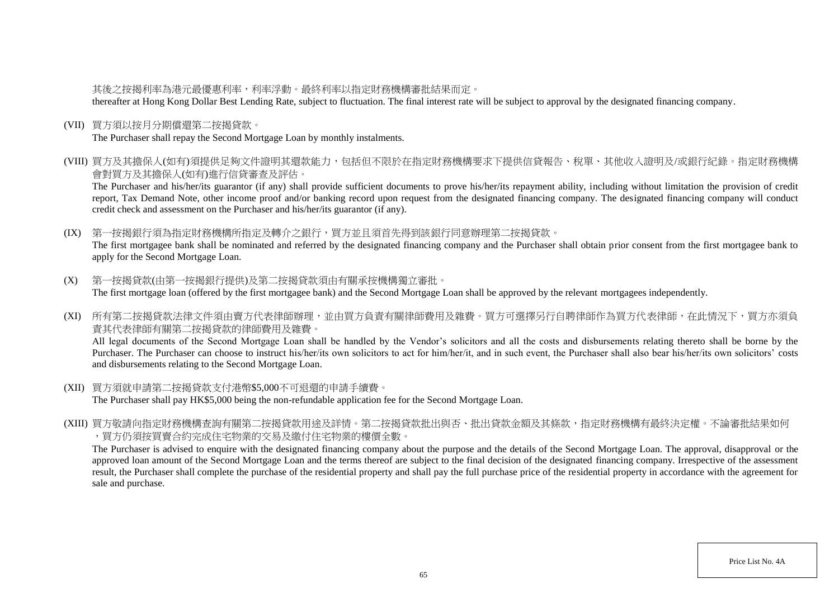## 其後之按揭利率為港元最優惠利率,利率浮動。最終利率以指定財務機構審批結果而定。

thereafter at Hong Kong Dollar Best Lending Rate, subject to fluctuation. The final interest rate will be subject to approval by the designated financing company.

(VII) 買方須以按月分期償還第二按揭貸款。

The Purchaser shall repay the Second Mortgage Loan by monthly instalments.

(VIII) 買方及其擔保人(如有)須提供足夠文件證明其還款能力,包括但不限於在指定財務機構要求下提供信貸報告、稅單、其他收入證明及/或銀行紀錄。指定財務機構 會對買方及其擔保人(如有)進行信貸審查及評估。

The Purchaser and his/her/its guarantor (if any) shall provide sufficient documents to prove his/her/its repayment ability, including without limitation the provision of credit report, Tax Demand Note, other income proof and/or banking record upon request from the designated financing company. The designated financing company will conduct credit check and assessment on the Purchaser and his/her/its guarantor (if any).

(IX) 第一按揭銀行須為指定財務機構所指定及轉介之銀行,買方並且須首先得到該銀行同意辦理第二按揭貸款。 The first mortgagee bank shall be nominated and referred by the designated financing company and the Purchaser shall obtain prior consent from the first mortgagee bank to apply for the Second Mortgage Loan.

- (X) 第一按揭貸款(由第一按揭銀行提供)及第二按揭貸款須由有關承按機構獨立審批。 The first mortgage loan (offered by the first mortgagee bank) and the Second Mortgage Loan shall be approved by the relevant mortgagees independently.
- (XI) 所有第二按揭貸款法律文件須由賣方代表律師辦理,並由買方負責有關律師費用及雜費。買方可選擇另行自聘律師作為買方代表律師,在此情況下,買方亦須負 責其代表律師有關第二按揭貸款的律師費用及雜費。

All legal documents of the Second Mortgage Loan shall be handled by the Vendor's solicitors and all the costs and disbursements relating thereto shall be borne by the Purchaser. The Purchaser can choose to instruct his/her/its own solicitors to act for him/her/it, and in such event, the Purchaser shall also bear his/her/its own solicitors' costs and disbursements relating to the Second Mortgage Loan.

- (XII) 買方須就申請第二按揭貸款支付港幣\$5,000不可退還的申請手續費。 The Purchaser shall pay HK\$5,000 being the non-refundable application fee for the Second Mortgage Loan.
- (XIII) 買方敬請向指定財務機構查詢有關第二按揭貸款用途及詳情。第二按揭貸款批出與否、批出貸款金額及其條款,指定財務機構有最終決定權。不論審批結果如何 ,買方仍須按買賣合約完成住宅物業的交易及繳付住宅物業的樓價全數。

The Purchaser is advised to enquire with the designated financing company about the purpose and the details of the Second Mortgage Loan. The approval, disapproval or the approved loan amount of the Second Mortgage Loan and the terms thereof are subject to the final decision of the designated financing company. Irrespective of the assessment result, the Purchaser shall complete the purchase of the residential property and shall pay the full purchase price of the residential property in accordance with the agreement for sale and purchase.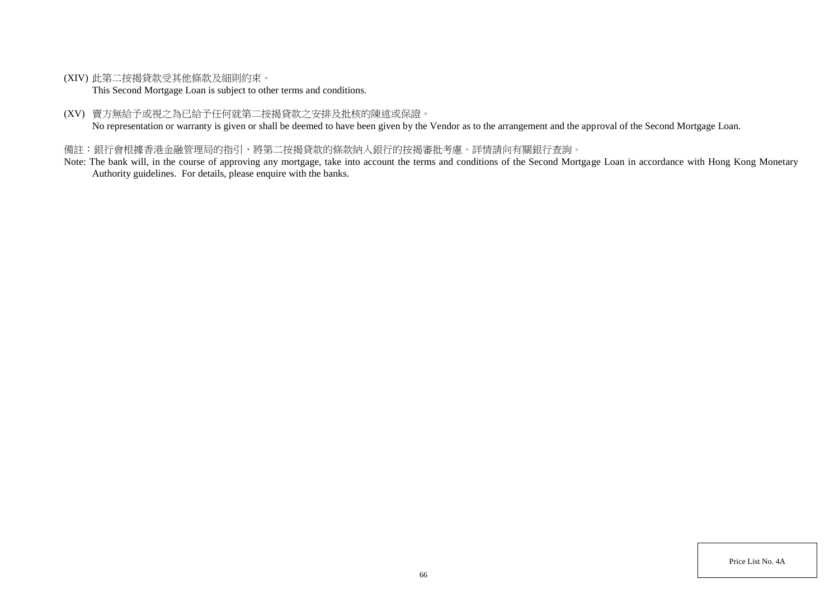(XIV) 此第二按揭貸款受其他條款及細則約束。

This Second Mortgage Loan is subject to other terms and conditions.

(XV) 賣方無給予或視之為已給予任何就第二按揭貸款之安排及批核的陳述或保證。

No representation or warranty is given or shall be deemed to have been given by the Vendor as to the arrangement and the approval of the Second Mortgage Loan.

## 備註:銀行會根據香港金融管理局的指引,將第二按揭貸款的條款納入銀行的按揭審批考慮。詳情請向有關銀行查詢。

Note: The bank will, in the course of approving any mortgage, take into account the terms and conditions of the Second Mortgage Loan in accordance with Hong Kong Monetary Authority guidelines. For details, please enquire with the banks.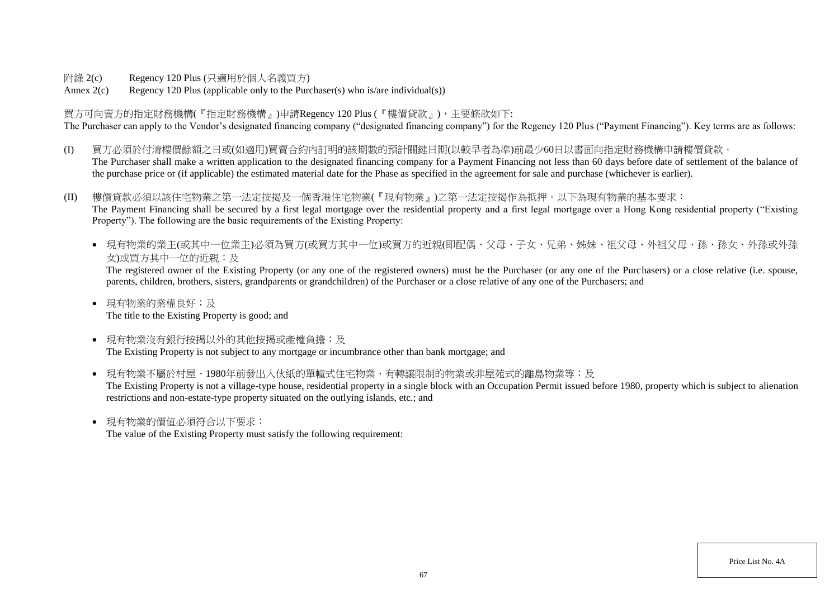附錄 2(c) Regency 120 Plus (只適用於個人名義買方)

Annex  $2(c)$  Regency 120 Plus (applicable only to the Purchaser(s) who is/are individual(s))

買方可向賣方的指定財務機構(『指定財務機構』)申請Regency 120 Plus (『樓價貸款』),主要條款如下: The Purchaser can apply to the Vendor's designated financing company ("designated financing company") for the Regency 120 Plus ("Payment Financing"). Key terms are as follows:

- (I) 買方必須於付清樓價餘額之日或(如適用)買賣合約內訂明的該期數的預計關鍵日期(以較早者為準)前最少60日以書面向指定財務機構申請樓價貸款。 The Purchaser shall make a written application to the designated financing company for a Payment Financing not less than 60 days before date of settlement of the balance of the purchase price or (if applicable) the estimated material date for the Phase as specified in the agreement for sale and purchase (whichever is earlier).
- (II) 樓價貸款必須以該住宅物業之第一法定按揭及一個香港住宅物業(『現有物業』)之第一法定按揭作為抵押。以下為現有物業的基本要求: The Payment Financing shall be secured by a first legal mortgage over the residential property and a first legal mortgage over a Hong Kong residential property ("Existing Property"). The following are the basic requirements of the Existing Property:
	- 現有物業的業主(或其中一位業主)必須為買方(或買方其中一位)或買方的近親(即配偶、父母、子女、兄弟、姊妹、祖父母、外祖父母、孫、孫女、外孫或外孫 女)或買方其中一位的近親;及

The registered owner of the Existing Property (or any one of the registered owners) must be the Purchaser (or any one of the Purchasers) or a close relative (i.e. spouse, parents, children, brothers, sisters, grandparents or grandchildren) of the Purchaser or a close relative of any one of the Purchasers; and

- 現有物業的業權良好;及 The title to the Existing Property is good; and
- 現有物業沒有銀行按揭以外的其他按揭或產權負擔;及 The Existing Property is not subject to any mortgage or incumbrance other than bank mortgage; and
- 現有物業不屬於村屋、1980年前發出入伙紙的單幢式住宅物業、有轉讓限制的物業或非屋苑式的離島物業等;及 The Existing Property is not a village-type house, residential property in a single block with an Occupation Permit issued before 1980, property which is subject to alienation restrictions and non-estate-type property situated on the outlying islands, etc.; and
- 現有物業的價值必須符合以下要求:

The value of the Existing Property must satisfy the following requirement: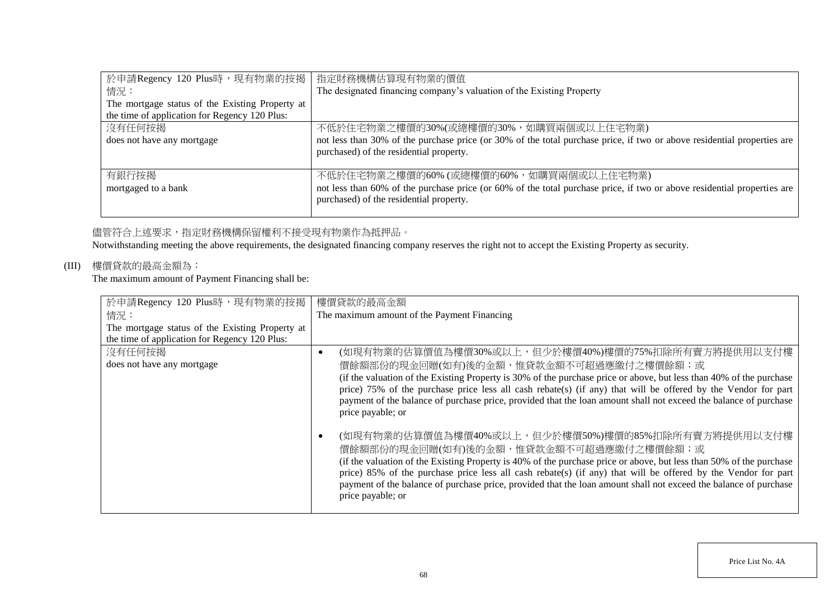| 於申請Regency 120 Plus時,現有物業的按揭                    | 指定財務機構估算現有物業的價值                                                                                                         |
|-------------------------------------------------|-------------------------------------------------------------------------------------------------------------------------|
| 情況:                                             | The designated financing company's valuation of the Existing Property                                                   |
| The mortgage status of the Existing Property at |                                                                                                                         |
| the time of application for Regency 120 Plus:   |                                                                                                                         |
| 沒有任何按揭                                          | 不低於住宅物業之樓價的30%(或總樓價的30%,如購買兩個或以上住宅物業)                                                                                   |
| does not have any mortgage                      | not less than 30% of the purchase price (or 30% of the total purchase price, if two or above residential properties are |
|                                                 | purchased) of the residential property.                                                                                 |
|                                                 |                                                                                                                         |
| 有銀行按揭                                           | 不低於住宅物業之樓價的60% (或總樓價的60%, 如購買兩個或以上住宅物業)                                                                                 |
| mortgaged to a bank                             | not less than 60% of the purchase price (or 60% of the total purchase price, if two or above residential properties are |
|                                                 | purchased) of the residential property.                                                                                 |
|                                                 |                                                                                                                         |

## 儘管符合上述要求,指定財務機構保留權利不接受現有物業作為抵押品。

Notwithstanding meeting the above requirements, the designated financing company reserves the right not to accept the Existing Property as security.

# (III) 樓價貸款的最高金額為:

The maximum amount of Payment Financing shall be:

| 於申請Regency 120 Plus時,現有物業的按揭                    | 樓價貸款的最高金額                                                                                                           |
|-------------------------------------------------|---------------------------------------------------------------------------------------------------------------------|
| 情況:                                             | The maximum amount of the Payment Financing                                                                         |
| The mortgage status of the Existing Property at |                                                                                                                     |
| the time of application for Regency 120 Plus:   |                                                                                                                     |
| 沒有任何按揭                                          | (如現有物業的估算價值為樓價30%或以上,但少於樓價40%)樓價的75%扣除所有賣方將提供用以支付樓<br>٠                                                             |
| does not have any mortgage                      | 價餘額部份的現金回贈(如有)後的金額,惟貸款金額不可超過應繳付之樓價餘額;或                                                                              |
|                                                 | (if the valuation of the Existing Property is 30% of the purchase price or above, but less than 40% of the purchase |
|                                                 | price) 75% of the purchase price less all cash rebate(s) (if any) that will be offered by the Vendor for part       |
|                                                 | payment of the balance of purchase price, provided that the loan amount shall not exceed the balance of purchase    |
|                                                 | price payable; or                                                                                                   |
|                                                 |                                                                                                                     |
|                                                 | (如現有物業的估算價值為樓價40%或以上,但少於樓價50%)樓價的85%扣除所有賣方將提供用以支付樓                                                                  |
|                                                 | 價餘額部份的現金回贈(如有)後的金額,惟貸款金額不可超過應繳付之樓價餘額;或                                                                              |
|                                                 | (if the valuation of the Existing Property is 40% of the purchase price or above, but less than 50% of the purchase |
|                                                 | price) 85% of the purchase price less all cash rebate(s) (if any) that will be offered by the Vendor for part       |
|                                                 | payment of the balance of purchase price, provided that the loan amount shall not exceed the balance of purchase    |
|                                                 | price payable; or                                                                                                   |
|                                                 |                                                                                                                     |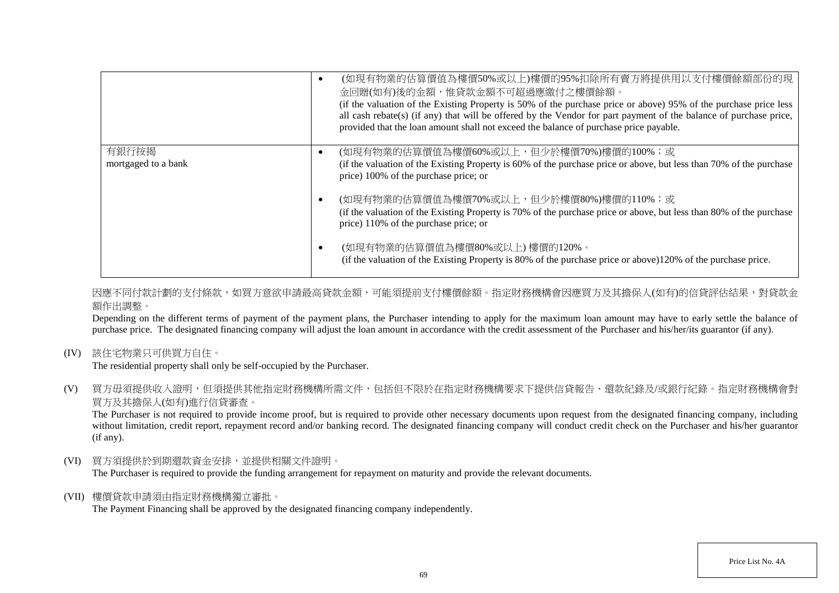|                     | (如現有物業的估算價值為樓價50%或以上)樓價的95%扣除所有賣方將提供用以支付樓價餘額部份的現<br>金回贈(如有)後的金額,惟貸款金額不可超過應繳付之樓價餘額。<br>(if the valuation of the Existing Property is 50% of the purchase price or above) 95% of the purchase price less<br>all cash rebate(s) (if any) that will be offered by the Vendor for part payment of the balance of purchase price,<br>provided that the loan amount shall not exceed the balance of purchase price payable. |
|---------------------|----------------------------------------------------------------------------------------------------------------------------------------------------------------------------------------------------------------------------------------------------------------------------------------------------------------------------------------------------------------------------------------------------------------------|
| 有銀行按揭               | (如現有物業的估算價值為樓價60%或以上,但少於樓價70%)樓價的100%;或                                                                                                                                                                                                                                                                                                                                                                              |
| mortgaged to a bank | (if the valuation of the Existing Property is 60% of the purchase price or above, but less than 70% of the purchase<br>price) 100% of the purchase price; or                                                                                                                                                                                                                                                         |
|                     | (如現有物業的估算價值為樓價70%或以上,但少於樓價80%)樓價的110%;或                                                                                                                                                                                                                                                                                                                                                                              |
|                     | (if the valuation of the Existing Property is 70% of the purchase price or above, but less than 80% of the purchase<br>price) 110% of the purchase price; or                                                                                                                                                                                                                                                         |
|                     | (如現有物業的估算價值為樓價80%或以上)樓價的120%。<br>(if the valuation of the Existing Property is 80% of the purchase price or above)120% of the purchase price.                                                                                                                                                                                                                                                                        |

因應不同付款計劃的支付條款,如買方意欲申請最高貸款金額,可能須提前支付樓價餘額。指定財務機構會因應買方及其擔保人(如有)的信貸評估結果,對貸款金 額作出調整。

Depending on the different terms of payment of the payment plans, the Purchaser intending to apply for the maximum loan amount may have to early settle the balance of purchase price. The designated financing company will adjust the loan amount in accordance with the credit assessment of the Purchaser and his/her/its guarantor (if any).

(IV) 該住宅物業只可供買方自住。

The residential property shall only be self-occupied by the Purchaser.

(V) 買方毋須提供收入證明,但須提供其他指定財務機構所需文件,包括但不限於在指定財務機構要求下提供信貸報告、還款紀錄及/或銀行紀錄。指定財務機構會對 買方及其擔保人(如有)進行信貸審查。

The Purchaser is not required to provide income proof, but is required to provide other necessary documents upon request from the designated financing company, including without limitation, credit report, repayment record and/or banking record. The designated financing company will conduct credit check on the Purchaser and his/her guarantor (if any).

(VI) 買方須提供於到期還款資金安排,並提供相關文件證明。

The Purchaser is required to provide the funding arrangement for repayment on maturity and provide the relevant documents.

(VII) 樓價貸款申請須由指定財務機構獨立審批。

The Payment Financing shall be approved by the designated financing company independently.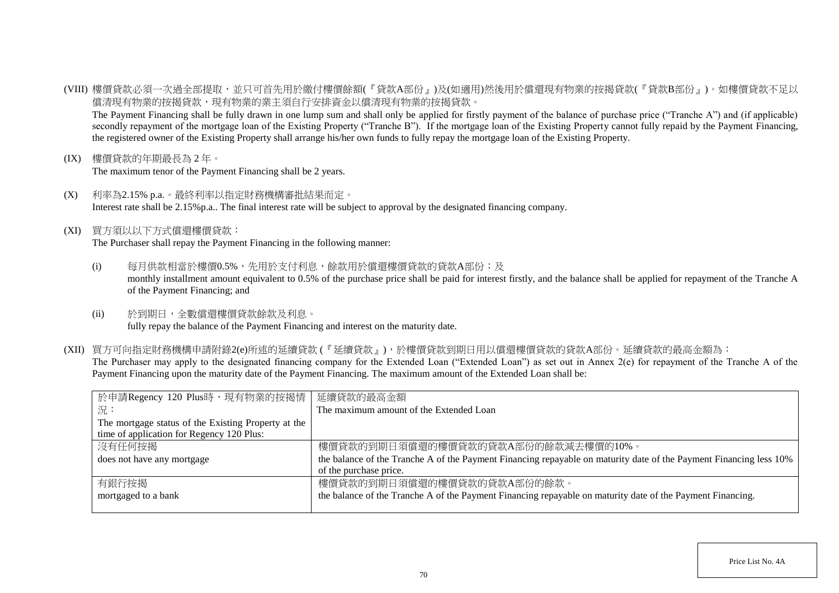(VIII) 樓價貸款必須一次過全部提取,並只可首先用於繳付樓價餘額(『貸款A部份』)及(如適用)然後用於償還現有物業的按揭貸款(『貸款B部份』)。如樓價貸款不足以 償清現有物業的按揭貸款,現有物業的業主須自行安排資金以償清現有物業的按揭貸款。

The Payment Financing shall be fully drawn in one lump sum and shall only be applied for firstly payment of the balance of purchase price ("Tranche A") and (if applicable) secondly repayment of the mortgage loan of the Existing Property ("Tranche B"). If the mortgage loan of the Existing Property cannot fully repaid by the Payment Financing, the registered owner of the Existing Property shall arrange his/her own funds to fully repay the mortgage loan of the Existing Property.

(IX) 樓價貸款的年期最長為 2 年。

The maximum tenor of the Payment Financing shall be 2 years.

- (X) 利率為2.15% p.a.。最終利率以指定財務機構審批結果而定。 Interest rate shall be 2.15%p.a.. The final interest rate will be subject to approval by the designated financing company.
- (XI) 買方須以以下方式償還樓價貸款:

The Purchaser shall repay the Payment Financing in the following manner:

- (i) 每月供款相當於樓價0.5%,先用於支付利息,餘款用於償還樓價貸款的貸款A部份;及 monthly installment amount equivalent to 0.5% of the purchase price shall be paid for interest firstly, and the balance shall be applied for repayment of the Tranche A of the Payment Financing; and
- (ii) 於到期日,全數償還樓價貸款餘款及利息。 fully repay the balance of the Payment Financing and interest on the maturity date.
- (XII) 買方可向指定財務機構申請附錄2(e)所述的延續貸款 (『延續貸款』),於樓價貸款到期日用以償還樓價貸款的貸款A部份。延續貸款的最高金額為: The Purchaser may apply to the designated financing company for the Extended Loan ("Extended Loan") as set out in Annex 2(e) for repayment of the Tranche A of the Payment Financing upon the maturity date of the Payment Financing. The maximum amount of the Extended Loan shall be:

| 於申請Regency 120 Plus時,現有物業的按揭情                       | 延續貸款的最高金額                                                                                                          |
|-----------------------------------------------------|--------------------------------------------------------------------------------------------------------------------|
| 一況:                                                 | The maximum amount of the Extended Loan                                                                            |
| The mortgage status of the Existing Property at the |                                                                                                                    |
| time of application for Regency 120 Plus:           |                                                                                                                    |
| 沒有任何按揭                                              | 樓價貸款的到期日須償還的樓價貸款的貸款A部份的餘款減去樓價的10%。                                                                                 |
| does not have any mortgage                          | the balance of the Tranche A of the Payment Financing repayable on maturity date of the Payment Financing less 10% |
|                                                     | of the purchase price.                                                                                             |
| 有銀行按揭                                               | 樓價貸款的到期日須償還的樓價貸款的貸款A部份的餘款。                                                                                         |
| mortgaged to a bank                                 | the balance of the Tranche A of the Payment Financing repayable on maturity date of the Payment Financing.         |
|                                                     |                                                                                                                    |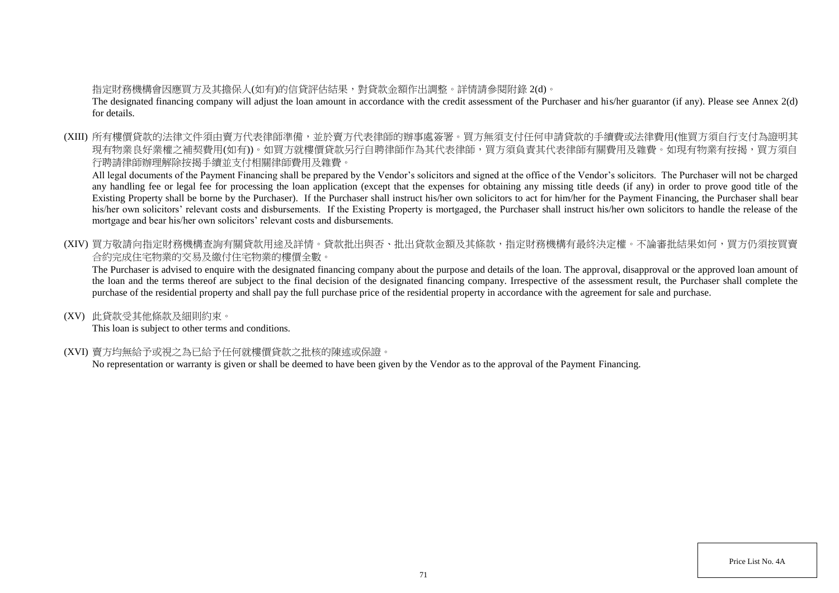## 指定財務機構會因應買方及其擔保人(如有)的信貸評估結果,對貸款金額作出調整。詳情請參閱附錄 2(d)。

The designated financing company will adjust the loan amount in accordance with the credit assessment of the Purchaser and his/her guarantor (if any). Please see Annex 2(d) for details.

(XIII) 所有樓價貸款的法律文件須由賣方代表律師準備,並於賣方代表律師的辦事處簽署。買方無須支付任何申請貸款的手續費或法律費用(惟買方須自行支付為證明其 現有物業良好業權之補契費用(如有))。如買方就樓價貸款另行自聘律師作為其代表律師,買方須負責其代表律師有關費用及雜費。如現有物業有按揭,買方須自 行聘請律師辦理解除按揭手續並支付相關律師費用及雜費。

All legal documents of the Payment Financing shall be prepared by the Vendor's solicitors and signed at the office of the Vendor's solicitors. The Purchaser will not be charged any handling fee or legal fee for processing the loan application (except that the expenses for obtaining any missing title deeds (if any) in order to prove good title of the Existing Property shall be borne by the Purchaser). If the Purchaser shall instruct his/her own solicitors to act for him/her for the Payment Financing, the Purchaser shall bear his/her own solicitors' relevant costs and disbursements. If the Existing Property is mortgaged, the Purchaser shall instruct his/her own solicitors to handle the release of the mortgage and bear his/her own solicitors' relevant costs and disbursements.

(XIV) 買方敬請向指定財務機構查詢有關貸款用途及詳情。貸款批出與否、批出貸款金額及其條款,指定財務機構有最終決定權。不論審批結果如何,買方仍須按買賣 合約完成住宅物業的交易及繳付住宅物業的樓價全數。

The Purchaser is advised to enquire with the designated financing company about the purpose and details of the loan. The approval, disapproval or the approved loan amount of the loan and the terms thereof are subject to the final decision of the designated financing company. Irrespective of the assessment result, the Purchaser shall complete the purchase of the residential property and shall pay the full purchase price of the residential property in accordance with the agreement for sale and purchase.

(XV) 此貸款受其他條款及細則約束。

This loan is subject to other terms and conditions.

(XVI) 賣方均無給予或視之為已給予任何就樓價貸款之批核的陳述或保證。

No representation or warranty is given or shall be deemed to have been given by the Vendor as to the approval of the Payment Financing.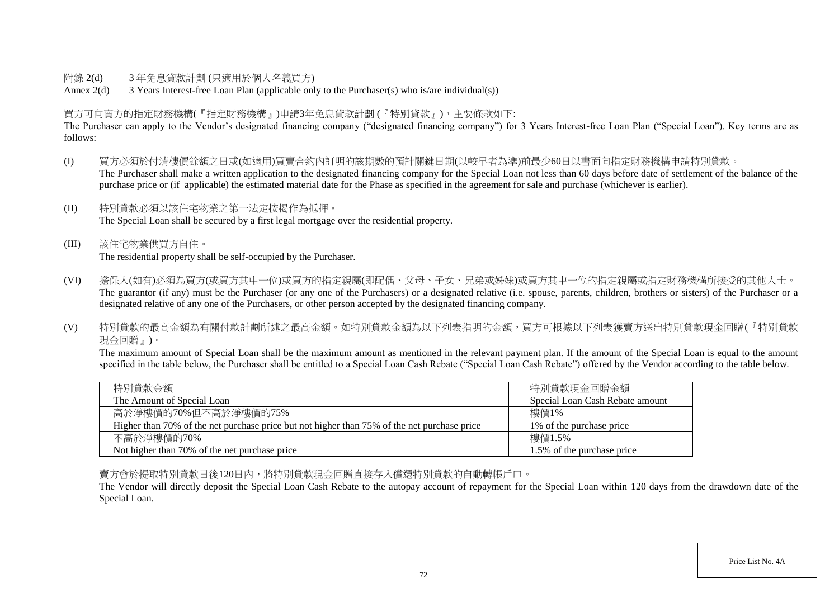### 附錄 2(d) 3 年免息貸款計劃 (只適用於個人名義買方)

Annex 2(d) 3 Years Interest-free Loan Plan (applicable only to the Purchaser(s) who is/are individual(s))

## 買方可向賣方的指定財務機構(『指定財務機構』)申請3年免息貸款計劃 (『特別貸款』),主要條款如下:

The Purchaser can apply to the Vendor's designated financing company ("designated financing company") for 3 Years Interest-free Loan Plan ("Special Loan"). Key terms are as follows:

- (I) 買方必須於付清樓價餘額之日或(如適用)買賣合約內訂明的該期數的預計關鍵日期(以較早者為準)前最少60日以書面向指定財務機構申請特別貸款。 The Purchaser shall make a written application to the designated financing company for the Special Loan not less than 60 days before date of settlement of the balance of the purchase price or (if applicable) the estimated material date for the Phase as specified in the agreement for sale and purchase (whichever is earlier).
- (II) 特別貸款必須以該住宅物業之第一法定按揭作為抵押。 The Special Loan shall be secured by a first legal mortgage over the residential property.
- (III) 該住宅物業供買方自住。 The residential property shall be self-occupied by the Purchaser.
- (VI) 擔保人(如有)必須為買方(或買方其中一位)或買方的指定親屬(即配偶、父母、子女、兄弟或姊妹)或買方其中一位的指定親屬或指定財務機構所接受的其他人士。 The guarantor (if any) must be the Purchaser (or any one of the Purchasers) or a designated relative (i.e. spouse, parents, children, brothers or sisters) of the Purchaser or a designated relative of any one of the Purchasers, or other person accepted by the designated financing company.
- (V) 特別貸款的最高金額為有關付款計劃所述之最高金額。如特別貸款金額為以下列表指明的金額,買方可根據以下列表獲賣方送出特別貸款現金回贈(『特別貸款 現金回贈』)。

The maximum amount of Special Loan shall be the maximum amount as mentioned in the relevant payment plan. If the amount of the Special Loan is equal to the amount specified in the table below, the Purchaser shall be entitled to a Special Loan Cash Rebate ("Special Loan Cash Rebate") offered by the Vendor according to the table below.

| 特別貸款金額                                                                                      | 特別貸款現金回贈金額                      |
|---------------------------------------------------------------------------------------------|---------------------------------|
| The Amount of Special Loan                                                                  | Special Loan Cash Rebate amount |
| 高於淨樓價的70%但不高於淨樓價的75%                                                                        | 樓價1%                            |
| Higher than 70% of the net purchase price but not higher than 75% of the net purchase price | 1\% of the purchase price       |
| 不高於淨樓價的70%                                                                                  | 樓價1.5%                          |
| Not higher than 70% of the net purchase price                                               | 1.5% of the purchase price      |

賣方會於提取特別貸款日後120日內,將特別貸款現金回贈直接存入償還特別貸款的自動轉帳戶口。

The Vendor will directly deposit the Special Loan Cash Rebate to the autopay account of repayment for the Special Loan within 120 days from the drawdown date of the Special Loan.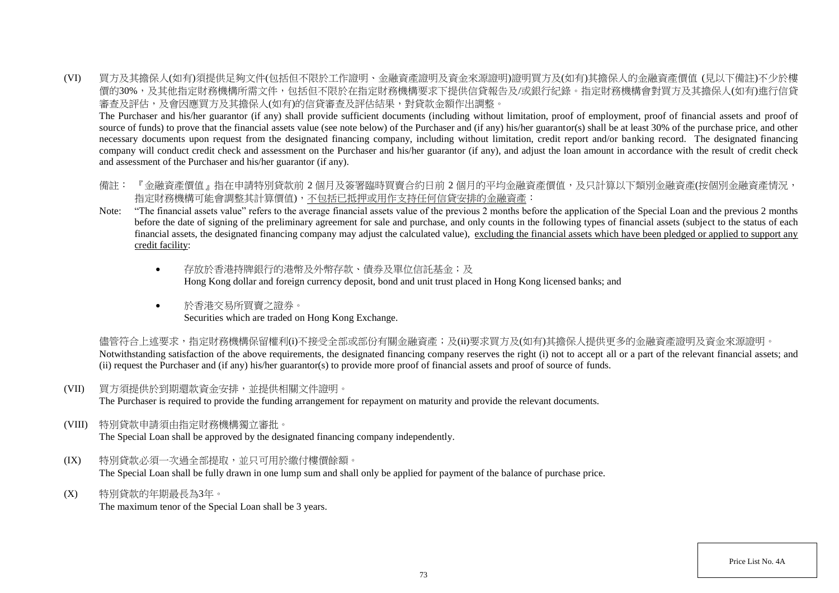(VI) 買方及其擔保人(如有)須提供足夠文件(包括但不限於工作證明、金融資產證明及資金來源證明)證明買方及(如有)其擔保人的金融資產價值 (見以下備註)不少於樓 價的30%,及其他指定財務機構所需文件,包括但不限於在指定財務機構要求下提供信貸報告及/或銀行紀錄。指定財務機構會對買方及其擔保人(如有)進行信貸 審查及評估,及會因應買方及其擔保人(如有)的信貸審查及評估結果,對貸款金額作出調整。

The Purchaser and his/her guarantor (if any) shall provide sufficient documents (including without limitation, proof of employment, proof of financial assets and proof of source of funds) to prove that the financial assets value (see note below) of the Purchaser and (if any) his/her guarantor(s) shall be at least 30% of the purchase price, and other necessary documents upon request from the designated financing company, including without limitation, credit report and/or banking record. The designated financing company will conduct credit check and assessment on the Purchaser and his/her guarantor (if any), and adjust the loan amount in accordance with the result of credit check and assessment of the Purchaser and his/her guarantor (if any).

- 備註: 『金融資產價值』指在申請特別貸款前 2 個月及簽署臨時買賣合約日前 2 個月的平均金融資產價值,及只計算以下類別金融資產(按個別金融資產情況, 指定財務機構可能會調整其計算價值),不包括已抵押或用作支持任何信貸安排的金融資產:
- Note: "The financial assets value" refers to the average financial assets value of the previous 2 months before the application of the Special Loan and the previous 2 months before the date of signing of the preliminary agreement for sale and purchase, and only counts in the following types of financial assets (subject to the status of each financial assets, the designated financing company may adjust the calculated value), excluding the financial assets which have been pledged or applied to support any credit facility:
	- 存放於香港特牌銀行的港幣及外幣存款、債券及單位信託基金;及 Hong Kong dollar and foreign currency deposit, bond and unit trust placed in Hong Kong licensed banks; and
	- 於香港交易所買賣之證券。 Securities which are traded on Hong Kong Exchange.

儘管符合上述要求,指定財務機構保留權利(i)不接受全部或部份有關金融資產;及(ii)要求買方及(如有)其擔保人提供更多的金融資產證明及資金來源證明。 Notwithstanding satisfaction of the above requirements, the designated financing company reserves the right (i) not to accept all or a part of the relevant financial assets; and (ii) request the Purchaser and (if any) his/her guarantor(s) to provide more proof of financial assets and proof of source of funds.

(VII) 買方須提供於到期還款資金安排,並提供相關文件證明。

The Purchaser is required to provide the funding arrangement for repayment on maturity and provide the relevant documents.

(VIII) 特別貸款申請須由指定財務機構獨立審批。

The Special Loan shall be approved by the designated financing company independently.

- (IX) 特別貸款必須一次過全部提取,並只可用於繳付樓價餘額。 The Special Loan shall be fully drawn in one lump sum and shall only be applied for payment of the balance of purchase price.
- (X) 特別貸款的年期最長為3年。

The maximum tenor of the Special Loan shall be 3 years.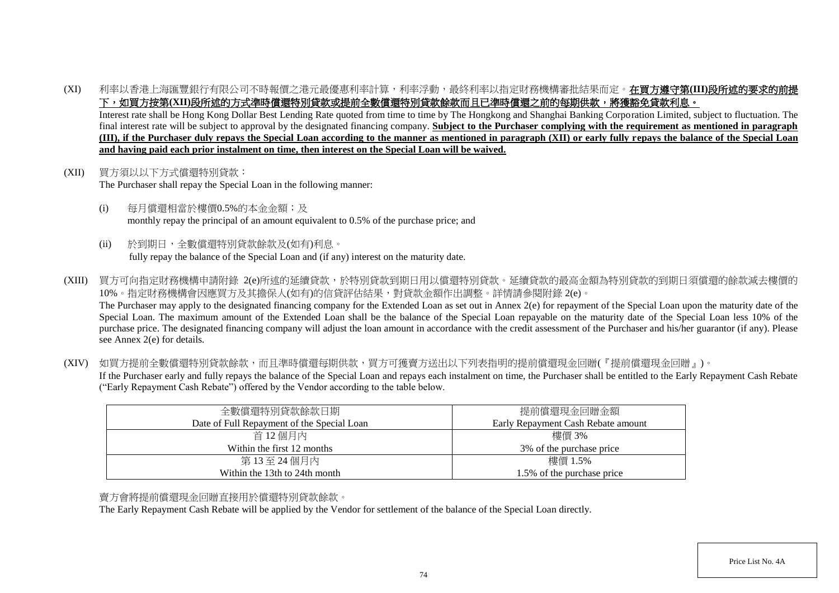(XI) 利率以香港上海匯豐銀行有限公司不時報價之港元最優惠利率計算,利率浮動,最終利率以指定財務機構審批結果而定。在買方遵守第**(III)**段所述的要求的前提 下,如買方按第(XII)段所述的方式準時償還特別貸款或提前全數償還特別貸款餘款而且已準時償還之前的每期供款,將獲豁免貸款利息。

Interest rate shall be Hong Kong Dollar Best Lending Rate quoted from time to time by The Hongkong and Shanghai Banking Corporation Limited, subject to fluctuation. The final interest rate will be subject to approval by the designated financing company. **Subject to the Purchaser complying with the requirement as mentioned in paragraph (III), if the Purchaser duly repays the Special Loan according to the manner as mentioned in paragraph (XII) or early fully repays the balance of the Special Loan and having paid each prior instalment on time, then interest on the Special Loan will be waived.**

- (XII) 買方須以以下方式償還特別貸款: The Purchaser shall repay the Special Loan in the following manner:
	- (i) 每月償還相當於樓價0.5%的本金金額;及 monthly repay the principal of an amount equivalent to 0.5% of the purchase price; and
	- (ii) 於到期日,全數償還特別貸款餘款及(如有)利息。 fully repay the balance of the Special Loan and (if any) interest on the maturity date.
- (XIII) 買方可向指定財務機構申請附錄 2(e)所述的延續貸款,於特別貸款到期日用以償還特別貸款。延續貸款的最高金額為特別貸款的到期日須償還的餘款減去樓價的 10%。指定財務機構會因應買方及其擔保人(如有)的信貸評估結果,對貸款金額作出調整。詳情請參閱附錄 2(e)。 The Purchaser may apply to the designated financing company for the Extended Loan as set out in Annex 2(e) for repayment of the Special Loan upon the maturity date of the Special Loan. The maximum amount of the Extended Loan shall be the balance of the Special Loan repayable on the maturity date of the Special Loan less 10% of the purchase price. The designated financing company will adjust the loan amount in accordance with the credit assessment of the Purchaser and his/her guarantor (if any). Please see Annex 2(e) for details.
- (XIV) 如買方提前全數償還特別貸款餘款,而且準時償還每期供款,買方可獲賣方送出以下列表指明的提前償還現金回贈(『提前償還現金回贈』)。 If the Purchaser early and fully repays the balance of the Special Loan and repays each instalment on time, the Purchaser shall be entitled to the Early Repayment Cash Rebate ("Early Repayment Cash Rebate") offered by the Vendor according to the table below.

| 全數償還特別貸款餘款日期                               | 提前償還現金回贈金額                         |
|--------------------------------------------|------------------------------------|
| Date of Full Repayment of the Special Loan | Early Repayment Cash Rebate amount |
| 首 12 個月內                                   | 樓價 3%                              |
| Within the first 12 months                 | 3% of the purchase price           |
| 第13至24個月內                                  | 樓價 1.5%                            |
| Within the 13th to 24th month              | 1.5% of the purchase price         |

## 賣方會將提前償還現金回贈直接用於償還特別貸款餘款。

The Early Repayment Cash Rebate will be applied by the Vendor for settlement of the balance of the Special Loan directly.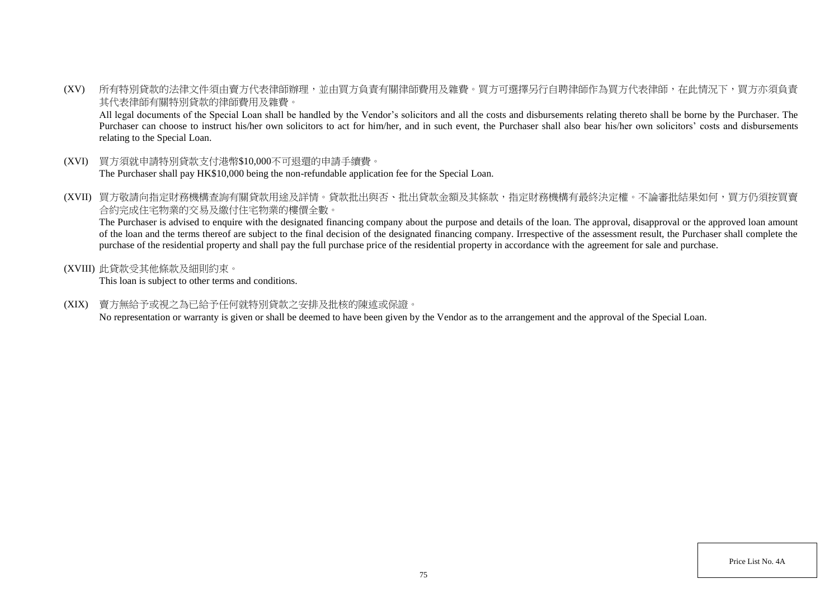(XV) 所有特別貸款的法律文件須由賣方代表律師辦理,並由買方負責有關律師費用及雜費。買方可選擇另行自聘律師作為買方代表律師,在此情況下,買方亦須負責 其代表律師有關特別貸款的律師費用及雜費。

All legal documents of the Special Loan shall be handled by the Vendor's solicitors and all the costs and disbursements relating thereto shall be borne by the Purchaser. The Purchaser can choose to instruct his/her own solicitors to act for him/her, and in such event, the Purchaser shall also bear his/her own solicitors' costs and disbursements relating to the Special Loan.

- (XVI) 買方須就申請特別貸款支付港幣\$10,000不可退還的申請手續費。 The Purchaser shall pay HK\$10,000 being the non-refundable application fee for the Special Loan.
- (XVII) 買方敬請向指定財務機構查詢有關貸款用途及詳情。貸款批出與否、批出貸款金額及其條款,指定財務機構有最終決定權。不論審批結果如何,買方仍須按買賣 合約完成住宅物業的交易及繳付住宅物業的樓價全數。

The Purchaser is advised to enquire with the designated financing company about the purpose and details of the loan. The approval, disapproval or the approved loan amount of the loan and the terms thereof are subject to the final decision of the designated financing company. Irrespective of the assessment result, the Purchaser shall complete the purchase of the residential property and shall pay the full purchase price of the residential property in accordance with the agreement for sale and purchase.

(XVIII) 此貸款受其他條款及細則約束。

This loan is subject to other terms and conditions.

(XIX) 賣方無給予或視之為已給予任何就特別貸款之安排及批核的陳述或保證。

No representation or warranty is given or shall be deemed to have been given by the Vendor as to the arrangement and the approval of the Special Loan.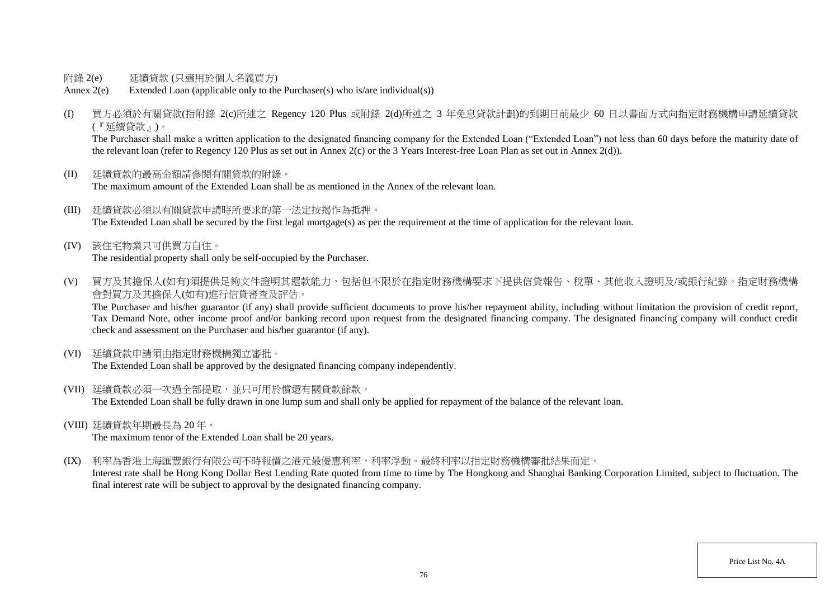- 附錄 2(e) 延續貸款 (只適用於個人名義買方)
- Annex 2(e) Extended Loan (applicable only to the Purchaser(s) who is/are individual(s))
- (I) 買方必須於有關貸款(指附錄 2(c)所述之 Regency 120 Plus 或附錄 2(d)所述之 3 年免息貸款計劃)的到期日前最少 60 日以書面方式向指定財務機構申請延續貸款 (『延續貸款』)。

The Purchaser shall make a written application to the designated financing company for the Extended Loan "Extended Loan") not less than 60 days before the maturity date of the relevant loan (refer to Regency 120 Plus as set out in Annex 2(c) or the 3 Years Interest-free Loan Plan as set out in Annex 2(d)).

- (II) 延續貸款的最高金額請參閱有關貸款的附錄。 The maximum amount of the Extended Loan shall be as mentioned in the Annex of the relevant loan.
- (III) 延續貸款必須以有關貸款申請時所要求的第一法定按揭作為抵押。 The Extended Loan shall be secured by the first legal mortgage(s) as per the requirement at the time of application for the relevant loan.
- (IV) 該住宅物業只可供買方自住。 The residential property shall only be self-occupied by the Purchaser.
- (V) 買方及其擔保人(如有)須提供足夠文件證明其還款能力,包括但不限於在指定財務機構要求下提供信貸報告、稅單、其他收入證明及/或銀行紀錄。指定財務機構 會對買方及其擔保人(如有)進行信貸審查及評估。

The Purchaser and his/her guarantor (if any) shall provide sufficient documents to prove his/her repayment ability, including without limitation the provision of credit report, Tax Demand Note, other income proof and/or banking record upon request from the designated financing company. The designated financing company will conduct credit check and assessment on the Purchaser and his/her guarantor (if any).

(VI) 延續貸款申請須由指定財務機構獨立審批。

The Extended Loan shall be approved by the designated financing company independently.

- (VII) 延續貸款必須一次過全部提取,並只可用於償還有關貸款餘款。 The Extended Loan shall be fully drawn in one lump sum and shall only be applied for repayment of the balance of the relevant loan.
- (VIII) 延續貸款年期最長為 20 年。

The maximum tenor of the Extended Loan shall be 20 years.

(IX) 利率為香港上海匯豐銀行有限公司不時報價之港元最優惠利率,利率浮動。最終利率以指定財務機構審批結果而定。

Interest rate shall be Hong Kong Dollar Best Lending Rate quoted from time to time by The Hongkong and Shanghai Banking Corporation Limited, subject to fluctuation. The final interest rate will be subject to approval by the designated financing company.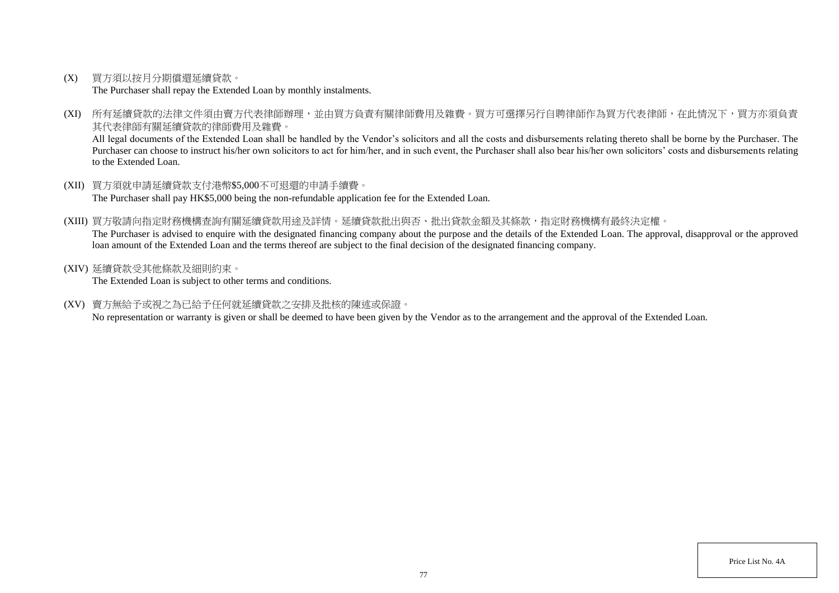(X) 買方須以按月分期償還延續貸款。

The Purchaser shall repay the Extended Loan by monthly instalments.

(XI) 所有延續貸款的法律文件須由賣方代表律師辦理,並由買方負責有關律師費用及雜費。買方可選擇另行自聘律師作為買方代表律師,在此情況下,買方亦須負責 其代表律師有關延續貸款的律師費用及雜費。

All legal documents of the Extended Loan shall be handled by the Vendor's solicitors and all the costs and disbursements relating thereto shall be borne by the Purchaser. The Purchaser can choose to instruct his/her own solicitors to act for him/her, and in such event, the Purchaser shall also bear his/her own solicitors' costs and disbursements relating to the Extended Loan.

- (XII) 買方須就申請延續貸款支付港幣\$5,000不可退還的申請手續費。 The Purchaser shall pay HK\$5,000 being the non-refundable application fee for the Extended Loan.
- (XIII) 買方敬請向指定財務機構查詢有關延續貸款用途及詳情。延續貸款批出與否、批出貸款金額及其條款,指定財務機構有最終決定權。 The Purchaser is advised to enquire with the designated financing company about the purpose and the details of the Extended Loan. The approval, disapproval or the approved loan amount of the Extended Loan and the terms thereof are subject to the final decision of the designated financing company.
- (XIV) 延續貸款受其他條款及細則約束。

The Extended Loan is subject to other terms and conditions.

(XV) 賣方無給予或視之為已給予任何就延續貸款之安排及批核的陳述或保證。

No representation or warranty is given or shall be deemed to have been given by the Vendor as to the arrangement and the approval of the Extended Loan.